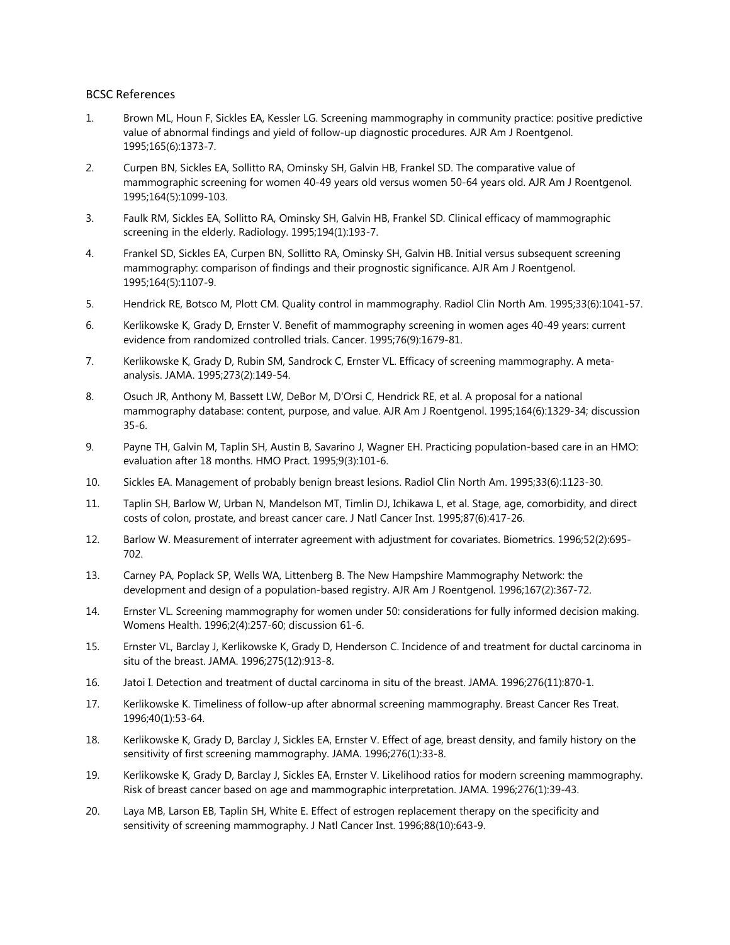## BCSC References

- 1. Brown ML, Houn F, Sickles EA, Kessler LG. Screening mammography in community practice: positive predictive value of abnormal findings and yield of follow-up diagnostic procedures. AJR Am J Roentgenol. 1995;165(6):1373-7.
- 2. Curpen BN, Sickles EA, Sollitto RA, Ominsky SH, Galvin HB, Frankel SD. The comparative value of mammographic screening for women 40-49 years old versus women 50-64 years old. AJR Am J Roentgenol. 1995;164(5):1099-103.
- 3. Faulk RM, Sickles EA, Sollitto RA, Ominsky SH, Galvin HB, Frankel SD. Clinical efficacy of mammographic screening in the elderly. Radiology. 1995;194(1):193-7.
- 4. Frankel SD, Sickles EA, Curpen BN, Sollitto RA, Ominsky SH, Galvin HB. Initial versus subsequent screening mammography: comparison of findings and their prognostic significance. AJR Am J Roentgenol. 1995;164(5):1107-9.
- 5. Hendrick RE, Botsco M, Plott CM. Quality control in mammography. Radiol Clin North Am. 1995;33(6):1041-57.
- 6. Kerlikowske K, Grady D, Ernster V. Benefit of mammography screening in women ages 40-49 years: current evidence from randomized controlled trials. Cancer. 1995;76(9):1679-81.
- 7. Kerlikowske K, Grady D, Rubin SM, Sandrock C, Ernster VL. Efficacy of screening mammography. A metaanalysis. JAMA. 1995;273(2):149-54.
- 8. Osuch JR, Anthony M, Bassett LW, DeBor M, D'Orsi C, Hendrick RE, et al. A proposal for a national mammography database: content, purpose, and value. AJR Am J Roentgenol. 1995;164(6):1329-34; discussion 35-6.
- 9. Payne TH, Galvin M, Taplin SH, Austin B, Savarino J, Wagner EH. Practicing population-based care in an HMO: evaluation after 18 months. HMO Pract. 1995;9(3):101-6.
- 10. Sickles EA. Management of probably benign breast lesions. Radiol Clin North Am. 1995;33(6):1123-30.
- 11. Taplin SH, Barlow W, Urban N, Mandelson MT, Timlin DJ, Ichikawa L, et al. Stage, age, comorbidity, and direct costs of colon, prostate, and breast cancer care. J Natl Cancer Inst. 1995;87(6):417-26.
- 12. Barlow W. Measurement of interrater agreement with adjustment for covariates. Biometrics. 1996;52(2):695- 702.
- 13. Carney PA, Poplack SP, Wells WA, Littenberg B. The New Hampshire Mammography Network: the development and design of a population-based registry. AJR Am J Roentgenol. 1996;167(2):367-72.
- 14. Ernster VL. Screening mammography for women under 50: considerations for fully informed decision making. Womens Health. 1996;2(4):257-60; discussion 61-6.
- 15. Ernster VL, Barclay J, Kerlikowske K, Grady D, Henderson C. Incidence of and treatment for ductal carcinoma in situ of the breast. JAMA. 1996;275(12):913-8.
- 16. Jatoi I. Detection and treatment of ductal carcinoma in situ of the breast. JAMA. 1996;276(11):870-1.
- 17. Kerlikowske K. Timeliness of follow-up after abnormal screening mammography. Breast Cancer Res Treat. 1996;40(1):53-64.
- 18. Kerlikowske K, Grady D, Barclay J, Sickles EA, Ernster V. Effect of age, breast density, and family history on the sensitivity of first screening mammography. JAMA. 1996;276(1):33-8.
- 19. Kerlikowske K, Grady D, Barclay J, Sickles EA, Ernster V. Likelihood ratios for modern screening mammography. Risk of breast cancer based on age and mammographic interpretation. JAMA. 1996;276(1):39-43.
- 20. Laya MB, Larson EB, Taplin SH, White E. Effect of estrogen replacement therapy on the specificity and sensitivity of screening mammography. J Natl Cancer Inst. 1996;88(10):643-9.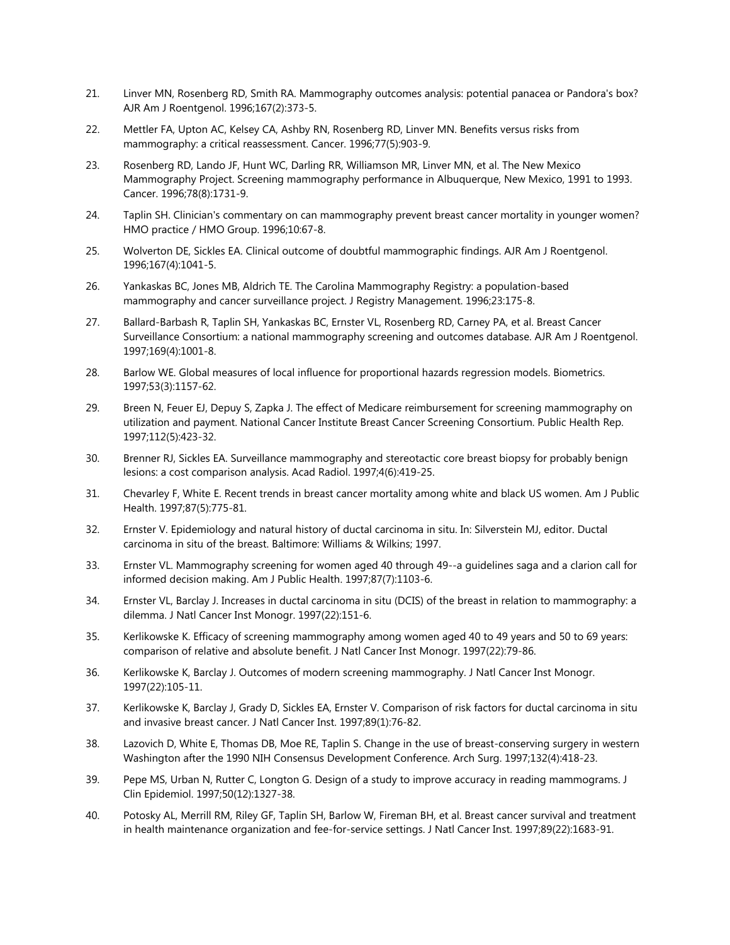- 21. Linver MN, Rosenberg RD, Smith RA. Mammography outcomes analysis: potential panacea or Pandora's box? AJR Am J Roentgenol. 1996;167(2):373-5.
- 22. Mettler FA, Upton AC, Kelsey CA, Ashby RN, Rosenberg RD, Linver MN. Benefits versus risks from mammography: a critical reassessment. Cancer. 1996;77(5):903-9.
- 23. Rosenberg RD, Lando JF, Hunt WC, Darling RR, Williamson MR, Linver MN, et al. The New Mexico Mammography Project. Screening mammography performance in Albuquerque, New Mexico, 1991 to 1993. Cancer. 1996;78(8):1731-9.
- 24. Taplin SH. Clinician's commentary on can mammography prevent breast cancer mortality in younger women? HMO practice / HMO Group. 1996;10:67-8.
- 25. Wolverton DE, Sickles EA. Clinical outcome of doubtful mammographic findings. AJR Am J Roentgenol. 1996;167(4):1041-5.
- 26. Yankaskas BC, Jones MB, Aldrich TE. The Carolina Mammography Registry: a population-based mammography and cancer surveillance project. J Registry Management. 1996;23:175-8.
- 27. Ballard-Barbash R, Taplin SH, Yankaskas BC, Ernster VL, Rosenberg RD, Carney PA, et al. Breast Cancer Surveillance Consortium: a national mammography screening and outcomes database. AJR Am J Roentgenol. 1997;169(4):1001-8.
- 28. Barlow WE. Global measures of local influence for proportional hazards regression models. Biometrics. 1997;53(3):1157-62.
- 29. Breen N, Feuer EJ, Depuy S, Zapka J. The effect of Medicare reimbursement for screening mammography on utilization and payment. National Cancer Institute Breast Cancer Screening Consortium. Public Health Rep. 1997;112(5):423-32.
- 30. Brenner RJ, Sickles EA. Surveillance mammography and stereotactic core breast biopsy for probably benign lesions: a cost comparison analysis. Acad Radiol. 1997;4(6):419-25.
- 31. Chevarley F, White E. Recent trends in breast cancer mortality among white and black US women. Am J Public Health. 1997;87(5):775-81.
- 32. Ernster V. Epidemiology and natural history of ductal carcinoma in situ. In: Silverstein MJ, editor. Ductal carcinoma in situ of the breast. Baltimore: Williams & Wilkins; 1997.
- 33. Ernster VL. Mammography screening for women aged 40 through 49--a guidelines saga and a clarion call for informed decision making. Am J Public Health. 1997;87(7):1103-6.
- 34. Ernster VL, Barclay J. Increases in ductal carcinoma in situ (DCIS) of the breast in relation to mammography: a dilemma. J Natl Cancer Inst Monogr. 1997(22):151-6.
- 35. Kerlikowske K. Efficacy of screening mammography among women aged 40 to 49 years and 50 to 69 years: comparison of relative and absolute benefit. J Natl Cancer Inst Monogr. 1997(22):79-86.
- 36. Kerlikowske K, Barclay J. Outcomes of modern screening mammography. J Natl Cancer Inst Monogr. 1997(22):105-11.
- 37. Kerlikowske K, Barclay J, Grady D, Sickles EA, Ernster V. Comparison of risk factors for ductal carcinoma in situ and invasive breast cancer. J Natl Cancer Inst. 1997;89(1):76-82.
- 38. Lazovich D, White E, Thomas DB, Moe RE, Taplin S. Change in the use of breast-conserving surgery in western Washington after the 1990 NIH Consensus Development Conference. Arch Surg. 1997;132(4):418-23.
- 39. Pepe MS, Urban N, Rutter C, Longton G. Design of a study to improve accuracy in reading mammograms. J Clin Epidemiol. 1997;50(12):1327-38.
- 40. Potosky AL, Merrill RM, Riley GF, Taplin SH, Barlow W, Fireman BH, et al. Breast cancer survival and treatment in health maintenance organization and fee-for-service settings. J Natl Cancer Inst. 1997;89(22):1683-91.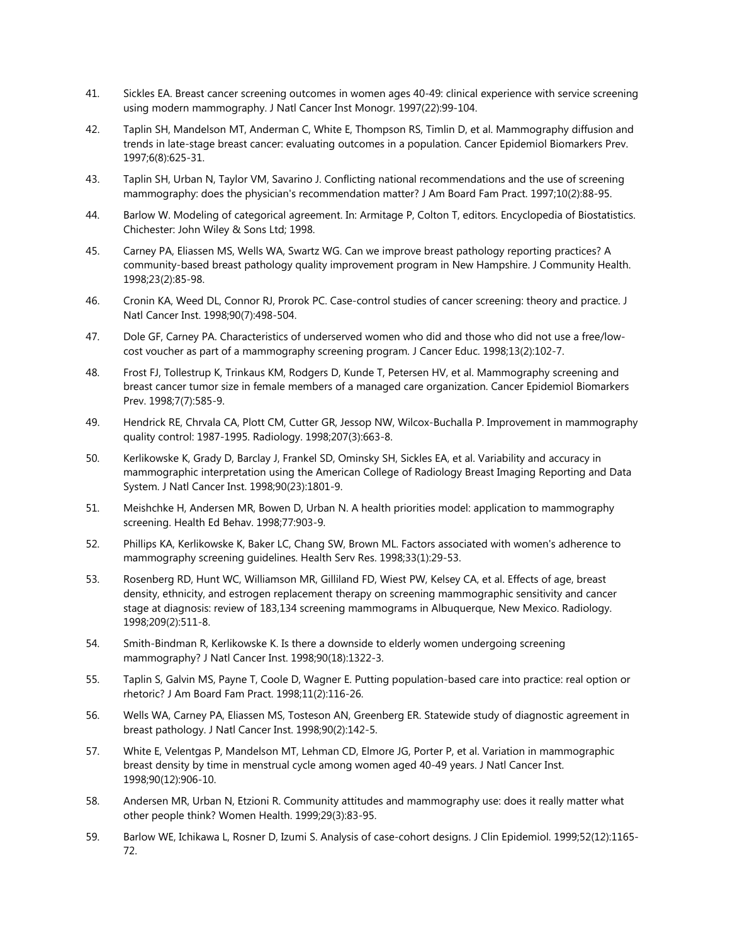- 41. Sickles EA. Breast cancer screening outcomes in women ages 40-49: clinical experience with service screening using modern mammography. J Natl Cancer Inst Monogr. 1997(22):99-104.
- 42. Taplin SH, Mandelson MT, Anderman C, White E, Thompson RS, Timlin D, et al. Mammography diffusion and trends in late-stage breast cancer: evaluating outcomes in a population. Cancer Epidemiol Biomarkers Prev. 1997;6(8):625-31.
- 43. Taplin SH, Urban N, Taylor VM, Savarino J. Conflicting national recommendations and the use of screening mammography: does the physician's recommendation matter? J Am Board Fam Pract. 1997;10(2):88-95.
- 44. Barlow W. Modeling of categorical agreement. In: Armitage P, Colton T, editors. Encyclopedia of Biostatistics. Chichester: John Wiley & Sons Ltd; 1998.
- 45. Carney PA, Eliassen MS, Wells WA, Swartz WG. Can we improve breast pathology reporting practices? A community-based breast pathology quality improvement program in New Hampshire. J Community Health. 1998;23(2):85-98.
- 46. Cronin KA, Weed DL, Connor RJ, Prorok PC. Case-control studies of cancer screening: theory and practice. J Natl Cancer Inst. 1998;90(7):498-504.
- 47. Dole GF, Carney PA. Characteristics of underserved women who did and those who did not use a free/lowcost voucher as part of a mammography screening program. J Cancer Educ. 1998;13(2):102-7.
- 48. Frost FJ, Tollestrup K, Trinkaus KM, Rodgers D, Kunde T, Petersen HV, et al. Mammography screening and breast cancer tumor size in female members of a managed care organization. Cancer Epidemiol Biomarkers Prev. 1998;7(7):585-9.
- 49. Hendrick RE, Chrvala CA, Plott CM, Cutter GR, Jessop NW, Wilcox-Buchalla P. Improvement in mammography quality control: 1987-1995. Radiology. 1998;207(3):663-8.
- 50. Kerlikowske K, Grady D, Barclay J, Frankel SD, Ominsky SH, Sickles EA, et al. Variability and accuracy in mammographic interpretation using the American College of Radiology Breast Imaging Reporting and Data System. J Natl Cancer Inst. 1998;90(23):1801-9.
- 51. Meishchke H, Andersen MR, Bowen D, Urban N. A health priorities model: application to mammography screening. Health Ed Behav. 1998;77:903-9.
- 52. Phillips KA, Kerlikowske K, Baker LC, Chang SW, Brown ML. Factors associated with women's adherence to mammography screening guidelines. Health Serv Res. 1998;33(1):29-53.
- 53. Rosenberg RD, Hunt WC, Williamson MR, Gilliland FD, Wiest PW, Kelsey CA, et al. Effects of age, breast density, ethnicity, and estrogen replacement therapy on screening mammographic sensitivity and cancer stage at diagnosis: review of 183,134 screening mammograms in Albuquerque, New Mexico. Radiology. 1998;209(2):511-8.
- 54. Smith-Bindman R, Kerlikowske K. Is there a downside to elderly women undergoing screening mammography? J Natl Cancer Inst. 1998;90(18):1322-3.
- 55. Taplin S, Galvin MS, Payne T, Coole D, Wagner E. Putting population-based care into practice: real option or rhetoric? J Am Board Fam Pract. 1998;11(2):116-26.
- 56. Wells WA, Carney PA, Eliassen MS, Tosteson AN, Greenberg ER. Statewide study of diagnostic agreement in breast pathology. J Natl Cancer Inst. 1998;90(2):142-5.
- 57. White E, Velentgas P, Mandelson MT, Lehman CD, Elmore JG, Porter P, et al. Variation in mammographic breast density by time in menstrual cycle among women aged 40-49 years. J Natl Cancer Inst. 1998;90(12):906-10.
- 58. Andersen MR, Urban N, Etzioni R. Community attitudes and mammography use: does it really matter what other people think? Women Health. 1999;29(3):83-95.
- 59. Barlow WE, Ichikawa L, Rosner D, Izumi S. Analysis of case-cohort designs. J Clin Epidemiol. 1999;52(12):1165- 72.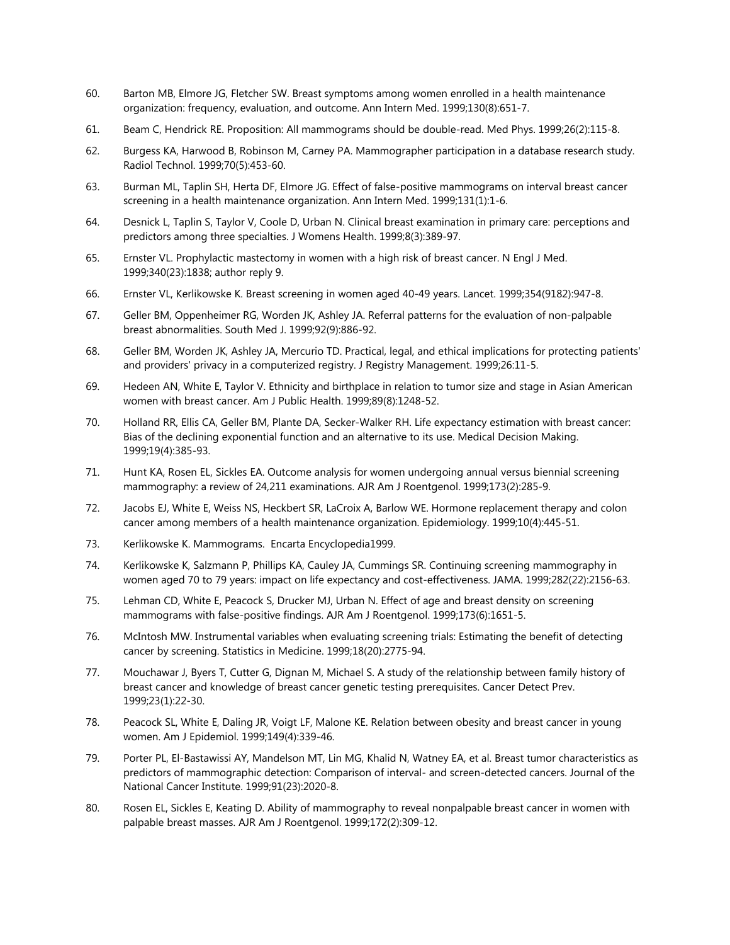- 60. Barton MB, Elmore JG, Fletcher SW. Breast symptoms among women enrolled in a health maintenance organization: frequency, evaluation, and outcome. Ann Intern Med. 1999;130(8):651-7.
- 61. Beam C, Hendrick RE. Proposition: All mammograms should be double-read. Med Phys. 1999;26(2):115-8.
- 62. Burgess KA, Harwood B, Robinson M, Carney PA. Mammographer participation in a database research study. Radiol Technol. 1999;70(5):453-60.
- 63. Burman ML, Taplin SH, Herta DF, Elmore JG. Effect of false-positive mammograms on interval breast cancer screening in a health maintenance organization. Ann Intern Med. 1999;131(1):1-6.
- 64. Desnick L, Taplin S, Taylor V, Coole D, Urban N. Clinical breast examination in primary care: perceptions and predictors among three specialties. J Womens Health. 1999;8(3):389-97.
- 65. Ernster VL. Prophylactic mastectomy in women with a high risk of breast cancer. N Engl J Med. 1999;340(23):1838; author reply 9.
- 66. Ernster VL, Kerlikowske K. Breast screening in women aged 40-49 years. Lancet. 1999;354(9182):947-8.
- 67. Geller BM, Oppenheimer RG, Worden JK, Ashley JA. Referral patterns for the evaluation of non-palpable breast abnormalities. South Med J. 1999;92(9):886-92.
- 68. Geller BM, Worden JK, Ashley JA, Mercurio TD. Practical, legal, and ethical implications for protecting patients' and providers' privacy in a computerized registry. J Registry Management. 1999;26:11-5.
- 69. Hedeen AN, White E, Taylor V. Ethnicity and birthplace in relation to tumor size and stage in Asian American women with breast cancer. Am J Public Health. 1999;89(8):1248-52.
- 70. Holland RR, Ellis CA, Geller BM, Plante DA, Secker-Walker RH. Life expectancy estimation with breast cancer: Bias of the declining exponential function and an alternative to its use. Medical Decision Making. 1999;19(4):385-93.
- 71. Hunt KA, Rosen EL, Sickles EA. Outcome analysis for women undergoing annual versus biennial screening mammography: a review of 24,211 examinations. AJR Am J Roentgenol. 1999;173(2):285-9.
- 72. Jacobs EJ, White E, Weiss NS, Heckbert SR, LaCroix A, Barlow WE. Hormone replacement therapy and colon cancer among members of a health maintenance organization. Epidemiology. 1999;10(4):445-51.
- 73. Kerlikowske K. Mammograms. Encarta Encyclopedia1999.
- 74. Kerlikowske K, Salzmann P, Phillips KA, Cauley JA, Cummings SR. Continuing screening mammography in women aged 70 to 79 years: impact on life expectancy and cost-effectiveness. JAMA. 1999;282(22):2156-63.
- 75. Lehman CD, White E, Peacock S, Drucker MJ, Urban N. Effect of age and breast density on screening mammograms with false-positive findings. AJR Am J Roentgenol. 1999;173(6):1651-5.
- 76. McIntosh MW. Instrumental variables when evaluating screening trials: Estimating the benefit of detecting cancer by screening. Statistics in Medicine. 1999;18(20):2775-94.
- 77. Mouchawar J, Byers T, Cutter G, Dignan M, Michael S. A study of the relationship between family history of breast cancer and knowledge of breast cancer genetic testing prerequisites. Cancer Detect Prev. 1999;23(1):22-30.
- 78. Peacock SL, White E, Daling JR, Voigt LF, Malone KE. Relation between obesity and breast cancer in young women. Am J Epidemiol. 1999;149(4):339-46.
- 79. Porter PL, El-Bastawissi AY, Mandelson MT, Lin MG, Khalid N, Watney EA, et al. Breast tumor characteristics as predictors of mammographic detection: Comparison of interval- and screen-detected cancers. Journal of the National Cancer Institute. 1999;91(23):2020-8.
- 80. Rosen EL, Sickles E, Keating D. Ability of mammography to reveal nonpalpable breast cancer in women with palpable breast masses. AJR Am J Roentgenol. 1999;172(2):309-12.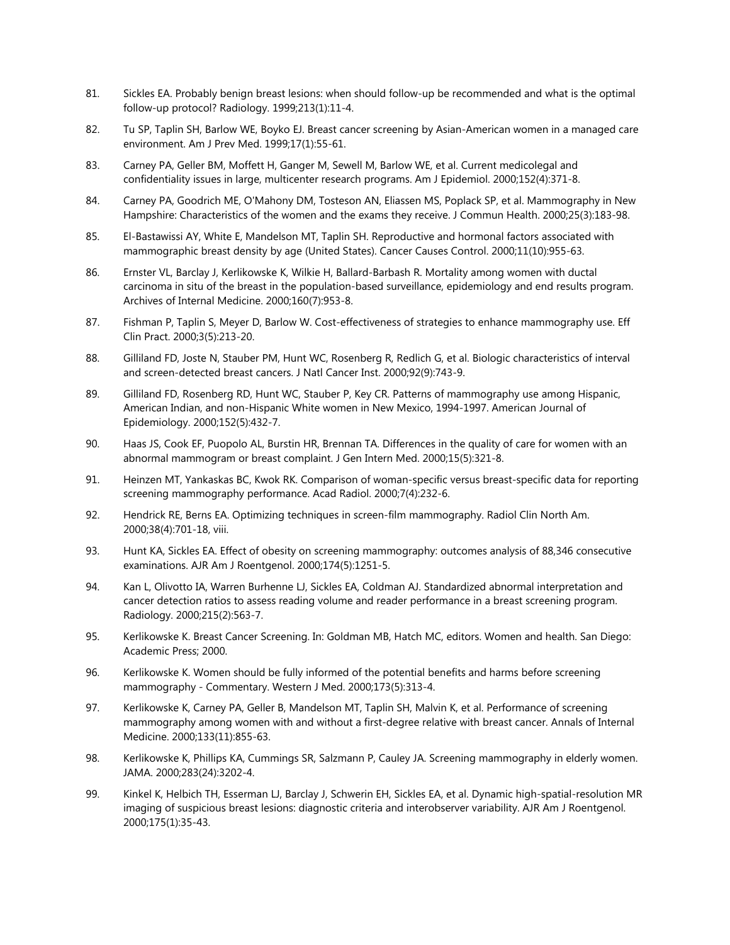- 81. Sickles EA. Probably benign breast lesions: when should follow-up be recommended and what is the optimal follow-up protocol? Radiology. 1999;213(1):11-4.
- 82. Tu SP, Taplin SH, Barlow WE, Boyko EJ. Breast cancer screening by Asian-American women in a managed care environment. Am J Prev Med. 1999;17(1):55-61.
- 83. Carney PA, Geller BM, Moffett H, Ganger M, Sewell M, Barlow WE, et al. Current medicolegal and confidentiality issues in large, multicenter research programs. Am J Epidemiol. 2000;152(4):371-8.
- 84. Carney PA, Goodrich ME, O'Mahony DM, Tosteson AN, Eliassen MS, Poplack SP, et al. Mammography in New Hampshire: Characteristics of the women and the exams they receive. J Commun Health. 2000;25(3):183-98.
- 85. El-Bastawissi AY, White E, Mandelson MT, Taplin SH. Reproductive and hormonal factors associated with mammographic breast density by age (United States). Cancer Causes Control. 2000;11(10):955-63.
- 86. Ernster VL, Barclay J, Kerlikowske K, Wilkie H, Ballard-Barbash R. Mortality among women with ductal carcinoma in situ of the breast in the population-based surveillance, epidemiology and end results program. Archives of Internal Medicine. 2000;160(7):953-8.
- 87. Fishman P, Taplin S, Meyer D, Barlow W. Cost-effectiveness of strategies to enhance mammography use. Eff Clin Pract. 2000;3(5):213-20.
- 88. Gilliland FD, Joste N, Stauber PM, Hunt WC, Rosenberg R, Redlich G, et al. Biologic characteristics of interval and screen-detected breast cancers. J Natl Cancer Inst. 2000;92(9):743-9.
- 89. Gilliland FD, Rosenberg RD, Hunt WC, Stauber P, Key CR. Patterns of mammography use among Hispanic, American Indian, and non-Hispanic White women in New Mexico, 1994-1997. American Journal of Epidemiology. 2000;152(5):432-7.
- 90. Haas JS, Cook EF, Puopolo AL, Burstin HR, Brennan TA. Differences in the quality of care for women with an abnormal mammogram or breast complaint. J Gen Intern Med. 2000;15(5):321-8.
- 91. Heinzen MT, Yankaskas BC, Kwok RK. Comparison of woman-specific versus breast-specific data for reporting screening mammography performance. Acad Radiol. 2000;7(4):232-6.
- 92. Hendrick RE, Berns EA. Optimizing techniques in screen-film mammography. Radiol Clin North Am. 2000;38(4):701-18, viii.
- 93. Hunt KA, Sickles EA. Effect of obesity on screening mammography: outcomes analysis of 88,346 consecutive examinations. AJR Am J Roentgenol. 2000;174(5):1251-5.
- 94. Kan L, Olivotto IA, Warren Burhenne LJ, Sickles EA, Coldman AJ. Standardized abnormal interpretation and cancer detection ratios to assess reading volume and reader performance in a breast screening program. Radiology. 2000;215(2):563-7.
- 95. Kerlikowske K. Breast Cancer Screening. In: Goldman MB, Hatch MC, editors. Women and health. San Diego: Academic Press; 2000.
- 96. Kerlikowske K. Women should be fully informed of the potential benefits and harms before screening mammography - Commentary. Western J Med. 2000;173(5):313-4.
- 97. Kerlikowske K, Carney PA, Geller B, Mandelson MT, Taplin SH, Malvin K, et al. Performance of screening mammography among women with and without a first-degree relative with breast cancer. Annals of Internal Medicine. 2000;133(11):855-63.
- 98. Kerlikowske K, Phillips KA, Cummings SR, Salzmann P, Cauley JA. Screening mammography in elderly women. JAMA. 2000;283(24):3202-4.
- 99. Kinkel K, Helbich TH, Esserman LJ, Barclay J, Schwerin EH, Sickles EA, et al. Dynamic high-spatial-resolution MR imaging of suspicious breast lesions: diagnostic criteria and interobserver variability. AJR Am J Roentgenol. 2000;175(1):35-43.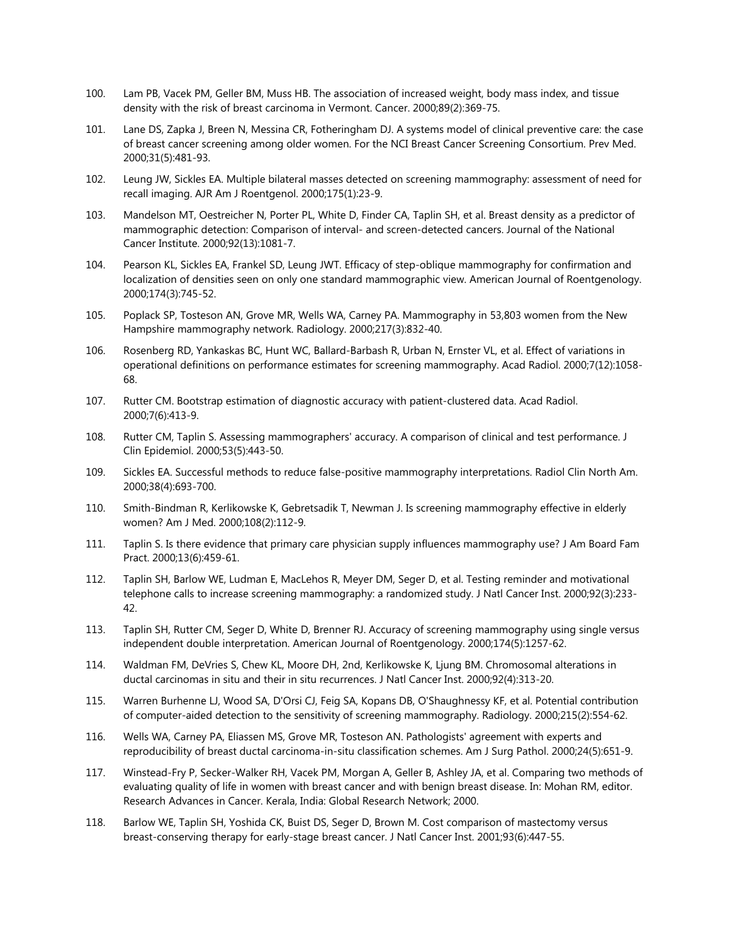- 100. Lam PB, Vacek PM, Geller BM, Muss HB. The association of increased weight, body mass index, and tissue density with the risk of breast carcinoma in Vermont. Cancer. 2000;89(2):369-75.
- 101. Lane DS, Zapka J, Breen N, Messina CR, Fotheringham DJ. A systems model of clinical preventive care: the case of breast cancer screening among older women. For the NCI Breast Cancer Screening Consortium. Prev Med. 2000;31(5):481-93.
- 102. Leung JW, Sickles EA. Multiple bilateral masses detected on screening mammography: assessment of need for recall imaging. AJR Am J Roentgenol. 2000;175(1):23-9.
- 103. Mandelson MT, Oestreicher N, Porter PL, White D, Finder CA, Taplin SH, et al. Breast density as a predictor of mammographic detection: Comparison of interval- and screen-detected cancers. Journal of the National Cancer Institute. 2000;92(13):1081-7.
- 104. Pearson KL, Sickles EA, Frankel SD, Leung JWT. Efficacy of step-oblique mammography for confirmation and localization of densities seen on only one standard mammographic view. American Journal of Roentgenology. 2000;174(3):745-52.
- 105. Poplack SP, Tosteson AN, Grove MR, Wells WA, Carney PA. Mammography in 53,803 women from the New Hampshire mammography network. Radiology. 2000;217(3):832-40.
- 106. Rosenberg RD, Yankaskas BC, Hunt WC, Ballard-Barbash R, Urban N, Ernster VL, et al. Effect of variations in operational definitions on performance estimates for screening mammography. Acad Radiol. 2000;7(12):1058- 68.
- 107. Rutter CM. Bootstrap estimation of diagnostic accuracy with patient-clustered data. Acad Radiol. 2000;7(6):413-9.
- 108. Rutter CM, Taplin S. Assessing mammographers' accuracy. A comparison of clinical and test performance. J Clin Epidemiol. 2000;53(5):443-50.
- 109. Sickles EA. Successful methods to reduce false-positive mammography interpretations. Radiol Clin North Am. 2000;38(4):693-700.
- 110. Smith-Bindman R, Kerlikowske K, Gebretsadik T, Newman J. Is screening mammography effective in elderly women? Am J Med. 2000;108(2):112-9.
- 111. Taplin S. Is there evidence that primary care physician supply influences mammography use? J Am Board Fam Pract. 2000;13(6):459-61.
- 112. Taplin SH, Barlow WE, Ludman E, MacLehos R, Meyer DM, Seger D, et al. Testing reminder and motivational telephone calls to increase screening mammography: a randomized study. J Natl Cancer Inst. 2000;92(3):233- 42.
- 113. Taplin SH, Rutter CM, Seger D, White D, Brenner RJ. Accuracy of screening mammography using single versus independent double interpretation. American Journal of Roentgenology. 2000;174(5):1257-62.
- 114. Waldman FM, DeVries S, Chew KL, Moore DH, 2nd, Kerlikowske K, Ljung BM. Chromosomal alterations in ductal carcinomas in situ and their in situ recurrences. J Natl Cancer Inst. 2000;92(4):313-20.
- 115. Warren Burhenne LJ, Wood SA, D'Orsi CJ, Feig SA, Kopans DB, O'Shaughnessy KF, et al. Potential contribution of computer-aided detection to the sensitivity of screening mammography. Radiology. 2000;215(2):554-62.
- 116. Wells WA, Carney PA, Eliassen MS, Grove MR, Tosteson AN. Pathologists' agreement with experts and reproducibility of breast ductal carcinoma-in-situ classification schemes. Am J Surg Pathol. 2000;24(5):651-9.
- 117. Winstead-Fry P, Secker-Walker RH, Vacek PM, Morgan A, Geller B, Ashley JA, et al. Comparing two methods of evaluating quality of life in women with breast cancer and with benign breast disease. In: Mohan RM, editor. Research Advances in Cancer. Kerala, India: Global Research Network; 2000.
- 118. Barlow WE, Taplin SH, Yoshida CK, Buist DS, Seger D, Brown M. Cost comparison of mastectomy versus breast-conserving therapy for early-stage breast cancer. J Natl Cancer Inst. 2001;93(6):447-55.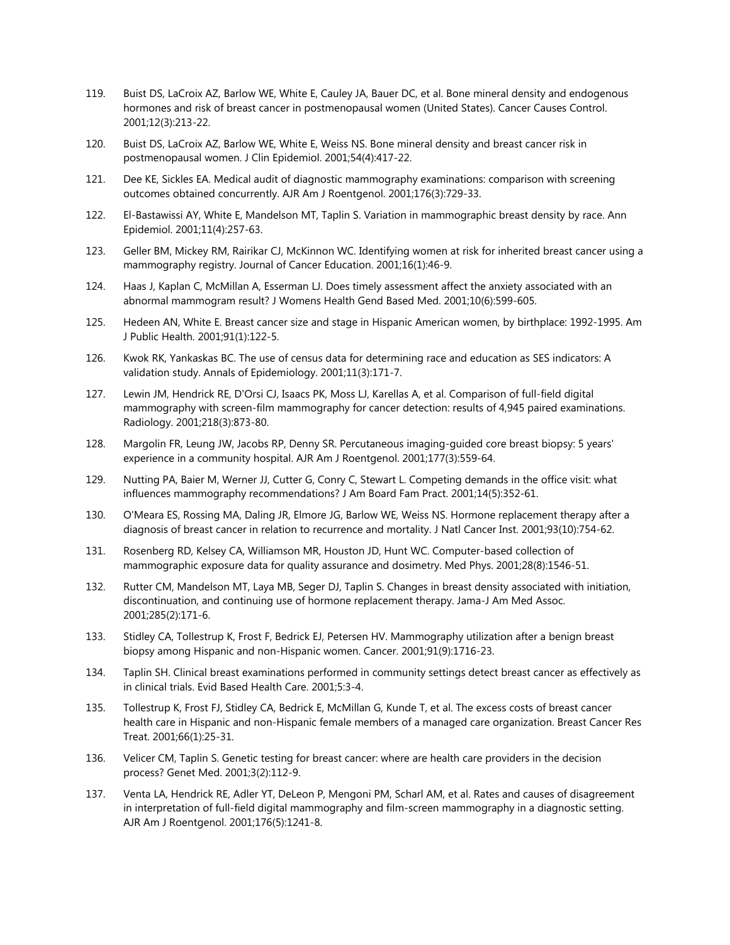- 119. Buist DS, LaCroix AZ, Barlow WE, White E, Cauley JA, Bauer DC, et al. Bone mineral density and endogenous hormones and risk of breast cancer in postmenopausal women (United States). Cancer Causes Control. 2001;12(3):213-22.
- 120. Buist DS, LaCroix AZ, Barlow WE, White E, Weiss NS. Bone mineral density and breast cancer risk in postmenopausal women. J Clin Epidemiol. 2001;54(4):417-22.
- 121. Dee KE, Sickles EA. Medical audit of diagnostic mammography examinations: comparison with screening outcomes obtained concurrently. AJR Am J Roentgenol. 2001;176(3):729-33.
- 122. El-Bastawissi AY, White E, Mandelson MT, Taplin S. Variation in mammographic breast density by race. Ann Epidemiol. 2001;11(4):257-63.
- 123. Geller BM, Mickey RM, Rairikar CJ, McKinnon WC. Identifying women at risk for inherited breast cancer using a mammography registry. Journal of Cancer Education. 2001;16(1):46-9.
- 124. Haas J, Kaplan C, McMillan A, Esserman LJ. Does timely assessment affect the anxiety associated with an abnormal mammogram result? J Womens Health Gend Based Med. 2001;10(6):599-605.
- 125. Hedeen AN, White E. Breast cancer size and stage in Hispanic American women, by birthplace: 1992-1995. Am J Public Health. 2001;91(1):122-5.
- 126. Kwok RK, Yankaskas BC. The use of census data for determining race and education as SES indicators: A validation study. Annals of Epidemiology. 2001;11(3):171-7.
- 127. Lewin JM, Hendrick RE, D'Orsi CJ, Isaacs PK, Moss LJ, Karellas A, et al. Comparison of full-field digital mammography with screen-film mammography for cancer detection: results of 4,945 paired examinations. Radiology. 2001;218(3):873-80.
- 128. Margolin FR, Leung JW, Jacobs RP, Denny SR. Percutaneous imaging-guided core breast biopsy: 5 years' experience in a community hospital. AJR Am J Roentgenol. 2001;177(3):559-64.
- 129. Nutting PA, Baier M, Werner JJ, Cutter G, Conry C, Stewart L. Competing demands in the office visit: what influences mammography recommendations? J Am Board Fam Pract. 2001;14(5):352-61.
- 130. O'Meara ES, Rossing MA, Daling JR, Elmore JG, Barlow WE, Weiss NS. Hormone replacement therapy after a diagnosis of breast cancer in relation to recurrence and mortality. J Natl Cancer Inst. 2001;93(10):754-62.
- 131. Rosenberg RD, Kelsey CA, Williamson MR, Houston JD, Hunt WC. Computer-based collection of mammographic exposure data for quality assurance and dosimetry. Med Phys. 2001;28(8):1546-51.
- 132. Rutter CM, Mandelson MT, Laya MB, Seger DJ, Taplin S. Changes in breast density associated with initiation, discontinuation, and continuing use of hormone replacement therapy. Jama-J Am Med Assoc. 2001;285(2):171-6.
- 133. Stidley CA, Tollestrup K, Frost F, Bedrick EJ, Petersen HV. Mammography utilization after a benign breast biopsy among Hispanic and non-Hispanic women. Cancer. 2001;91(9):1716-23.
- 134. Taplin SH. Clinical breast examinations performed in community settings detect breast cancer as effectively as in clinical trials. Evid Based Health Care. 2001;5:3-4.
- 135. Tollestrup K, Frost FJ, Stidley CA, Bedrick E, McMillan G, Kunde T, et al. The excess costs of breast cancer health care in Hispanic and non-Hispanic female members of a managed care organization. Breast Cancer Res Treat. 2001;66(1):25-31.
- 136. Velicer CM, Taplin S. Genetic testing for breast cancer: where are health care providers in the decision process? Genet Med. 2001;3(2):112-9.
- 137. Venta LA, Hendrick RE, Adler YT, DeLeon P, Mengoni PM, Scharl AM, et al. Rates and causes of disagreement in interpretation of full-field digital mammography and film-screen mammography in a diagnostic setting. AJR Am J Roentgenol. 2001;176(5):1241-8.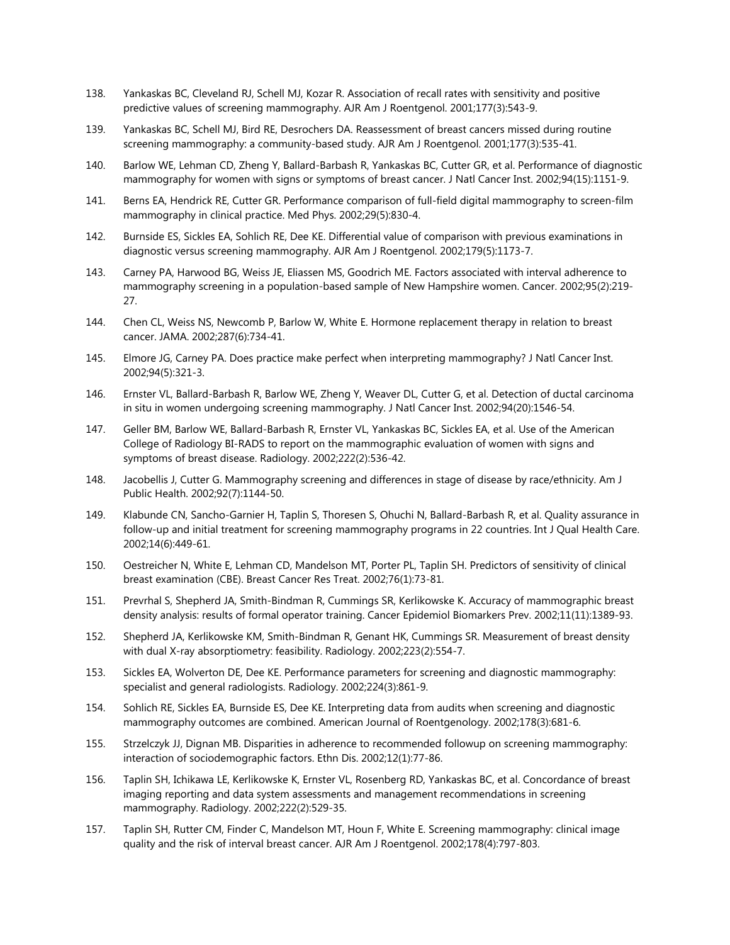- 138. Yankaskas BC, Cleveland RJ, Schell MJ, Kozar R. Association of recall rates with sensitivity and positive predictive values of screening mammography. AJR Am J Roentgenol. 2001;177(3):543-9.
- 139. Yankaskas BC, Schell MJ, Bird RE, Desrochers DA. Reassessment of breast cancers missed during routine screening mammography: a community-based study. AJR Am J Roentgenol. 2001;177(3):535-41.
- 140. Barlow WE, Lehman CD, Zheng Y, Ballard-Barbash R, Yankaskas BC, Cutter GR, et al. Performance of diagnostic mammography for women with signs or symptoms of breast cancer. J Natl Cancer Inst. 2002;94(15):1151-9.
- 141. Berns EA, Hendrick RE, Cutter GR. Performance comparison of full-field digital mammography to screen-film mammography in clinical practice. Med Phys. 2002;29(5):830-4.
- 142. Burnside ES, Sickles EA, Sohlich RE, Dee KE. Differential value of comparison with previous examinations in diagnostic versus screening mammography. AJR Am J Roentgenol. 2002;179(5):1173-7.
- 143. Carney PA, Harwood BG, Weiss JE, Eliassen MS, Goodrich ME. Factors associated with interval adherence to mammography screening in a population-based sample of New Hampshire women. Cancer. 2002;95(2):219- 27.
- 144. Chen CL, Weiss NS, Newcomb P, Barlow W, White E. Hormone replacement therapy in relation to breast cancer. JAMA. 2002;287(6):734-41.
- 145. Elmore JG, Carney PA. Does practice make perfect when interpreting mammography? J Natl Cancer Inst. 2002;94(5):321-3.
- 146. Ernster VL, Ballard-Barbash R, Barlow WE, Zheng Y, Weaver DL, Cutter G, et al. Detection of ductal carcinoma in situ in women undergoing screening mammography. J Natl Cancer Inst. 2002;94(20):1546-54.
- 147. Geller BM, Barlow WE, Ballard-Barbash R, Ernster VL, Yankaskas BC, Sickles EA, et al. Use of the American College of Radiology BI-RADS to report on the mammographic evaluation of women with signs and symptoms of breast disease. Radiology. 2002;222(2):536-42.
- 148. Jacobellis J, Cutter G. Mammography screening and differences in stage of disease by race/ethnicity. Am J Public Health. 2002;92(7):1144-50.
- 149. Klabunde CN, Sancho-Garnier H, Taplin S, Thoresen S, Ohuchi N, Ballard-Barbash R, et al. Quality assurance in follow-up and initial treatment for screening mammography programs in 22 countries. Int J Qual Health Care. 2002;14(6):449-61.
- 150. Oestreicher N, White E, Lehman CD, Mandelson MT, Porter PL, Taplin SH. Predictors of sensitivity of clinical breast examination (CBE). Breast Cancer Res Treat. 2002;76(1):73-81.
- 151. Prevrhal S, Shepherd JA, Smith-Bindman R, Cummings SR, Kerlikowske K. Accuracy of mammographic breast density analysis: results of formal operator training. Cancer Epidemiol Biomarkers Prev. 2002;11(11):1389-93.
- 152. Shepherd JA, Kerlikowske KM, Smith-Bindman R, Genant HK, Cummings SR. Measurement of breast density with dual X-ray absorptiometry: feasibility. Radiology. 2002;223(2):554-7.
- 153. Sickles EA, Wolverton DE, Dee KE. Performance parameters for screening and diagnostic mammography: specialist and general radiologists. Radiology. 2002;224(3):861-9.
- 154. Sohlich RE, Sickles EA, Burnside ES, Dee KE. Interpreting data from audits when screening and diagnostic mammography outcomes are combined. American Journal of Roentgenology. 2002;178(3):681-6.
- 155. Strzelczyk JJ, Dignan MB. Disparities in adherence to recommended followup on screening mammography: interaction of sociodemographic factors. Ethn Dis. 2002;12(1):77-86.
- 156. Taplin SH, Ichikawa LE, Kerlikowske K, Ernster VL, Rosenberg RD, Yankaskas BC, et al. Concordance of breast imaging reporting and data system assessments and management recommendations in screening mammography. Radiology. 2002;222(2):529-35.
- 157. Taplin SH, Rutter CM, Finder C, Mandelson MT, Houn F, White E. Screening mammography: clinical image quality and the risk of interval breast cancer. AJR Am J Roentgenol. 2002;178(4):797-803.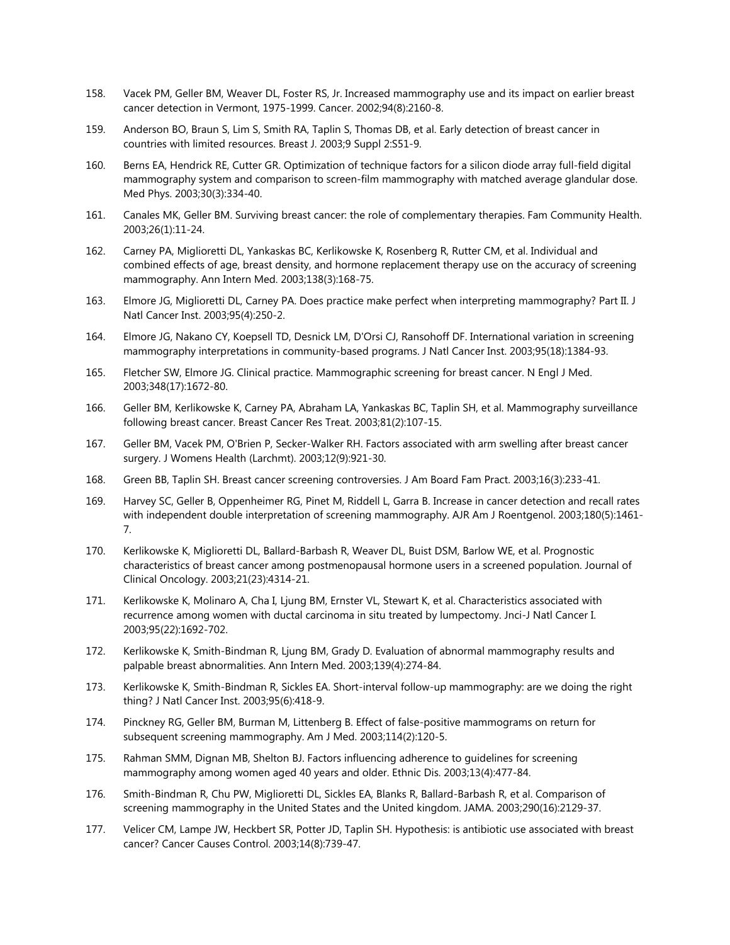- 158. Vacek PM, Geller BM, Weaver DL, Foster RS, Jr. Increased mammography use and its impact on earlier breast cancer detection in Vermont, 1975-1999. Cancer. 2002;94(8):2160-8.
- 159. Anderson BO, Braun S, Lim S, Smith RA, Taplin S, Thomas DB, et al. Early detection of breast cancer in countries with limited resources. Breast J. 2003;9 Suppl 2:S51-9.
- 160. Berns EA, Hendrick RE, Cutter GR. Optimization of technique factors for a silicon diode array full-field digital mammography system and comparison to screen-film mammography with matched average glandular dose. Med Phys. 2003;30(3):334-40.
- 161. Canales MK, Geller BM. Surviving breast cancer: the role of complementary therapies. Fam Community Health. 2003;26(1):11-24.
- 162. Carney PA, Miglioretti DL, Yankaskas BC, Kerlikowske K, Rosenberg R, Rutter CM, et al. Individual and combined effects of age, breast density, and hormone replacement therapy use on the accuracy of screening mammography. Ann Intern Med. 2003;138(3):168-75.
- 163. Elmore JG, Miglioretti DL, Carney PA. Does practice make perfect when interpreting mammography? Part II. J Natl Cancer Inst. 2003;95(4):250-2.
- 164. Elmore JG, Nakano CY, Koepsell TD, Desnick LM, D'Orsi CJ, Ransohoff DF. International variation in screening mammography interpretations in community-based programs. J Natl Cancer Inst. 2003;95(18):1384-93.
- 165. Fletcher SW, Elmore JG. Clinical practice. Mammographic screening for breast cancer. N Engl J Med. 2003;348(17):1672-80.
- 166. Geller BM, Kerlikowske K, Carney PA, Abraham LA, Yankaskas BC, Taplin SH, et al. Mammography surveillance following breast cancer. Breast Cancer Res Treat. 2003;81(2):107-15.
- 167. Geller BM, Vacek PM, O'Brien P, Secker-Walker RH. Factors associated with arm swelling after breast cancer surgery. J Womens Health (Larchmt). 2003;12(9):921-30.
- 168. Green BB, Taplin SH. Breast cancer screening controversies. J Am Board Fam Pract. 2003;16(3):233-41.
- 169. Harvey SC, Geller B, Oppenheimer RG, Pinet M, Riddell L, Garra B. Increase in cancer detection and recall rates with independent double interpretation of screening mammography. AJR Am J Roentgenol. 2003;180(5):1461- 7.
- 170. Kerlikowske K, Miglioretti DL, Ballard-Barbash R, Weaver DL, Buist DSM, Barlow WE, et al. Prognostic characteristics of breast cancer among postmenopausal hormone users in a screened population. Journal of Clinical Oncology. 2003;21(23):4314-21.
- 171. Kerlikowske K, Molinaro A, Cha I, Ljung BM, Ernster VL, Stewart K, et al. Characteristics associated with recurrence among women with ductal carcinoma in situ treated by lumpectomy. Jnci-J Natl Cancer I. 2003;95(22):1692-702.
- 172. Kerlikowske K, Smith-Bindman R, Ljung BM, Grady D. Evaluation of abnormal mammography results and palpable breast abnormalities. Ann Intern Med. 2003;139(4):274-84.
- 173. Kerlikowske K, Smith-Bindman R, Sickles EA. Short-interval follow-up mammography: are we doing the right thing? J Natl Cancer Inst. 2003;95(6):418-9.
- 174. Pinckney RG, Geller BM, Burman M, Littenberg B. Effect of false-positive mammograms on return for subsequent screening mammography. Am J Med. 2003;114(2):120-5.
- 175. Rahman SMM, Dignan MB, Shelton BJ. Factors influencing adherence to guidelines for screening mammography among women aged 40 years and older. Ethnic Dis. 2003;13(4):477-84.
- 176. Smith-Bindman R, Chu PW, Miglioretti DL, Sickles EA, Blanks R, Ballard-Barbash R, et al. Comparison of screening mammography in the United States and the United kingdom. JAMA. 2003;290(16):2129-37.
- 177. Velicer CM, Lampe JW, Heckbert SR, Potter JD, Taplin SH. Hypothesis: is antibiotic use associated with breast cancer? Cancer Causes Control. 2003;14(8):739-47.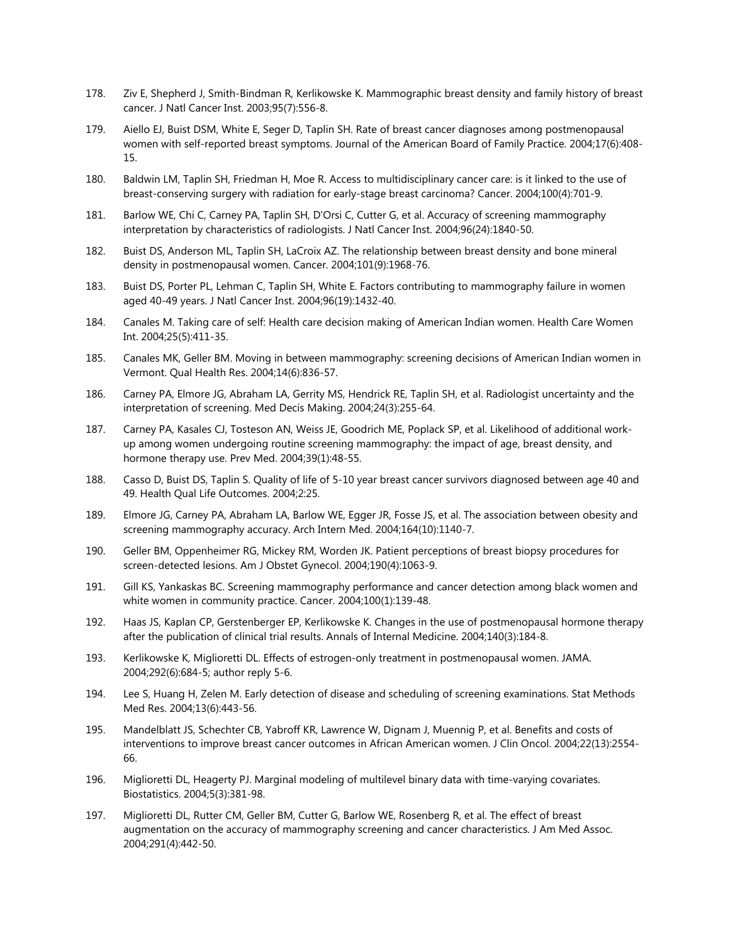- 178. Ziv E, Shepherd J, Smith-Bindman R, Kerlikowske K. Mammographic breast density and family history of breast cancer. J Natl Cancer Inst. 2003;95(7):556-8.
- 179. Aiello EJ, Buist DSM, White E, Seger D, Taplin SH. Rate of breast cancer diagnoses among postmenopausal women with self-reported breast symptoms. Journal of the American Board of Family Practice. 2004;17(6):408- 15.
- 180. Baldwin LM, Taplin SH, Friedman H, Moe R. Access to multidisciplinary cancer care: is it linked to the use of breast-conserving surgery with radiation for early-stage breast carcinoma? Cancer. 2004;100(4):701-9.
- 181. Barlow WE, Chi C, Carney PA, Taplin SH, D'Orsi C, Cutter G, et al. Accuracy of screening mammography interpretation by characteristics of radiologists. J Natl Cancer Inst. 2004;96(24):1840-50.
- 182. Buist DS, Anderson ML, Taplin SH, LaCroix AZ. The relationship between breast density and bone mineral density in postmenopausal women. Cancer. 2004;101(9):1968-76.
- 183. Buist DS, Porter PL, Lehman C, Taplin SH, White E. Factors contributing to mammography failure in women aged 40-49 years. J Natl Cancer Inst. 2004;96(19):1432-40.
- 184. Canales M. Taking care of self: Health care decision making of American Indian women. Health Care Women Int. 2004;25(5):411-35.
- 185. Canales MK, Geller BM. Moving in between mammography: screening decisions of American Indian women in Vermont. Qual Health Res. 2004;14(6):836-57.
- 186. Carney PA, Elmore JG, Abraham LA, Gerrity MS, Hendrick RE, Taplin SH, et al. Radiologist uncertainty and the interpretation of screening. Med Decis Making. 2004;24(3):255-64.
- 187. Carney PA, Kasales CJ, Tosteson AN, Weiss JE, Goodrich ME, Poplack SP, et al. Likelihood of additional workup among women undergoing routine screening mammography: the impact of age, breast density, and hormone therapy use. Prev Med. 2004;39(1):48-55.
- 188. Casso D, Buist DS, Taplin S. Quality of life of 5-10 year breast cancer survivors diagnosed between age 40 and 49. Health Qual Life Outcomes. 2004;2:25.
- 189. Elmore JG, Carney PA, Abraham LA, Barlow WE, Egger JR, Fosse JS, et al. The association between obesity and screening mammography accuracy. Arch Intern Med. 2004;164(10):1140-7.
- 190. Geller BM, Oppenheimer RG, Mickey RM, Worden JK. Patient perceptions of breast biopsy procedures for screen-detected lesions. Am J Obstet Gynecol. 2004;190(4):1063-9.
- 191. Gill KS, Yankaskas BC. Screening mammography performance and cancer detection among black women and white women in community practice. Cancer. 2004;100(1):139-48.
- 192. Haas JS, Kaplan CP, Gerstenberger EP, Kerlikowske K. Changes in the use of postmenopausal hormone therapy after the publication of clinical trial results. Annals of Internal Medicine. 2004;140(3):184-8.
- 193. Kerlikowske K, Miglioretti DL. Effects of estrogen-only treatment in postmenopausal women. JAMA. 2004;292(6):684-5; author reply 5-6.
- 194. Lee S, Huang H, Zelen M. Early detection of disease and scheduling of screening examinations. Stat Methods Med Res. 2004;13(6):443-56.
- 195. Mandelblatt JS, Schechter CB, Yabroff KR, Lawrence W, Dignam J, Muennig P, et al. Benefits and costs of interventions to improve breast cancer outcomes in African American women. J Clin Oncol. 2004;22(13):2554- 66.
- 196. Miglioretti DL, Heagerty PJ. Marginal modeling of multilevel binary data with time-varying covariates. Biostatistics. 2004;5(3):381-98.
- 197. Miglioretti DL, Rutter CM, Geller BM, Cutter G, Barlow WE, Rosenberg R, et al. The effect of breast augmentation on the accuracy of mammography screening and cancer characteristics. J Am Med Assoc. 2004;291(4):442-50.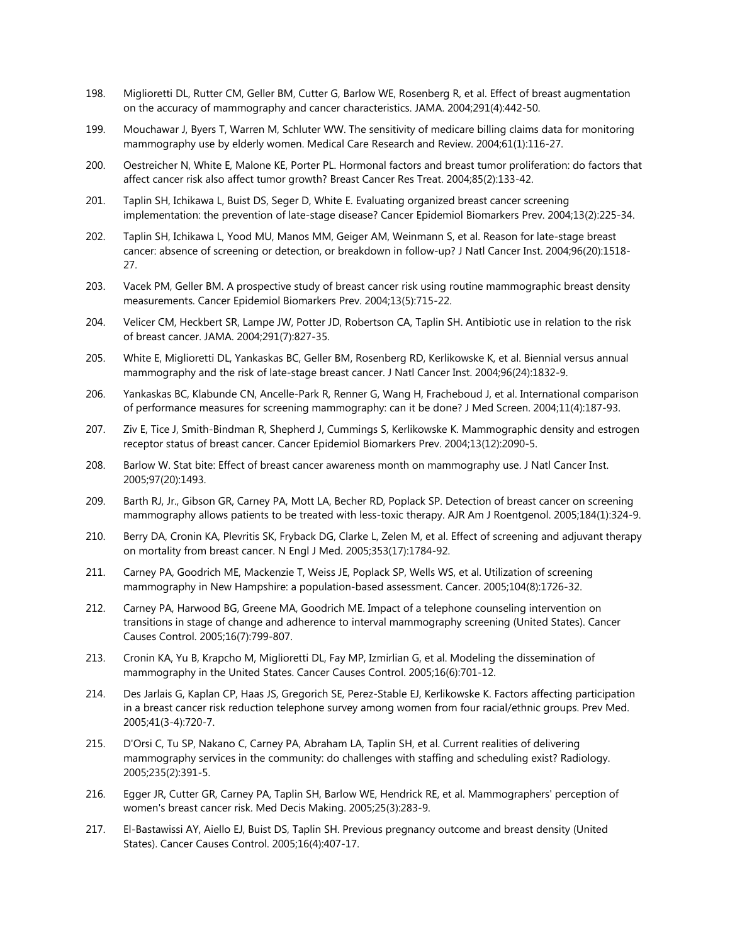- 198. Miglioretti DL, Rutter CM, Geller BM, Cutter G, Barlow WE, Rosenberg R, et al. Effect of breast augmentation on the accuracy of mammography and cancer characteristics. JAMA. 2004;291(4):442-50.
- 199. Mouchawar J, Byers T, Warren M, Schluter WW. The sensitivity of medicare billing claims data for monitoring mammography use by elderly women. Medical Care Research and Review. 2004;61(1):116-27.
- 200. Oestreicher N, White E, Malone KE, Porter PL. Hormonal factors and breast tumor proliferation: do factors that affect cancer risk also affect tumor growth? Breast Cancer Res Treat. 2004;85(2):133-42.
- 201. Taplin SH, Ichikawa L, Buist DS, Seger D, White E. Evaluating organized breast cancer screening implementation: the prevention of late-stage disease? Cancer Epidemiol Biomarkers Prev. 2004;13(2):225-34.
- 202. Taplin SH, Ichikawa L, Yood MU, Manos MM, Geiger AM, Weinmann S, et al. Reason for late-stage breast cancer: absence of screening or detection, or breakdown in follow-up? J Natl Cancer Inst. 2004;96(20):1518- 27.
- 203. Vacek PM, Geller BM. A prospective study of breast cancer risk using routine mammographic breast density measurements. Cancer Epidemiol Biomarkers Prev. 2004;13(5):715-22.
- 204. Velicer CM, Heckbert SR, Lampe JW, Potter JD, Robertson CA, Taplin SH. Antibiotic use in relation to the risk of breast cancer. JAMA. 2004;291(7):827-35.
- 205. White E, Miglioretti DL, Yankaskas BC, Geller BM, Rosenberg RD, Kerlikowske K, et al. Biennial versus annual mammography and the risk of late-stage breast cancer. J Natl Cancer Inst. 2004;96(24):1832-9.
- 206. Yankaskas BC, Klabunde CN, Ancelle-Park R, Renner G, Wang H, Fracheboud J, et al. International comparison of performance measures for screening mammography: can it be done? J Med Screen. 2004;11(4):187-93.
- 207. Ziv E, Tice J, Smith-Bindman R, Shepherd J, Cummings S, Kerlikowske K. Mammographic density and estrogen receptor status of breast cancer. Cancer Epidemiol Biomarkers Prev. 2004;13(12):2090-5.
- 208. Barlow W. Stat bite: Effect of breast cancer awareness month on mammography use. J Natl Cancer Inst. 2005;97(20):1493.
- 209. Barth RJ, Jr., Gibson GR, Carney PA, Mott LA, Becher RD, Poplack SP. Detection of breast cancer on screening mammography allows patients to be treated with less-toxic therapy. AJR Am J Roentgenol. 2005;184(1):324-9.
- 210. Berry DA, Cronin KA, Plevritis SK, Fryback DG, Clarke L, Zelen M, et al. Effect of screening and adjuvant therapy on mortality from breast cancer. N Engl J Med. 2005;353(17):1784-92.
- 211. Carney PA, Goodrich ME, Mackenzie T, Weiss JE, Poplack SP, Wells WS, et al. Utilization of screening mammography in New Hampshire: a population-based assessment. Cancer. 2005;104(8):1726-32.
- 212. Carney PA, Harwood BG, Greene MA, Goodrich ME. Impact of a telephone counseling intervention on transitions in stage of change and adherence to interval mammography screening (United States). Cancer Causes Control. 2005;16(7):799-807.
- 213. Cronin KA, Yu B, Krapcho M, Miglioretti DL, Fay MP, Izmirlian G, et al. Modeling the dissemination of mammography in the United States. Cancer Causes Control. 2005;16(6):701-12.
- 214. Des Jarlais G, Kaplan CP, Haas JS, Gregorich SE, Perez-Stable EJ, Kerlikowske K. Factors affecting participation in a breast cancer risk reduction telephone survey among women from four racial/ethnic groups. Prev Med. 2005;41(3-4):720-7.
- 215. D'Orsi C, Tu SP, Nakano C, Carney PA, Abraham LA, Taplin SH, et al. Current realities of delivering mammography services in the community: do challenges with staffing and scheduling exist? Radiology. 2005;235(2):391-5.
- 216. Egger JR, Cutter GR, Carney PA, Taplin SH, Barlow WE, Hendrick RE, et al. Mammographers' perception of women's breast cancer risk. Med Decis Making. 2005;25(3):283-9.
- 217. El-Bastawissi AY, Aiello EJ, Buist DS, Taplin SH. Previous pregnancy outcome and breast density (United States). Cancer Causes Control. 2005;16(4):407-17.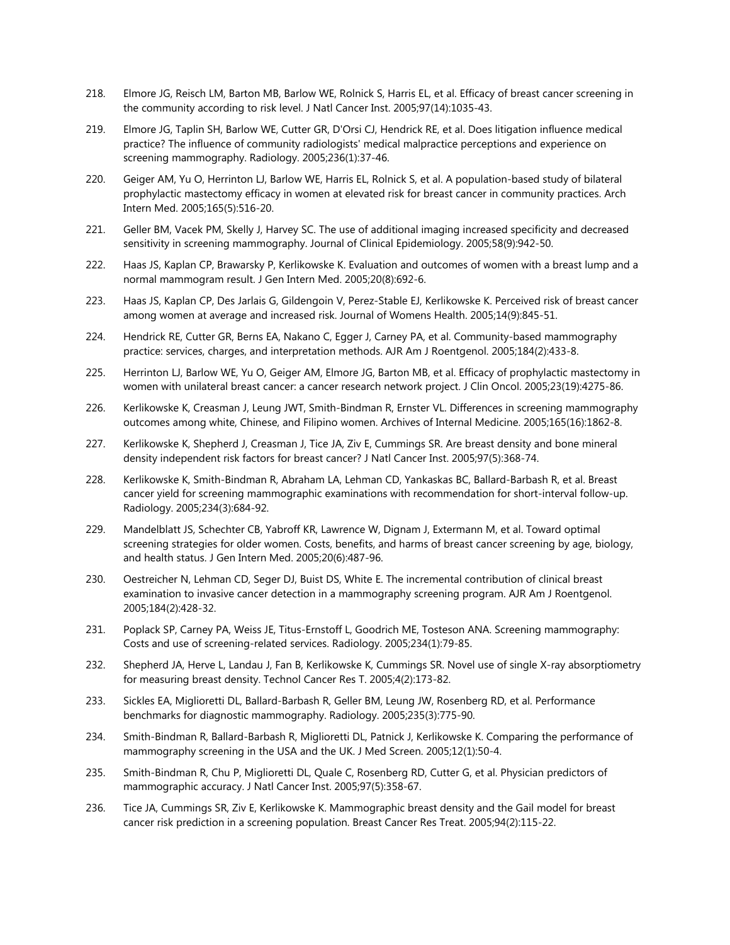- 218. Elmore JG, Reisch LM, Barton MB, Barlow WE, Rolnick S, Harris EL, et al. Efficacy of breast cancer screening in the community according to risk level. J Natl Cancer Inst. 2005;97(14):1035-43.
- 219. Elmore JG, Taplin SH, Barlow WE, Cutter GR, D'Orsi CJ, Hendrick RE, et al. Does litigation influence medical practice? The influence of community radiologists' medical malpractice perceptions and experience on screening mammography. Radiology. 2005;236(1):37-46.
- 220. Geiger AM, Yu O, Herrinton LJ, Barlow WE, Harris EL, Rolnick S, et al. A population-based study of bilateral prophylactic mastectomy efficacy in women at elevated risk for breast cancer in community practices. Arch Intern Med. 2005;165(5):516-20.
- 221. Geller BM, Vacek PM, Skelly J, Harvey SC. The use of additional imaging increased specificity and decreased sensitivity in screening mammography. Journal of Clinical Epidemiology. 2005;58(9):942-50.
- 222. Haas JS, Kaplan CP, Brawarsky P, Kerlikowske K. Evaluation and outcomes of women with a breast lump and a normal mammogram result. J Gen Intern Med. 2005;20(8):692-6.
- 223. Haas JS, Kaplan CP, Des Jarlais G, Gildengoin V, Perez-Stable EJ, Kerlikowske K. Perceived risk of breast cancer among women at average and increased risk. Journal of Womens Health. 2005;14(9):845-51.
- 224. Hendrick RE, Cutter GR, Berns EA, Nakano C, Egger J, Carney PA, et al. Community-based mammography practice: services, charges, and interpretation methods. AJR Am J Roentgenol. 2005;184(2):433-8.
- 225. Herrinton LJ, Barlow WE, Yu O, Geiger AM, Elmore JG, Barton MB, et al. Efficacy of prophylactic mastectomy in women with unilateral breast cancer: a cancer research network project. J Clin Oncol. 2005;23(19):4275-86.
- 226. Kerlikowske K, Creasman J, Leung JWT, Smith-Bindman R, Ernster VL. Differences in screening mammography outcomes among white, Chinese, and Filipino women. Archives of Internal Medicine. 2005;165(16):1862-8.
- 227. Kerlikowske K, Shepherd J, Creasman J, Tice JA, Ziv E, Cummings SR. Are breast density and bone mineral density independent risk factors for breast cancer? J Natl Cancer Inst. 2005;97(5):368-74.
- 228. Kerlikowske K, Smith-Bindman R, Abraham LA, Lehman CD, Yankaskas BC, Ballard-Barbash R, et al. Breast cancer yield for screening mammographic examinations with recommendation for short-interval follow-up. Radiology. 2005;234(3):684-92.
- 229. Mandelblatt JS, Schechter CB, Yabroff KR, Lawrence W, Dignam J, Extermann M, et al. Toward optimal screening strategies for older women. Costs, benefits, and harms of breast cancer screening by age, biology, and health status. J Gen Intern Med. 2005;20(6):487-96.
- 230. Oestreicher N, Lehman CD, Seger DJ, Buist DS, White E. The incremental contribution of clinical breast examination to invasive cancer detection in a mammography screening program. AJR Am J Roentgenol. 2005;184(2):428-32.
- 231. Poplack SP, Carney PA, Weiss JE, Titus-Ernstoff L, Goodrich ME, Tosteson ANA. Screening mammography: Costs and use of screening-related services. Radiology. 2005;234(1):79-85.
- 232. Shepherd JA, Herve L, Landau J, Fan B, Kerlikowske K, Cummings SR. Novel use of single X-ray absorptiometry for measuring breast density. Technol Cancer Res T. 2005;4(2):173-82.
- 233. Sickles EA, Miglioretti DL, Ballard-Barbash R, Geller BM, Leung JW, Rosenberg RD, et al. Performance benchmarks for diagnostic mammography. Radiology. 2005;235(3):775-90.
- 234. Smith-Bindman R, Ballard-Barbash R, Miglioretti DL, Patnick J, Kerlikowske K. Comparing the performance of mammography screening in the USA and the UK. J Med Screen. 2005;12(1):50-4.
- 235. Smith-Bindman R, Chu P, Miglioretti DL, Quale C, Rosenberg RD, Cutter G, et al. Physician predictors of mammographic accuracy. J Natl Cancer Inst. 2005;97(5):358-67.
- 236. Tice JA, Cummings SR, Ziv E, Kerlikowske K. Mammographic breast density and the Gail model for breast cancer risk prediction in a screening population. Breast Cancer Res Treat. 2005;94(2):115-22.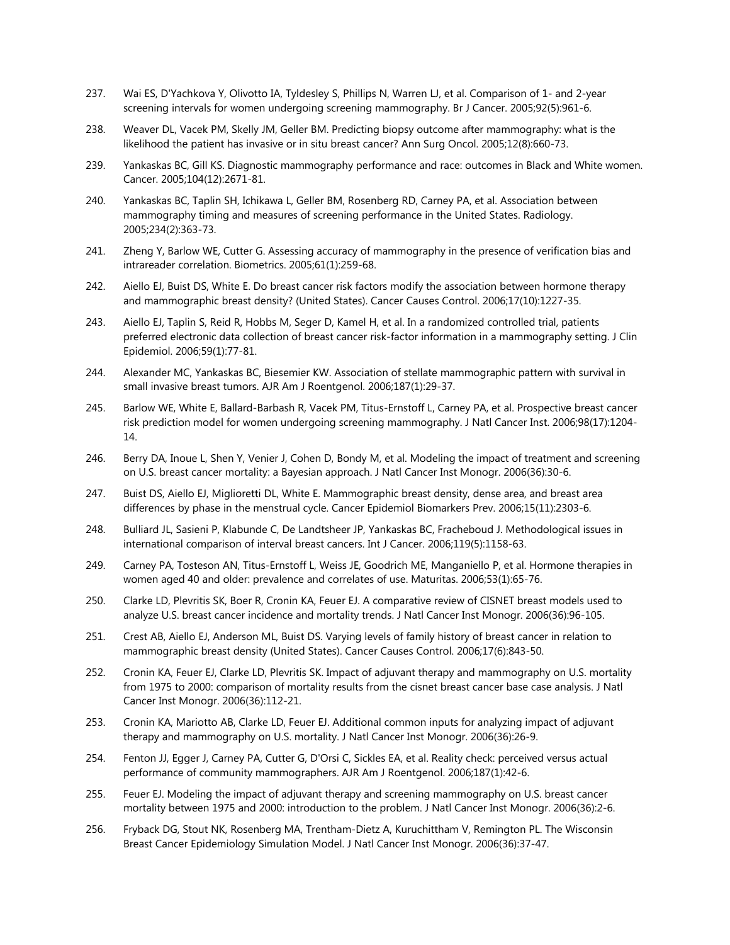- 237. Wai ES, D'Yachkova Y, Olivotto IA, Tyldesley S, Phillips N, Warren LJ, et al. Comparison of 1- and 2-year screening intervals for women undergoing screening mammography. Br J Cancer. 2005;92(5):961-6.
- 238. Weaver DL, Vacek PM, Skelly JM, Geller BM. Predicting biopsy outcome after mammography: what is the likelihood the patient has invasive or in situ breast cancer? Ann Surg Oncol. 2005;12(8):660-73.
- 239. Yankaskas BC, Gill KS. Diagnostic mammography performance and race: outcomes in Black and White women. Cancer. 2005;104(12):2671-81.
- 240. Yankaskas BC, Taplin SH, Ichikawa L, Geller BM, Rosenberg RD, Carney PA, et al. Association between mammography timing and measures of screening performance in the United States. Radiology. 2005;234(2):363-73.
- 241. Zheng Y, Barlow WE, Cutter G. Assessing accuracy of mammography in the presence of verification bias and intrareader correlation. Biometrics. 2005;61(1):259-68.
- 242. Aiello EJ, Buist DS, White E. Do breast cancer risk factors modify the association between hormone therapy and mammographic breast density? (United States). Cancer Causes Control. 2006;17(10):1227-35.
- 243. Aiello EJ, Taplin S, Reid R, Hobbs M, Seger D, Kamel H, et al. In a randomized controlled trial, patients preferred electronic data collection of breast cancer risk-factor information in a mammography setting. J Clin Epidemiol. 2006;59(1):77-81.
- 244. Alexander MC, Yankaskas BC, Biesemier KW. Association of stellate mammographic pattern with survival in small invasive breast tumors. AJR Am J Roentgenol. 2006;187(1):29-37.
- 245. Barlow WE, White E, Ballard-Barbash R, Vacek PM, Titus-Ernstoff L, Carney PA, et al. Prospective breast cancer risk prediction model for women undergoing screening mammography. J Natl Cancer Inst. 2006;98(17):1204- 14.
- 246. Berry DA, Inoue L, Shen Y, Venier J, Cohen D, Bondy M, et al. Modeling the impact of treatment and screening on U.S. breast cancer mortality: a Bayesian approach. J Natl Cancer Inst Monogr. 2006(36):30-6.
- 247. Buist DS, Aiello EJ, Miglioretti DL, White E. Mammographic breast density, dense area, and breast area differences by phase in the menstrual cycle. Cancer Epidemiol Biomarkers Prev. 2006;15(11):2303-6.
- 248. Bulliard JL, Sasieni P, Klabunde C, De Landtsheer JP, Yankaskas BC, Fracheboud J. Methodological issues in international comparison of interval breast cancers. Int J Cancer. 2006;119(5):1158-63.
- 249. Carney PA, Tosteson AN, Titus-Ernstoff L, Weiss JE, Goodrich ME, Manganiello P, et al. Hormone therapies in women aged 40 and older: prevalence and correlates of use. Maturitas. 2006;53(1):65-76.
- 250. Clarke LD, Plevritis SK, Boer R, Cronin KA, Feuer EJ. A comparative review of CISNET breast models used to analyze U.S. breast cancer incidence and mortality trends. J Natl Cancer Inst Monogr. 2006(36):96-105.
- 251. Crest AB, Aiello EJ, Anderson ML, Buist DS. Varying levels of family history of breast cancer in relation to mammographic breast density (United States). Cancer Causes Control. 2006;17(6):843-50.
- 252. Cronin KA, Feuer EJ, Clarke LD, Plevritis SK. Impact of adjuvant therapy and mammography on U.S. mortality from 1975 to 2000: comparison of mortality results from the cisnet breast cancer base case analysis. J Natl Cancer Inst Monogr. 2006(36):112-21.
- 253. Cronin KA, Mariotto AB, Clarke LD, Feuer EJ. Additional common inputs for analyzing impact of adjuvant therapy and mammography on U.S. mortality. J Natl Cancer Inst Monogr. 2006(36):26-9.
- 254. Fenton JJ, Egger J, Carney PA, Cutter G, D'Orsi C, Sickles EA, et al. Reality check: perceived versus actual performance of community mammographers. AJR Am J Roentgenol. 2006;187(1):42-6.
- 255. Feuer EJ. Modeling the impact of adjuvant therapy and screening mammography on U.S. breast cancer mortality between 1975 and 2000: introduction to the problem. J Natl Cancer Inst Monogr. 2006(36):2-6.
- 256. Fryback DG, Stout NK, Rosenberg MA, Trentham-Dietz A, Kuruchittham V, Remington PL. The Wisconsin Breast Cancer Epidemiology Simulation Model. J Natl Cancer Inst Monogr. 2006(36):37-47.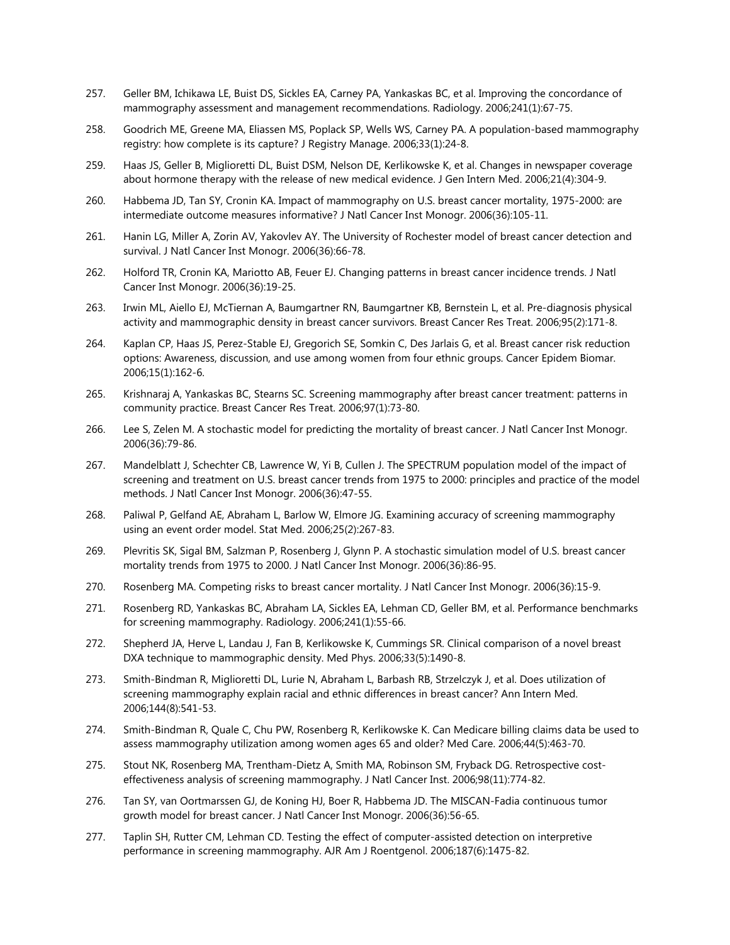- 257. Geller BM, Ichikawa LE, Buist DS, Sickles EA, Carney PA, Yankaskas BC, et al. Improving the concordance of mammography assessment and management recommendations. Radiology. 2006;241(1):67-75.
- 258. Goodrich ME, Greene MA, Eliassen MS, Poplack SP, Wells WS, Carney PA. A population-based mammography registry: how complete is its capture? J Registry Manage. 2006;33(1):24-8.
- 259. Haas JS, Geller B, Miglioretti DL, Buist DSM, Nelson DE, Kerlikowske K, et al. Changes in newspaper coverage about hormone therapy with the release of new medical evidence. J Gen Intern Med. 2006;21(4):304-9.
- 260. Habbema JD, Tan SY, Cronin KA. Impact of mammography on U.S. breast cancer mortality, 1975-2000: are intermediate outcome measures informative? J Natl Cancer Inst Monogr. 2006(36):105-11.
- 261. Hanin LG, Miller A, Zorin AV, Yakovlev AY. The University of Rochester model of breast cancer detection and survival. J Natl Cancer Inst Monogr. 2006(36):66-78.
- 262. Holford TR, Cronin KA, Mariotto AB, Feuer EJ. Changing patterns in breast cancer incidence trends. J Natl Cancer Inst Monogr. 2006(36):19-25.
- 263. Irwin ML, Aiello EJ, McTiernan A, Baumgartner RN, Baumgartner KB, Bernstein L, et al. Pre-diagnosis physical activity and mammographic density in breast cancer survivors. Breast Cancer Res Treat. 2006;95(2):171-8.
- 264. Kaplan CP, Haas JS, Perez-Stable EJ, Gregorich SE, Somkin C, Des Jarlais G, et al. Breast cancer risk reduction options: Awareness, discussion, and use among women from four ethnic groups. Cancer Epidem Biomar. 2006;15(1):162-6.
- 265. Krishnaraj A, Yankaskas BC, Stearns SC. Screening mammography after breast cancer treatment: patterns in community practice. Breast Cancer Res Treat. 2006;97(1):73-80.
- 266. Lee S, Zelen M. A stochastic model for predicting the mortality of breast cancer. J Natl Cancer Inst Monogr. 2006(36):79-86.
- 267. Mandelblatt J, Schechter CB, Lawrence W, Yi B, Cullen J. The SPECTRUM population model of the impact of screening and treatment on U.S. breast cancer trends from 1975 to 2000: principles and practice of the model methods. J Natl Cancer Inst Monogr. 2006(36):47-55.
- 268. Paliwal P, Gelfand AE, Abraham L, Barlow W, Elmore JG. Examining accuracy of screening mammography using an event order model. Stat Med. 2006;25(2):267-83.
- 269. Plevritis SK, Sigal BM, Salzman P, Rosenberg J, Glynn P. A stochastic simulation model of U.S. breast cancer mortality trends from 1975 to 2000. J Natl Cancer Inst Monogr. 2006(36):86-95.
- 270. Rosenberg MA. Competing risks to breast cancer mortality. J Natl Cancer Inst Monogr. 2006(36):15-9.
- 271. Rosenberg RD, Yankaskas BC, Abraham LA, Sickles EA, Lehman CD, Geller BM, et al. Performance benchmarks for screening mammography. Radiology. 2006;241(1):55-66.
- 272. Shepherd JA, Herve L, Landau J, Fan B, Kerlikowske K, Cummings SR. Clinical comparison of a novel breast DXA technique to mammographic density. Med Phys. 2006;33(5):1490-8.
- 273. Smith-Bindman R, Miglioretti DL, Lurie N, Abraham L, Barbash RB, Strzelczyk J, et al. Does utilization of screening mammography explain racial and ethnic differences in breast cancer? Ann Intern Med. 2006;144(8):541-53.
- 274. Smith-Bindman R, Quale C, Chu PW, Rosenberg R, Kerlikowske K. Can Medicare billing claims data be used to assess mammography utilization among women ages 65 and older? Med Care. 2006;44(5):463-70.
- 275. Stout NK, Rosenberg MA, Trentham-Dietz A, Smith MA, Robinson SM, Fryback DG. Retrospective costeffectiveness analysis of screening mammography. J Natl Cancer Inst. 2006;98(11):774-82.
- 276. Tan SY, van Oortmarssen GJ, de Koning HJ, Boer R, Habbema JD. The MISCAN-Fadia continuous tumor growth model for breast cancer. J Natl Cancer Inst Monogr. 2006(36):56-65.
- 277. Taplin SH, Rutter CM, Lehman CD. Testing the effect of computer-assisted detection on interpretive performance in screening mammography. AJR Am J Roentgenol. 2006;187(6):1475-82.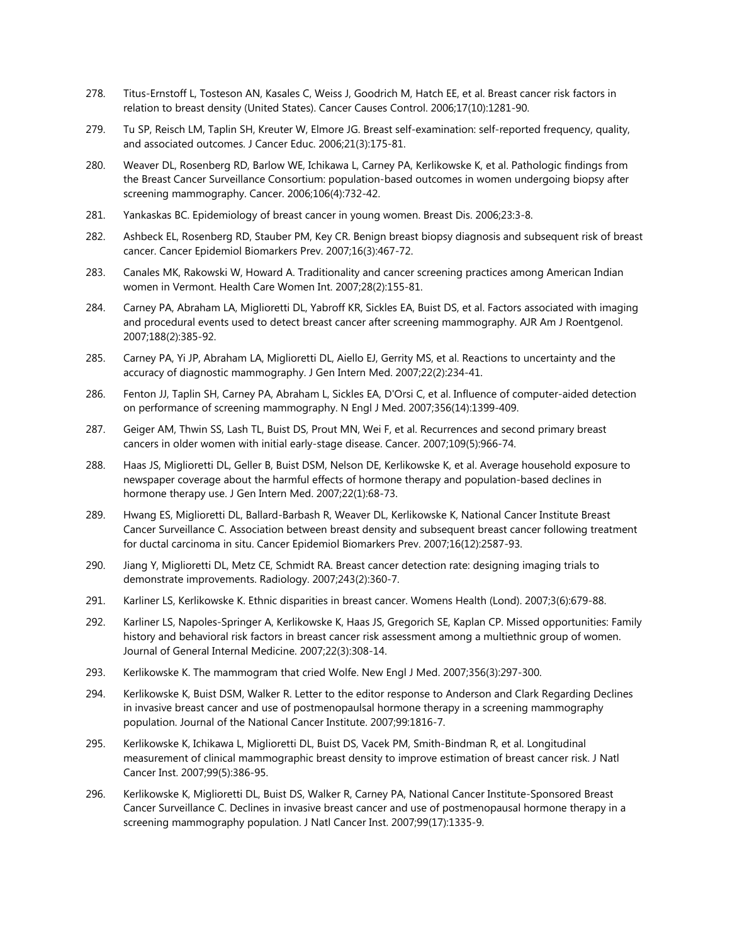- 278. Titus-Ernstoff L, Tosteson AN, Kasales C, Weiss J, Goodrich M, Hatch EE, et al. Breast cancer risk factors in relation to breast density (United States). Cancer Causes Control. 2006;17(10):1281-90.
- 279. Tu SP, Reisch LM, Taplin SH, Kreuter W, Elmore JG. Breast self-examination: self-reported frequency, quality, and associated outcomes. J Cancer Educ. 2006;21(3):175-81.
- 280. Weaver DL, Rosenberg RD, Barlow WE, Ichikawa L, Carney PA, Kerlikowske K, et al. Pathologic findings from the Breast Cancer Surveillance Consortium: population-based outcomes in women undergoing biopsy after screening mammography. Cancer. 2006;106(4):732-42.
- 281. Yankaskas BC. Epidemiology of breast cancer in young women. Breast Dis. 2006;23:3-8.
- 282. Ashbeck EL, Rosenberg RD, Stauber PM, Key CR. Benign breast biopsy diagnosis and subsequent risk of breast cancer. Cancer Epidemiol Biomarkers Prev. 2007;16(3):467-72.
- 283. Canales MK, Rakowski W, Howard A. Traditionality and cancer screening practices among American Indian women in Vermont. Health Care Women Int. 2007;28(2):155-81.
- 284. Carney PA, Abraham LA, Miglioretti DL, Yabroff KR, Sickles EA, Buist DS, et al. Factors associated with imaging and procedural events used to detect breast cancer after screening mammography. AJR Am J Roentgenol. 2007;188(2):385-92.
- 285. Carney PA, Yi JP, Abraham LA, Miglioretti DL, Aiello EJ, Gerrity MS, et al. Reactions to uncertainty and the accuracy of diagnostic mammography. J Gen Intern Med. 2007;22(2):234-41.
- 286. Fenton JJ, Taplin SH, Carney PA, Abraham L, Sickles EA, D'Orsi C, et al. Influence of computer-aided detection on performance of screening mammography. N Engl J Med. 2007;356(14):1399-409.
- 287. Geiger AM, Thwin SS, Lash TL, Buist DS, Prout MN, Wei F, et al. Recurrences and second primary breast cancers in older women with initial early-stage disease. Cancer. 2007;109(5):966-74.
- 288. Haas JS, Miglioretti DL, Geller B, Buist DSM, Nelson DE, Kerlikowske K, et al. Average household exposure to newspaper coverage about the harmful effects of hormone therapy and population-based declines in hormone therapy use. J Gen Intern Med. 2007;22(1):68-73.
- 289. Hwang ES, Miglioretti DL, Ballard-Barbash R, Weaver DL, Kerlikowske K, National Cancer Institute Breast Cancer Surveillance C. Association between breast density and subsequent breast cancer following treatment for ductal carcinoma in situ. Cancer Epidemiol Biomarkers Prev. 2007;16(12):2587-93.
- 290. Jiang Y, Miglioretti DL, Metz CE, Schmidt RA. Breast cancer detection rate: designing imaging trials to demonstrate improvements. Radiology. 2007;243(2):360-7.
- 291. Karliner LS, Kerlikowske K. Ethnic disparities in breast cancer. Womens Health (Lond). 2007;3(6):679-88.
- 292. Karliner LS, Napoles-Springer A, Kerlikowske K, Haas JS, Gregorich SE, Kaplan CP. Missed opportunities: Family history and behavioral risk factors in breast cancer risk assessment among a multiethnic group of women. Journal of General Internal Medicine. 2007;22(3):308-14.
- 293. Kerlikowske K. The mammogram that cried Wolfe. New Engl J Med. 2007;356(3):297-300.
- 294. Kerlikowske K, Buist DSM, Walker R. Letter to the editor response to Anderson and Clark Regarding Declines in invasive breast cancer and use of postmenopaulsal hormone therapy in a screening mammography population. Journal of the National Cancer Institute. 2007;99:1816-7.
- 295. Kerlikowske K, Ichikawa L, Miglioretti DL, Buist DS, Vacek PM, Smith-Bindman R, et al. Longitudinal measurement of clinical mammographic breast density to improve estimation of breast cancer risk. J Natl Cancer Inst. 2007;99(5):386-95.
- 296. Kerlikowske K, Miglioretti DL, Buist DS, Walker R, Carney PA, National Cancer Institute-Sponsored Breast Cancer Surveillance C. Declines in invasive breast cancer and use of postmenopausal hormone therapy in a screening mammography population. J Natl Cancer Inst. 2007;99(17):1335-9.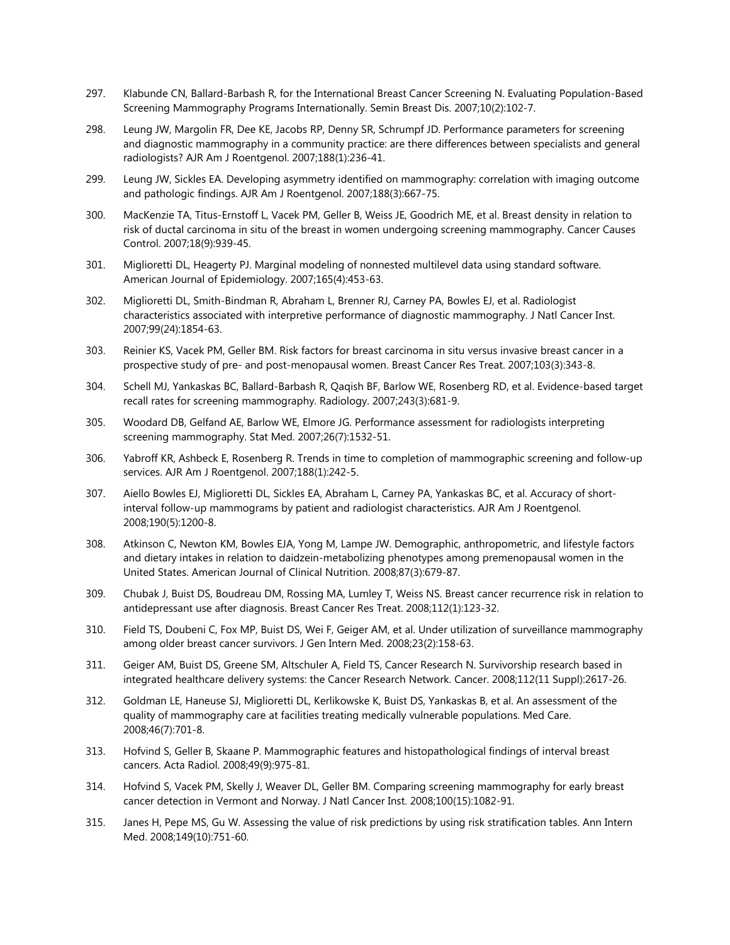- 297. Klabunde CN, Ballard-Barbash R, for the International Breast Cancer Screening N. Evaluating Population-Based Screening Mammography Programs Internationally. Semin Breast Dis. 2007;10(2):102-7.
- 298. Leung JW, Margolin FR, Dee KE, Jacobs RP, Denny SR, Schrumpf JD. Performance parameters for screening and diagnostic mammography in a community practice: are there differences between specialists and general radiologists? AJR Am J Roentgenol. 2007;188(1):236-41.
- 299. Leung JW, Sickles EA. Developing asymmetry identified on mammography: correlation with imaging outcome and pathologic findings. AJR Am J Roentgenol. 2007;188(3):667-75.
- 300. MacKenzie TA, Titus-Ernstoff L, Vacek PM, Geller B, Weiss JE, Goodrich ME, et al. Breast density in relation to risk of ductal carcinoma in situ of the breast in women undergoing screening mammography. Cancer Causes Control. 2007;18(9):939-45.
- 301. Miglioretti DL, Heagerty PJ. Marginal modeling of nonnested multilevel data using standard software. American Journal of Epidemiology. 2007;165(4):453-63.
- 302. Miglioretti DL, Smith-Bindman R, Abraham L, Brenner RJ, Carney PA, Bowles EJ, et al. Radiologist characteristics associated with interpretive performance of diagnostic mammography. J Natl Cancer Inst. 2007;99(24):1854-63.
- 303. Reinier KS, Vacek PM, Geller BM. Risk factors for breast carcinoma in situ versus invasive breast cancer in a prospective study of pre- and post-menopausal women. Breast Cancer Res Treat. 2007;103(3):343-8.
- 304. Schell MJ, Yankaskas BC, Ballard-Barbash R, Qaqish BF, Barlow WE, Rosenberg RD, et al. Evidence-based target recall rates for screening mammography. Radiology. 2007;243(3):681-9.
- 305. Woodard DB, Gelfand AE, Barlow WE, Elmore JG. Performance assessment for radiologists interpreting screening mammography. Stat Med. 2007;26(7):1532-51.
- 306. Yabroff KR, Ashbeck E, Rosenberg R. Trends in time to completion of mammographic screening and follow-up services. AJR Am J Roentgenol. 2007;188(1):242-5.
- 307. Aiello Bowles EJ, Miglioretti DL, Sickles EA, Abraham L, Carney PA, Yankaskas BC, et al. Accuracy of shortinterval follow-up mammograms by patient and radiologist characteristics. AJR Am J Roentgenol. 2008;190(5):1200-8.
- 308. Atkinson C, Newton KM, Bowles EJA, Yong M, Lampe JW. Demographic, anthropometric, and lifestyle factors and dietary intakes in relation to daidzein-metabolizing phenotypes among premenopausal women in the United States. American Journal of Clinical Nutrition. 2008;87(3):679-87.
- 309. Chubak J, Buist DS, Boudreau DM, Rossing MA, Lumley T, Weiss NS. Breast cancer recurrence risk in relation to antidepressant use after diagnosis. Breast Cancer Res Treat. 2008;112(1):123-32.
- 310. Field TS, Doubeni C, Fox MP, Buist DS, Wei F, Geiger AM, et al. Under utilization of surveillance mammography among older breast cancer survivors. J Gen Intern Med. 2008;23(2):158-63.
- 311. Geiger AM, Buist DS, Greene SM, Altschuler A, Field TS, Cancer Research N. Survivorship research based in integrated healthcare delivery systems: the Cancer Research Network. Cancer. 2008;112(11 Suppl):2617-26.
- 312. Goldman LE, Haneuse SJ, Miglioretti DL, Kerlikowske K, Buist DS, Yankaskas B, et al. An assessment of the quality of mammography care at facilities treating medically vulnerable populations. Med Care. 2008;46(7):701-8.
- 313. Hofvind S, Geller B, Skaane P. Mammographic features and histopathological findings of interval breast cancers. Acta Radiol. 2008;49(9):975-81.
- 314. Hofvind S, Vacek PM, Skelly J, Weaver DL, Geller BM. Comparing screening mammography for early breast cancer detection in Vermont and Norway. J Natl Cancer Inst. 2008;100(15):1082-91.
- 315. Janes H, Pepe MS, Gu W. Assessing the value of risk predictions by using risk stratification tables. Ann Intern Med. 2008;149(10):751-60.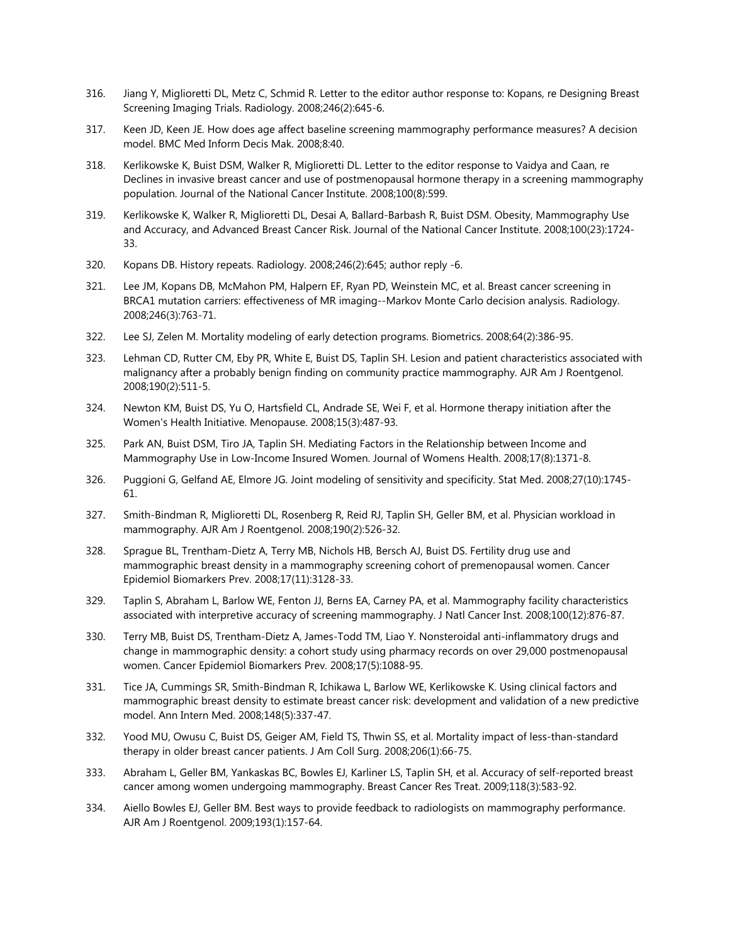- 316. Jiang Y, Miglioretti DL, Metz C, Schmid R. Letter to the editor author response to: Kopans, re Designing Breast Screening Imaging Trials. Radiology. 2008;246(2):645-6.
- 317. Keen JD, Keen JE. How does age affect baseline screening mammography performance measures? A decision model. BMC Med Inform Decis Mak. 2008;8:40.
- 318. Kerlikowske K, Buist DSM, Walker R, Miglioretti DL. Letter to the editor response to Vaidya and Caan, re Declines in invasive breast cancer and use of postmenopausal hormone therapy in a screening mammography population. Journal of the National Cancer Institute. 2008;100(8):599.
- 319. Kerlikowske K, Walker R, Miglioretti DL, Desai A, Ballard-Barbash R, Buist DSM. Obesity, Mammography Use and Accuracy, and Advanced Breast Cancer Risk. Journal of the National Cancer Institute. 2008;100(23):1724- 33.
- 320. Kopans DB. History repeats. Radiology. 2008;246(2):645; author reply -6.
- 321. Lee JM, Kopans DB, McMahon PM, Halpern EF, Ryan PD, Weinstein MC, et al. Breast cancer screening in BRCA1 mutation carriers: effectiveness of MR imaging--Markov Monte Carlo decision analysis. Radiology. 2008;246(3):763-71.
- 322. Lee SJ, Zelen M. Mortality modeling of early detection programs. Biometrics. 2008;64(2):386-95.
- 323. Lehman CD, Rutter CM, Eby PR, White E, Buist DS, Taplin SH. Lesion and patient characteristics associated with malignancy after a probably benign finding on community practice mammography. AJR Am J Roentgenol. 2008;190(2):511-5.
- 324. Newton KM, Buist DS, Yu O, Hartsfield CL, Andrade SE, Wei F, et al. Hormone therapy initiation after the Women's Health Initiative. Menopause. 2008;15(3):487-93.
- 325. Park AN, Buist DSM, Tiro JA, Taplin SH. Mediating Factors in the Relationship between Income and Mammography Use in Low-Income Insured Women. Journal of Womens Health. 2008;17(8):1371-8.
- 326. Puggioni G, Gelfand AE, Elmore JG. Joint modeling of sensitivity and specificity. Stat Med. 2008;27(10):1745- 61.
- 327. Smith-Bindman R, Miglioretti DL, Rosenberg R, Reid RJ, Taplin SH, Geller BM, et al. Physician workload in mammography. AJR Am J Roentgenol. 2008;190(2):526-32.
- 328. Sprague BL, Trentham-Dietz A, Terry MB, Nichols HB, Bersch AJ, Buist DS. Fertility drug use and mammographic breast density in a mammography screening cohort of premenopausal women. Cancer Epidemiol Biomarkers Prev. 2008;17(11):3128-33.
- 329. Taplin S, Abraham L, Barlow WE, Fenton JJ, Berns EA, Carney PA, et al. Mammography facility characteristics associated with interpretive accuracy of screening mammography. J Natl Cancer Inst. 2008;100(12):876-87.
- 330. Terry MB, Buist DS, Trentham-Dietz A, James-Todd TM, Liao Y. Nonsteroidal anti-inflammatory drugs and change in mammographic density: a cohort study using pharmacy records on over 29,000 postmenopausal women. Cancer Epidemiol Biomarkers Prev. 2008;17(5):1088-95.
- 331. Tice JA, Cummings SR, Smith-Bindman R, Ichikawa L, Barlow WE, Kerlikowske K. Using clinical factors and mammographic breast density to estimate breast cancer risk: development and validation of a new predictive model. Ann Intern Med. 2008;148(5):337-47.
- 332. Yood MU, Owusu C, Buist DS, Geiger AM, Field TS, Thwin SS, et al. Mortality impact of less-than-standard therapy in older breast cancer patients. J Am Coll Surg. 2008;206(1):66-75.
- 333. Abraham L, Geller BM, Yankaskas BC, Bowles EJ, Karliner LS, Taplin SH, et al. Accuracy of self-reported breast cancer among women undergoing mammography. Breast Cancer Res Treat. 2009;118(3):583-92.
- 334. Aiello Bowles EJ, Geller BM. Best ways to provide feedback to radiologists on mammography performance. AJR Am J Roentgenol. 2009;193(1):157-64.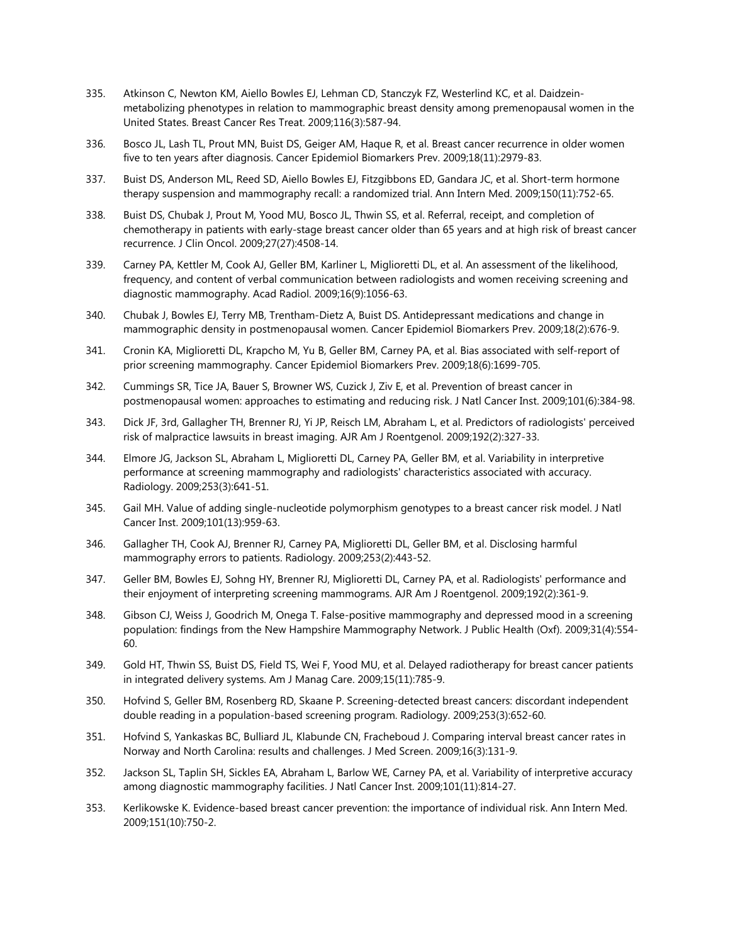- 335. Atkinson C, Newton KM, Aiello Bowles EJ, Lehman CD, Stanczyk FZ, Westerlind KC, et al. Daidzeinmetabolizing phenotypes in relation to mammographic breast density among premenopausal women in the United States. Breast Cancer Res Treat. 2009;116(3):587-94.
- 336. Bosco JL, Lash TL, Prout MN, Buist DS, Geiger AM, Haque R, et al. Breast cancer recurrence in older women five to ten years after diagnosis. Cancer Epidemiol Biomarkers Prev. 2009;18(11):2979-83.
- 337. Buist DS, Anderson ML, Reed SD, Aiello Bowles EJ, Fitzgibbons ED, Gandara JC, et al. Short-term hormone therapy suspension and mammography recall: a randomized trial. Ann Intern Med. 2009;150(11):752-65.
- 338. Buist DS, Chubak J, Prout M, Yood MU, Bosco JL, Thwin SS, et al. Referral, receipt, and completion of chemotherapy in patients with early-stage breast cancer older than 65 years and at high risk of breast cancer recurrence. J Clin Oncol. 2009;27(27):4508-14.
- 339. Carney PA, Kettler M, Cook AJ, Geller BM, Karliner L, Miglioretti DL, et al. An assessment of the likelihood, frequency, and content of verbal communication between radiologists and women receiving screening and diagnostic mammography. Acad Radiol. 2009;16(9):1056-63.
- 340. Chubak J, Bowles EJ, Terry MB, Trentham-Dietz A, Buist DS. Antidepressant medications and change in mammographic density in postmenopausal women. Cancer Epidemiol Biomarkers Prev. 2009;18(2):676-9.
- 341. Cronin KA, Miglioretti DL, Krapcho M, Yu B, Geller BM, Carney PA, et al. Bias associated with self-report of prior screening mammography. Cancer Epidemiol Biomarkers Prev. 2009;18(6):1699-705.
- 342. Cummings SR, Tice JA, Bauer S, Browner WS, Cuzick J, Ziv E, et al. Prevention of breast cancer in postmenopausal women: approaches to estimating and reducing risk. J Natl Cancer Inst. 2009;101(6):384-98.
- 343. Dick JF, 3rd, Gallagher TH, Brenner RJ, Yi JP, Reisch LM, Abraham L, et al. Predictors of radiologists' perceived risk of malpractice lawsuits in breast imaging. AJR Am J Roentgenol. 2009;192(2):327-33.
- 344. Elmore JG, Jackson SL, Abraham L, Miglioretti DL, Carney PA, Geller BM, et al. Variability in interpretive performance at screening mammography and radiologists' characteristics associated with accuracy. Radiology. 2009;253(3):641-51.
- 345. Gail MH. Value of adding single-nucleotide polymorphism genotypes to a breast cancer risk model. J Natl Cancer Inst. 2009;101(13):959-63.
- 346. Gallagher TH, Cook AJ, Brenner RJ, Carney PA, Miglioretti DL, Geller BM, et al. Disclosing harmful mammography errors to patients. Radiology. 2009;253(2):443-52.
- 347. Geller BM, Bowles EJ, Sohng HY, Brenner RJ, Miglioretti DL, Carney PA, et al. Radiologists' performance and their enjoyment of interpreting screening mammograms. AJR Am J Roentgenol. 2009;192(2):361-9.
- 348. Gibson CJ, Weiss J, Goodrich M, Onega T. False-positive mammography and depressed mood in a screening population: findings from the New Hampshire Mammography Network. J Public Health (Oxf). 2009;31(4):554- 60.
- 349. Gold HT, Thwin SS, Buist DS, Field TS, Wei F, Yood MU, et al. Delayed radiotherapy for breast cancer patients in integrated delivery systems. Am J Manag Care. 2009;15(11):785-9.
- 350. Hofvind S, Geller BM, Rosenberg RD, Skaane P. Screening-detected breast cancers: discordant independent double reading in a population-based screening program. Radiology. 2009;253(3):652-60.
- 351. Hofvind S, Yankaskas BC, Bulliard JL, Klabunde CN, Fracheboud J. Comparing interval breast cancer rates in Norway and North Carolina: results and challenges. J Med Screen. 2009;16(3):131-9.
- 352. Jackson SL, Taplin SH, Sickles EA, Abraham L, Barlow WE, Carney PA, et al. Variability of interpretive accuracy among diagnostic mammography facilities. J Natl Cancer Inst. 2009;101(11):814-27.
- 353. Kerlikowske K. Evidence-based breast cancer prevention: the importance of individual risk. Ann Intern Med. 2009;151(10):750-2.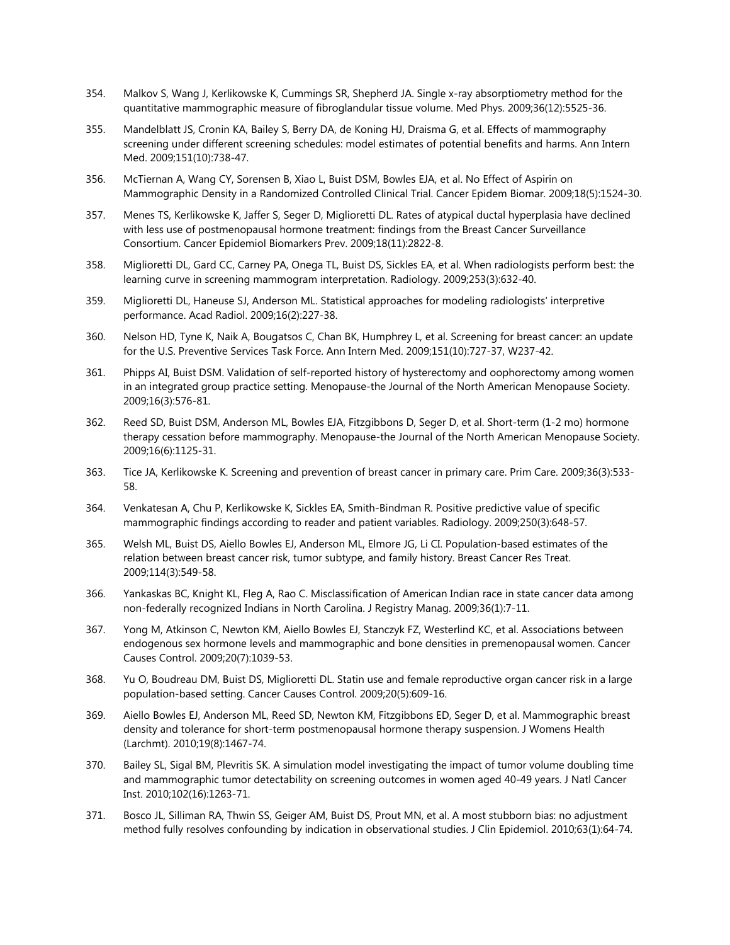- 354. Malkov S, Wang J, Kerlikowske K, Cummings SR, Shepherd JA. Single x-ray absorptiometry method for the quantitative mammographic measure of fibroglandular tissue volume. Med Phys. 2009;36(12):5525-36.
- 355. Mandelblatt JS, Cronin KA, Bailey S, Berry DA, de Koning HJ, Draisma G, et al. Effects of mammography screening under different screening schedules: model estimates of potential benefits and harms. Ann Intern Med. 2009;151(10):738-47.
- 356. McTiernan A, Wang CY, Sorensen B, Xiao L, Buist DSM, Bowles EJA, et al. No Effect of Aspirin on Mammographic Density in a Randomized Controlled Clinical Trial. Cancer Epidem Biomar. 2009;18(5):1524-30.
- 357. Menes TS, Kerlikowske K, Jaffer S, Seger D, Miglioretti DL. Rates of atypical ductal hyperplasia have declined with less use of postmenopausal hormone treatment: findings from the Breast Cancer Surveillance Consortium. Cancer Epidemiol Biomarkers Prev. 2009;18(11):2822-8.
- 358. Miglioretti DL, Gard CC, Carney PA, Onega TL, Buist DS, Sickles EA, et al. When radiologists perform best: the learning curve in screening mammogram interpretation. Radiology. 2009;253(3):632-40.
- 359. Miglioretti DL, Haneuse SJ, Anderson ML. Statistical approaches for modeling radiologists' interpretive performance. Acad Radiol. 2009;16(2):227-38.
- 360. Nelson HD, Tyne K, Naik A, Bougatsos C, Chan BK, Humphrey L, et al. Screening for breast cancer: an update for the U.S. Preventive Services Task Force. Ann Intern Med. 2009;151(10):727-37, W237-42.
- 361. Phipps AI, Buist DSM. Validation of self-reported history of hysterectomy and oophorectomy among women in an integrated group practice setting. Menopause-the Journal of the North American Menopause Society. 2009;16(3):576-81.
- 362. Reed SD, Buist DSM, Anderson ML, Bowles EJA, Fitzgibbons D, Seger D, et al. Short-term (1-2 mo) hormone therapy cessation before mammography. Menopause-the Journal of the North American Menopause Society. 2009;16(6):1125-31.
- 363. Tice JA, Kerlikowske K. Screening and prevention of breast cancer in primary care. Prim Care. 2009;36(3):533- 58.
- 364. Venkatesan A, Chu P, Kerlikowske K, Sickles EA, Smith-Bindman R. Positive predictive value of specific mammographic findings according to reader and patient variables. Radiology. 2009;250(3):648-57.
- 365. Welsh ML, Buist DS, Aiello Bowles EJ, Anderson ML, Elmore JG, Li CI. Population-based estimates of the relation between breast cancer risk, tumor subtype, and family history. Breast Cancer Res Treat. 2009;114(3):549-58.
- 366. Yankaskas BC, Knight KL, Fleg A, Rao C. Misclassification of American Indian race in state cancer data among non-federally recognized Indians in North Carolina. J Registry Manag. 2009;36(1):7-11.
- 367. Yong M, Atkinson C, Newton KM, Aiello Bowles EJ, Stanczyk FZ, Westerlind KC, et al. Associations between endogenous sex hormone levels and mammographic and bone densities in premenopausal women. Cancer Causes Control. 2009;20(7):1039-53.
- 368. Yu O, Boudreau DM, Buist DS, Miglioretti DL. Statin use and female reproductive organ cancer risk in a large population-based setting. Cancer Causes Control. 2009;20(5):609-16.
- 369. Aiello Bowles EJ, Anderson ML, Reed SD, Newton KM, Fitzgibbons ED, Seger D, et al. Mammographic breast density and tolerance for short-term postmenopausal hormone therapy suspension. J Womens Health (Larchmt). 2010;19(8):1467-74.
- 370. Bailey SL, Sigal BM, Plevritis SK. A simulation model investigating the impact of tumor volume doubling time and mammographic tumor detectability on screening outcomes in women aged 40-49 years. J Natl Cancer Inst. 2010;102(16):1263-71.
- 371. Bosco JL, Silliman RA, Thwin SS, Geiger AM, Buist DS, Prout MN, et al. A most stubborn bias: no adjustment method fully resolves confounding by indication in observational studies. J Clin Epidemiol. 2010;63(1):64-74.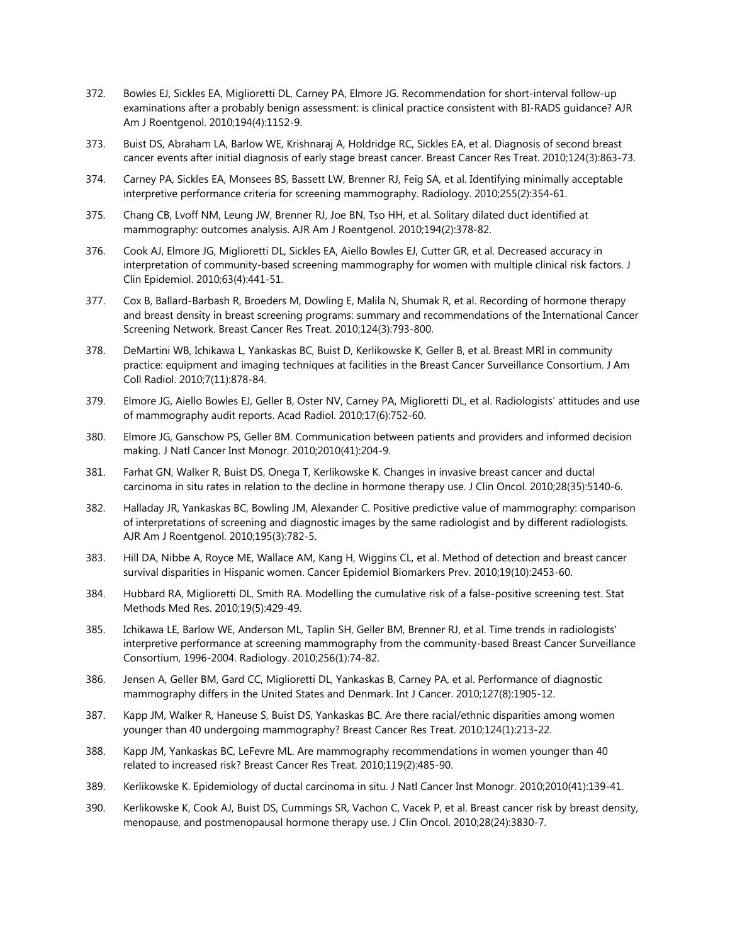- 372. Bowles EJ, Sickles EA, Miglioretti DL, Carney PA, Elmore JG. Recommendation for short-interval follow-up examinations after a probably benign assessment: is clinical practice consistent with BI-RADS guidance? AJR Am J Roentgenol. 2010;194(4):1152-9.
- 373. Buist DS, Abraham LA, Barlow WE, Krishnaraj A, Holdridge RC, Sickles EA, et al. Diagnosis of second breast cancer events after initial diagnosis of early stage breast cancer. Breast Cancer Res Treat. 2010;124(3):863-73.
- 374. Carney PA, Sickles EA, Monsees BS, Bassett LW, Brenner RJ, Feig SA, et al. Identifying minimally acceptable interpretive performance criteria for screening mammography. Radiology. 2010;255(2):354-61.
- 375. Chang CB, Lvoff NM, Leung JW, Brenner RJ, Joe BN, Tso HH, et al. Solitary dilated duct identified at mammography: outcomes analysis. AJR Am J Roentgenol. 2010;194(2):378-82.
- 376. Cook AJ, Elmore JG, Miglioretti DL, Sickles EA, Aiello Bowles EJ, Cutter GR, et al. Decreased accuracy in interpretation of community-based screening mammography for women with multiple clinical risk factors. J Clin Epidemiol. 2010;63(4):441-51.
- 377. Cox B, Ballard-Barbash R, Broeders M, Dowling E, Malila N, Shumak R, et al. Recording of hormone therapy and breast density in breast screening programs: summary and recommendations of the International Cancer Screening Network. Breast Cancer Res Treat. 2010;124(3):793-800.
- 378. DeMartini WB, Ichikawa L, Yankaskas BC, Buist D, Kerlikowske K, Geller B, et al. Breast MRI in community practice: equipment and imaging techniques at facilities in the Breast Cancer Surveillance Consortium. J Am Coll Radiol. 2010;7(11):878-84.
- 379. Elmore JG, Aiello Bowles EJ, Geller B, Oster NV, Carney PA, Miglioretti DL, et al. Radiologists' attitudes and use of mammography audit reports. Acad Radiol. 2010;17(6):752-60.
- 380. Elmore JG, Ganschow PS, Geller BM. Communication between patients and providers and informed decision making. J Natl Cancer Inst Monogr. 2010;2010(41):204-9.
- 381. Farhat GN, Walker R, Buist DS, Onega T, Kerlikowske K. Changes in invasive breast cancer and ductal carcinoma in situ rates in relation to the decline in hormone therapy use. J Clin Oncol. 2010;28(35):5140-6.
- 382. Halladay JR, Yankaskas BC, Bowling JM, Alexander C. Positive predictive value of mammography: comparison of interpretations of screening and diagnostic images by the same radiologist and by different radiologists. AJR Am J Roentgenol. 2010;195(3):782-5.
- 383. Hill DA, Nibbe A, Royce ME, Wallace AM, Kang H, Wiggins CL, et al. Method of detection and breast cancer survival disparities in Hispanic women. Cancer Epidemiol Biomarkers Prev. 2010;19(10):2453-60.
- 384. Hubbard RA, Miglioretti DL, Smith RA. Modelling the cumulative risk of a false-positive screening test. Stat Methods Med Res. 2010;19(5):429-49.
- 385. Ichikawa LE, Barlow WE, Anderson ML, Taplin SH, Geller BM, Brenner RJ, et al. Time trends in radiologists' interpretive performance at screening mammography from the community-based Breast Cancer Surveillance Consortium, 1996-2004. Radiology. 2010;256(1):74-82.
- 386. Jensen A, Geller BM, Gard CC, Miglioretti DL, Yankaskas B, Carney PA, et al. Performance of diagnostic mammography differs in the United States and Denmark. Int J Cancer. 2010;127(8):1905-12.
- 387. Kapp JM, Walker R, Haneuse S, Buist DS, Yankaskas BC. Are there racial/ethnic disparities among women younger than 40 undergoing mammography? Breast Cancer Res Treat. 2010;124(1):213-22.
- 388. Kapp JM, Yankaskas BC, LeFevre ML. Are mammography recommendations in women younger than 40 related to increased risk? Breast Cancer Res Treat. 2010;119(2):485-90.
- 389. Kerlikowske K. Epidemiology of ductal carcinoma in situ. J Natl Cancer Inst Monogr. 2010;2010(41):139-41.
- 390. Kerlikowske K, Cook AJ, Buist DS, Cummings SR, Vachon C, Vacek P, et al. Breast cancer risk by breast density, menopause, and postmenopausal hormone therapy use. J Clin Oncol. 2010;28(24):3830-7.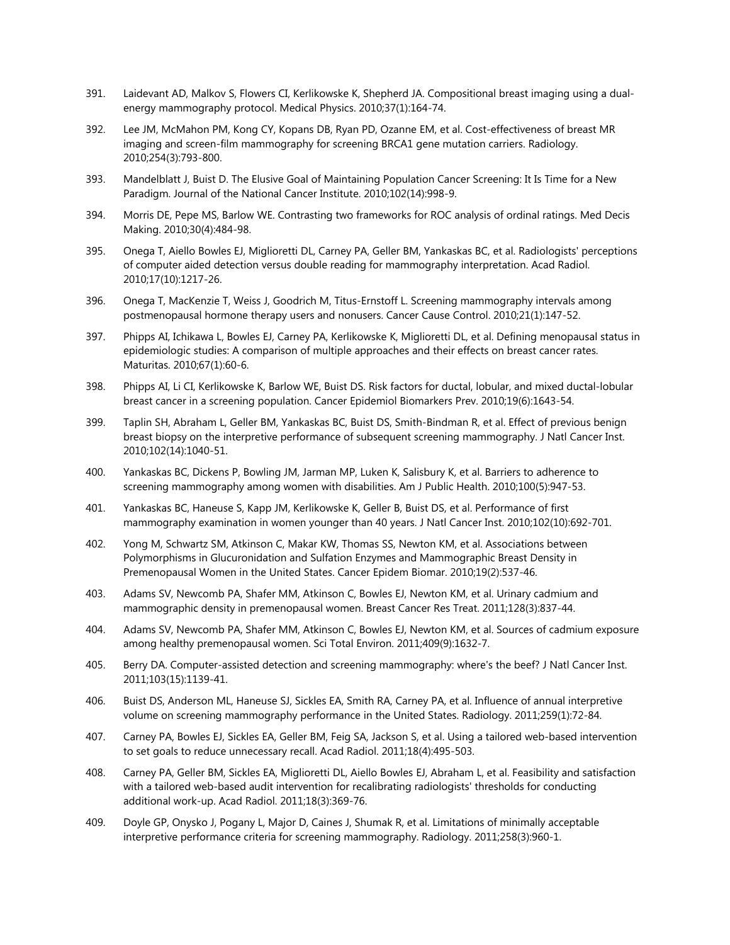- 391. Laidevant AD, Malkov S, Flowers CI, Kerlikowske K, Shepherd JA. Compositional breast imaging using a dualenergy mammography protocol. Medical Physics. 2010;37(1):164-74.
- 392. Lee JM, McMahon PM, Kong CY, Kopans DB, Ryan PD, Ozanne EM, et al. Cost-effectiveness of breast MR imaging and screen-film mammography for screening BRCA1 gene mutation carriers. Radiology. 2010;254(3):793-800.
- 393. Mandelblatt J, Buist D. The Elusive Goal of Maintaining Population Cancer Screening: It Is Time for a New Paradigm. Journal of the National Cancer Institute. 2010;102(14):998-9.
- 394. Morris DE, Pepe MS, Barlow WE. Contrasting two frameworks for ROC analysis of ordinal ratings. Med Decis Making. 2010;30(4):484-98.
- 395. Onega T, Aiello Bowles EJ, Miglioretti DL, Carney PA, Geller BM, Yankaskas BC, et al. Radiologists' perceptions of computer aided detection versus double reading for mammography interpretation. Acad Radiol. 2010;17(10):1217-26.
- 396. Onega T, MacKenzie T, Weiss J, Goodrich M, Titus-Ernstoff L. Screening mammography intervals among postmenopausal hormone therapy users and nonusers. Cancer Cause Control. 2010;21(1):147-52.
- 397. Phipps AI, Ichikawa L, Bowles EJ, Carney PA, Kerlikowske K, Miglioretti DL, et al. Defining menopausal status in epidemiologic studies: A comparison of multiple approaches and their effects on breast cancer rates. Maturitas. 2010;67(1):60-6.
- 398. Phipps AI, Li CI, Kerlikowske K, Barlow WE, Buist DS. Risk factors for ductal, lobular, and mixed ductal-lobular breast cancer in a screening population. Cancer Epidemiol Biomarkers Prev. 2010;19(6):1643-54.
- 399. Taplin SH, Abraham L, Geller BM, Yankaskas BC, Buist DS, Smith-Bindman R, et al. Effect of previous benign breast biopsy on the interpretive performance of subsequent screening mammography. J Natl Cancer Inst. 2010;102(14):1040-51.
- 400. Yankaskas BC, Dickens P, Bowling JM, Jarman MP, Luken K, Salisbury K, et al. Barriers to adherence to screening mammography among women with disabilities. Am J Public Health. 2010;100(5):947-53.
- 401. Yankaskas BC, Haneuse S, Kapp JM, Kerlikowske K, Geller B, Buist DS, et al. Performance of first mammography examination in women younger than 40 years. J Natl Cancer Inst. 2010;102(10):692-701.
- 402. Yong M, Schwartz SM, Atkinson C, Makar KW, Thomas SS, Newton KM, et al. Associations between Polymorphisms in Glucuronidation and Sulfation Enzymes and Mammographic Breast Density in Premenopausal Women in the United States. Cancer Epidem Biomar. 2010;19(2):537-46.
- 403. Adams SV, Newcomb PA, Shafer MM, Atkinson C, Bowles EJ, Newton KM, et al. Urinary cadmium and mammographic density in premenopausal women. Breast Cancer Res Treat. 2011;128(3):837-44.
- 404. Adams SV, Newcomb PA, Shafer MM, Atkinson C, Bowles EJ, Newton KM, et al. Sources of cadmium exposure among healthy premenopausal women. Sci Total Environ. 2011;409(9):1632-7.
- 405. Berry DA. Computer-assisted detection and screening mammography: where's the beef? J Natl Cancer Inst. 2011;103(15):1139-41.
- 406. Buist DS, Anderson ML, Haneuse SJ, Sickles EA, Smith RA, Carney PA, et al. Influence of annual interpretive volume on screening mammography performance in the United States. Radiology. 2011;259(1):72-84.
- 407. Carney PA, Bowles EJ, Sickles EA, Geller BM, Feig SA, Jackson S, et al. Using a tailored web-based intervention to set goals to reduce unnecessary recall. Acad Radiol. 2011;18(4):495-503.
- 408. Carney PA, Geller BM, Sickles EA, Miglioretti DL, Aiello Bowles EJ, Abraham L, et al. Feasibility and satisfaction with a tailored web-based audit intervention for recalibrating radiologists' thresholds for conducting additional work-up. Acad Radiol. 2011;18(3):369-76.
- 409. Doyle GP, Onysko J, Pogany L, Major D, Caines J, Shumak R, et al. Limitations of minimally acceptable interpretive performance criteria for screening mammography. Radiology. 2011;258(3):960-1.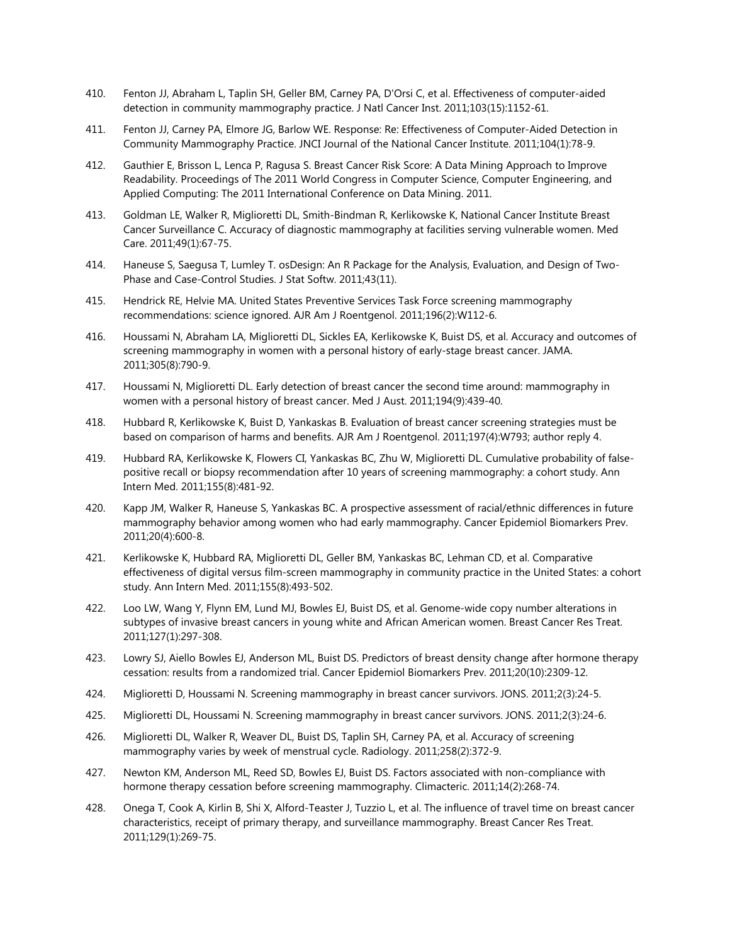- 410. Fenton JJ, Abraham L, Taplin SH, Geller BM, Carney PA, D'Orsi C, et al. Effectiveness of computer-aided detection in community mammography practice. J Natl Cancer Inst. 2011;103(15):1152-61.
- 411. Fenton JJ, Carney PA, Elmore JG, Barlow WE. Response: Re: Effectiveness of Computer-Aided Detection in Community Mammography Practice. JNCI Journal of the National Cancer Institute. 2011;104(1):78-9.
- 412. Gauthier E, Brisson L, Lenca P, Ragusa S. Breast Cancer Risk Score: A Data Mining Approach to Improve Readability. Proceedings of The 2011 World Congress in Computer Science, Computer Engineering, and Applied Computing: The 2011 International Conference on Data Mining. 2011.
- 413. Goldman LE, Walker R, Miglioretti DL, Smith-Bindman R, Kerlikowske K, National Cancer Institute Breast Cancer Surveillance C. Accuracy of diagnostic mammography at facilities serving vulnerable women. Med Care. 2011;49(1):67-75.
- 414. Haneuse S, Saegusa T, Lumley T. osDesign: An R Package for the Analysis, Evaluation, and Design of Two-Phase and Case-Control Studies. J Stat Softw. 2011;43(11).
- 415. Hendrick RE, Helvie MA. United States Preventive Services Task Force screening mammography recommendations: science ignored. AJR Am J Roentgenol. 2011;196(2):W112-6.
- 416. Houssami N, Abraham LA, Miglioretti DL, Sickles EA, Kerlikowske K, Buist DS, et al. Accuracy and outcomes of screening mammography in women with a personal history of early-stage breast cancer. JAMA. 2011;305(8):790-9.
- 417. Houssami N, Miglioretti DL. Early detection of breast cancer the second time around: mammography in women with a personal history of breast cancer. Med J Aust. 2011;194(9):439-40.
- 418. Hubbard R, Kerlikowske K, Buist D, Yankaskas B. Evaluation of breast cancer screening strategies must be based on comparison of harms and benefits. AJR Am J Roentgenol. 2011;197(4):W793; author reply 4.
- 419. Hubbard RA, Kerlikowske K, Flowers CI, Yankaskas BC, Zhu W, Miglioretti DL. Cumulative probability of falsepositive recall or biopsy recommendation after 10 years of screening mammography: a cohort study. Ann Intern Med. 2011;155(8):481-92.
- 420. Kapp JM, Walker R, Haneuse S, Yankaskas BC. A prospective assessment of racial/ethnic differences in future mammography behavior among women who had early mammography. Cancer Epidemiol Biomarkers Prev. 2011;20(4):600-8.
- 421. Kerlikowske K, Hubbard RA, Miglioretti DL, Geller BM, Yankaskas BC, Lehman CD, et al. Comparative effectiveness of digital versus film-screen mammography in community practice in the United States: a cohort study. Ann Intern Med. 2011;155(8):493-502.
- 422. Loo LW, Wang Y, Flynn EM, Lund MJ, Bowles EJ, Buist DS, et al. Genome-wide copy number alterations in subtypes of invasive breast cancers in young white and African American women. Breast Cancer Res Treat. 2011;127(1):297-308.
- 423. Lowry SJ, Aiello Bowles EJ, Anderson ML, Buist DS. Predictors of breast density change after hormone therapy cessation: results from a randomized trial. Cancer Epidemiol Biomarkers Prev. 2011;20(10):2309-12.
- 424. Miglioretti D, Houssami N. Screening mammography in breast cancer survivors. JONS. 2011;2(3):24-5.
- 425. Miglioretti DL, Houssami N. Screening mammography in breast cancer survivors. JONS. 2011;2(3):24-6.
- 426. Miglioretti DL, Walker R, Weaver DL, Buist DS, Taplin SH, Carney PA, et al. Accuracy of screening mammography varies by week of menstrual cycle. Radiology. 2011;258(2):372-9.
- 427. Newton KM, Anderson ML, Reed SD, Bowles EJ, Buist DS. Factors associated with non-compliance with hormone therapy cessation before screening mammography. Climacteric. 2011;14(2):268-74.
- 428. Onega T, Cook A, Kirlin B, Shi X, Alford-Teaster J, Tuzzio L, et al. The influence of travel time on breast cancer characteristics, receipt of primary therapy, and surveillance mammography. Breast Cancer Res Treat. 2011;129(1):269-75.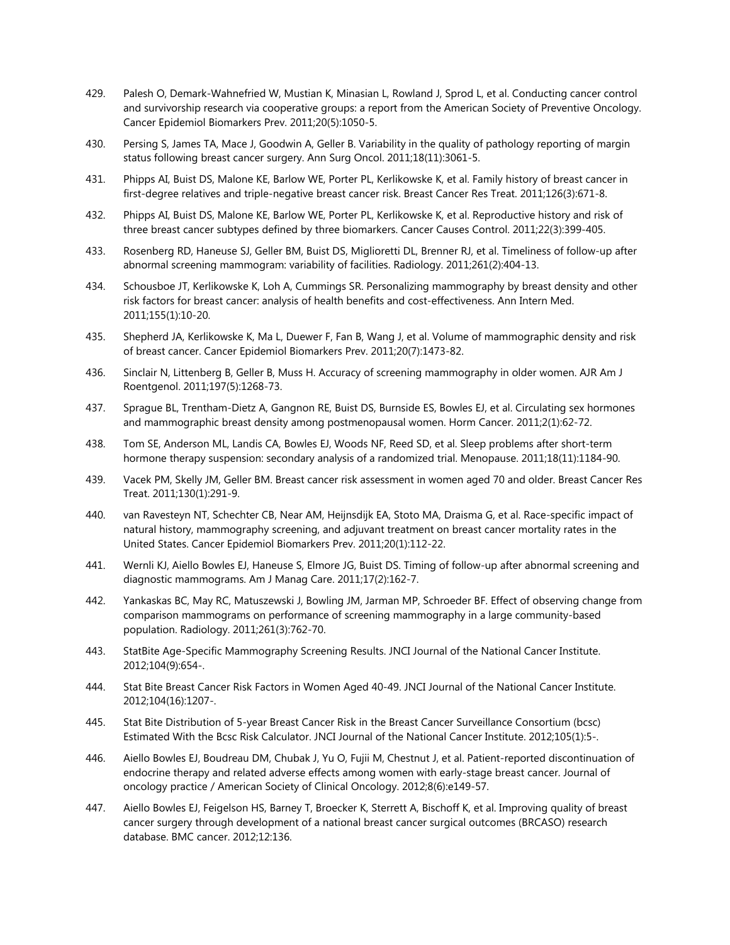- 429. Palesh O, Demark-Wahnefried W, Mustian K, Minasian L, Rowland J, Sprod L, et al. Conducting cancer control and survivorship research via cooperative groups: a report from the American Society of Preventive Oncology. Cancer Epidemiol Biomarkers Prev. 2011;20(5):1050-5.
- 430. Persing S, James TA, Mace J, Goodwin A, Geller B. Variability in the quality of pathology reporting of margin status following breast cancer surgery. Ann Surg Oncol. 2011;18(11):3061-5.
- 431. Phipps AI, Buist DS, Malone KE, Barlow WE, Porter PL, Kerlikowske K, et al. Family history of breast cancer in first-degree relatives and triple-negative breast cancer risk. Breast Cancer Res Treat. 2011;126(3):671-8.
- 432. Phipps AI, Buist DS, Malone KE, Barlow WE, Porter PL, Kerlikowske K, et al. Reproductive history and risk of three breast cancer subtypes defined by three biomarkers. Cancer Causes Control. 2011;22(3):399-405.
- 433. Rosenberg RD, Haneuse SJ, Geller BM, Buist DS, Miglioretti DL, Brenner RJ, et al. Timeliness of follow-up after abnormal screening mammogram: variability of facilities. Radiology. 2011;261(2):404-13.
- 434. Schousboe JT, Kerlikowske K, Loh A, Cummings SR. Personalizing mammography by breast density and other risk factors for breast cancer: analysis of health benefits and cost-effectiveness. Ann Intern Med. 2011;155(1):10-20.
- 435. Shepherd JA, Kerlikowske K, Ma L, Duewer F, Fan B, Wang J, et al. Volume of mammographic density and risk of breast cancer. Cancer Epidemiol Biomarkers Prev. 2011;20(7):1473-82.
- 436. Sinclair N, Littenberg B, Geller B, Muss H. Accuracy of screening mammography in older women. AJR Am J Roentgenol. 2011;197(5):1268-73.
- 437. Sprague BL, Trentham-Dietz A, Gangnon RE, Buist DS, Burnside ES, Bowles EJ, et al. Circulating sex hormones and mammographic breast density among postmenopausal women. Horm Cancer. 2011;2(1):62-72.
- 438. Tom SE, Anderson ML, Landis CA, Bowles EJ, Woods NF, Reed SD, et al. Sleep problems after short-term hormone therapy suspension: secondary analysis of a randomized trial. Menopause. 2011;18(11):1184-90.
- 439. Vacek PM, Skelly JM, Geller BM. Breast cancer risk assessment in women aged 70 and older. Breast Cancer Res Treat. 2011;130(1):291-9.
- 440. van Ravesteyn NT, Schechter CB, Near AM, Heijnsdijk EA, Stoto MA, Draisma G, et al. Race-specific impact of natural history, mammography screening, and adjuvant treatment on breast cancer mortality rates in the United States. Cancer Epidemiol Biomarkers Prev. 2011;20(1):112-22.
- 441. Wernli KJ, Aiello Bowles EJ, Haneuse S, Elmore JG, Buist DS. Timing of follow-up after abnormal screening and diagnostic mammograms. Am J Manag Care. 2011;17(2):162-7.
- 442. Yankaskas BC, May RC, Matuszewski J, Bowling JM, Jarman MP, Schroeder BF. Effect of observing change from comparison mammograms on performance of screening mammography in a large community-based population. Radiology. 2011;261(3):762-70.
- 443. StatBite Age-Specific Mammography Screening Results. JNCI Journal of the National Cancer Institute. 2012;104(9):654-.
- 444. Stat Bite Breast Cancer Risk Factors in Women Aged 40-49. JNCI Journal of the National Cancer Institute. 2012;104(16):1207-.
- 445. Stat Bite Distribution of 5-year Breast Cancer Risk in the Breast Cancer Surveillance Consortium (bcsc) Estimated With the Bcsc Risk Calculator. JNCI Journal of the National Cancer Institute. 2012;105(1):5-.
- 446. Aiello Bowles EJ, Boudreau DM, Chubak J, Yu O, Fujii M, Chestnut J, et al. Patient-reported discontinuation of endocrine therapy and related adverse effects among women with early-stage breast cancer. Journal of oncology practice / American Society of Clinical Oncology. 2012;8(6):e149-57.
- 447. Aiello Bowles EJ, Feigelson HS, Barney T, Broecker K, Sterrett A, Bischoff K, et al. Improving quality of breast cancer surgery through development of a national breast cancer surgical outcomes (BRCASO) research database. BMC cancer. 2012;12:136.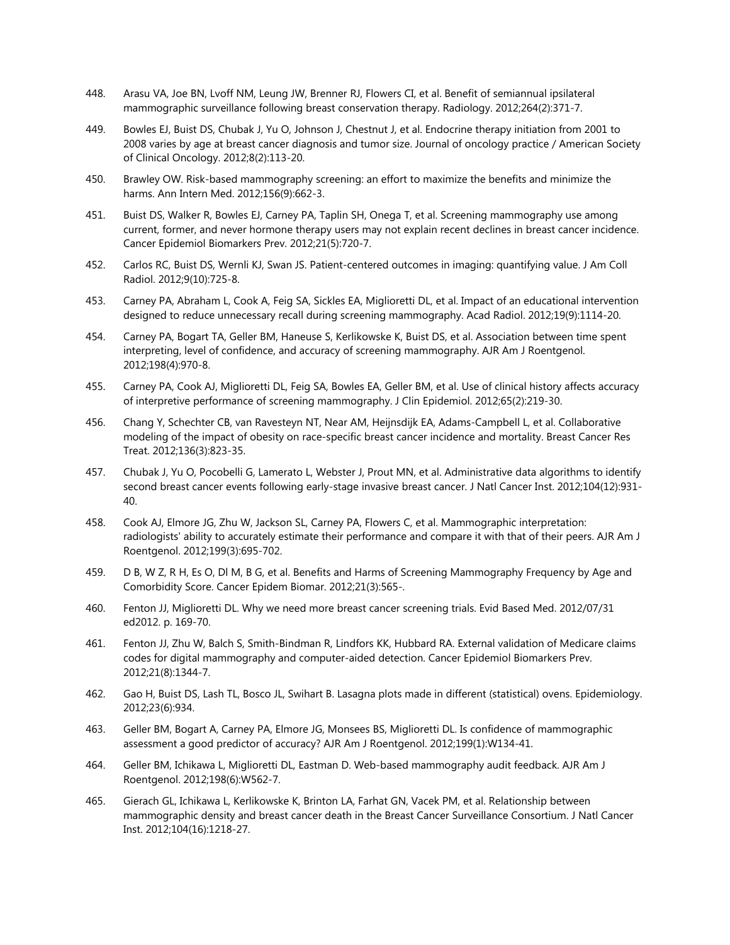- 448. Arasu VA, Joe BN, Lvoff NM, Leung JW, Brenner RJ, Flowers CI, et al. Benefit of semiannual ipsilateral mammographic surveillance following breast conservation therapy. Radiology. 2012;264(2):371-7.
- 449. Bowles EJ, Buist DS, Chubak J, Yu O, Johnson J, Chestnut J, et al. Endocrine therapy initiation from 2001 to 2008 varies by age at breast cancer diagnosis and tumor size. Journal of oncology practice / American Society of Clinical Oncology. 2012;8(2):113-20.
- 450. Brawley OW. Risk-based mammography screening: an effort to maximize the benefits and minimize the harms. Ann Intern Med. 2012;156(9):662-3.
- 451. Buist DS, Walker R, Bowles EJ, Carney PA, Taplin SH, Onega T, et al. Screening mammography use among current, former, and never hormone therapy users may not explain recent declines in breast cancer incidence. Cancer Epidemiol Biomarkers Prev. 2012;21(5):720-7.
- 452. Carlos RC, Buist DS, Wernli KJ, Swan JS. Patient-centered outcomes in imaging: quantifying value. J Am Coll Radiol. 2012;9(10):725-8.
- 453. Carney PA, Abraham L, Cook A, Feig SA, Sickles EA, Miglioretti DL, et al. Impact of an educational intervention designed to reduce unnecessary recall during screening mammography. Acad Radiol. 2012;19(9):1114-20.
- 454. Carney PA, Bogart TA, Geller BM, Haneuse S, Kerlikowske K, Buist DS, et al. Association between time spent interpreting, level of confidence, and accuracy of screening mammography. AJR Am J Roentgenol. 2012;198(4):970-8.
- 455. Carney PA, Cook AJ, Miglioretti DL, Feig SA, Bowles EA, Geller BM, et al. Use of clinical history affects accuracy of interpretive performance of screening mammography. J Clin Epidemiol. 2012;65(2):219-30.
- 456. Chang Y, Schechter CB, van Ravesteyn NT, Near AM, Heijnsdijk EA, Adams-Campbell L, et al. Collaborative modeling of the impact of obesity on race-specific breast cancer incidence and mortality. Breast Cancer Res Treat. 2012;136(3):823-35.
- 457. Chubak J, Yu O, Pocobelli G, Lamerato L, Webster J, Prout MN, et al. Administrative data algorithms to identify second breast cancer events following early-stage invasive breast cancer. J Natl Cancer Inst. 2012;104(12):931- 40.
- 458. Cook AJ, Elmore JG, Zhu W, Jackson SL, Carney PA, Flowers C, et al. Mammographic interpretation: radiologists' ability to accurately estimate their performance and compare it with that of their peers. AJR Am J Roentgenol. 2012;199(3):695-702.
- 459. D B, W Z, R H, Es O, Dl M, B G, et al. Benefits and Harms of Screening Mammography Frequency by Age and Comorbidity Score. Cancer Epidem Biomar. 2012;21(3):565-.
- 460. Fenton JJ, Miglioretti DL. Why we need more breast cancer screening trials. Evid Based Med. 2012/07/31 ed2012. p. 169-70.
- 461. Fenton JJ, Zhu W, Balch S, Smith-Bindman R, Lindfors KK, Hubbard RA. External validation of Medicare claims codes for digital mammography and computer-aided detection. Cancer Epidemiol Biomarkers Prev. 2012;21(8):1344-7.
- 462. Gao H, Buist DS, Lash TL, Bosco JL, Swihart B. Lasagna plots made in different (statistical) ovens. Epidemiology. 2012;23(6):934.
- 463. Geller BM, Bogart A, Carney PA, Elmore JG, Monsees BS, Miglioretti DL. Is confidence of mammographic assessment a good predictor of accuracy? AJR Am J Roentgenol. 2012;199(1):W134-41.
- 464. Geller BM, Ichikawa L, Miglioretti DL, Eastman D. Web-based mammography audit feedback. AJR Am J Roentgenol. 2012;198(6):W562-7.
- 465. Gierach GL, Ichikawa L, Kerlikowske K, Brinton LA, Farhat GN, Vacek PM, et al. Relationship between mammographic density and breast cancer death in the Breast Cancer Surveillance Consortium. J Natl Cancer Inst. 2012;104(16):1218-27.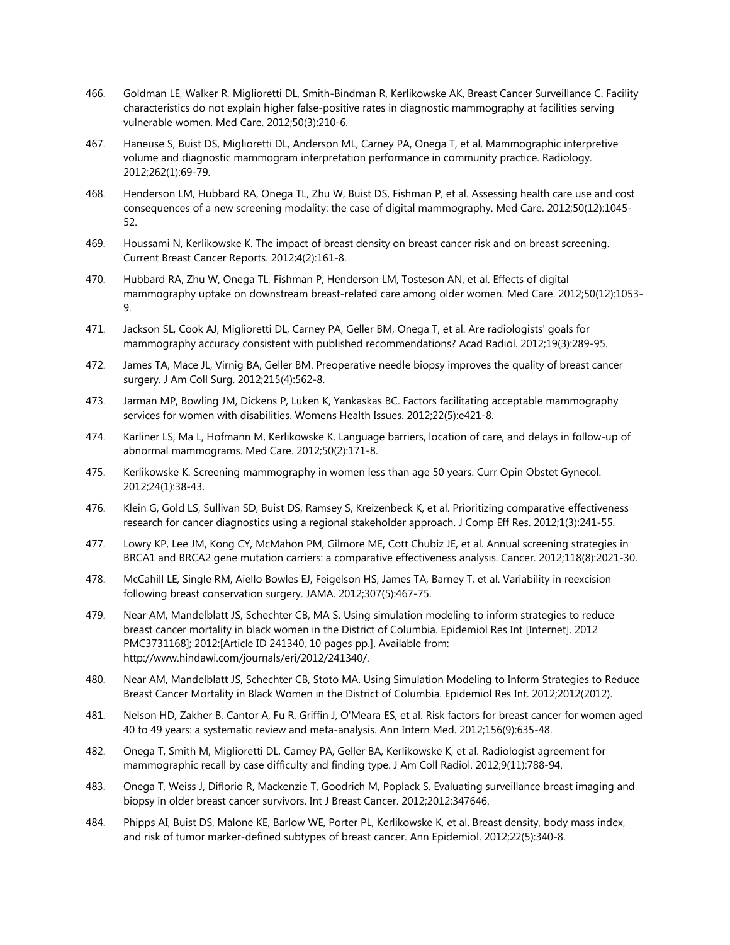- 466. Goldman LE, Walker R, Miglioretti DL, Smith-Bindman R, Kerlikowske AK, Breast Cancer Surveillance C. Facility characteristics do not explain higher false-positive rates in diagnostic mammography at facilities serving vulnerable women. Med Care. 2012;50(3):210-6.
- 467. Haneuse S, Buist DS, Miglioretti DL, Anderson ML, Carney PA, Onega T, et al. Mammographic interpretive volume and diagnostic mammogram interpretation performance in community practice. Radiology. 2012;262(1):69-79.
- 468. Henderson LM, Hubbard RA, Onega TL, Zhu W, Buist DS, Fishman P, et al. Assessing health care use and cost consequences of a new screening modality: the case of digital mammography. Med Care. 2012;50(12):1045- 52.
- 469. Houssami N, Kerlikowske K. The impact of breast density on breast cancer risk and on breast screening. Current Breast Cancer Reports. 2012;4(2):161-8.
- 470. Hubbard RA, Zhu W, Onega TL, Fishman P, Henderson LM, Tosteson AN, et al. Effects of digital mammography uptake on downstream breast-related care among older women. Med Care. 2012;50(12):1053- 9.
- 471. Jackson SL, Cook AJ, Miglioretti DL, Carney PA, Geller BM, Onega T, et al. Are radiologists' goals for mammography accuracy consistent with published recommendations? Acad Radiol. 2012;19(3):289-95.
- 472. James TA, Mace JL, Virnig BA, Geller BM. Preoperative needle biopsy improves the quality of breast cancer surgery. J Am Coll Surg. 2012;215(4):562-8.
- 473. Jarman MP, Bowling JM, Dickens P, Luken K, Yankaskas BC. Factors facilitating acceptable mammography services for women with disabilities. Womens Health Issues. 2012;22(5):e421-8.
- 474. Karliner LS, Ma L, Hofmann M, Kerlikowske K. Language barriers, location of care, and delays in follow-up of abnormal mammograms. Med Care. 2012;50(2):171-8.
- 475. Kerlikowske K. Screening mammography in women less than age 50 years. Curr Opin Obstet Gynecol. 2012;24(1):38-43.
- 476. Klein G, Gold LS, Sullivan SD, Buist DS, Ramsey S, Kreizenbeck K, et al. Prioritizing comparative effectiveness research for cancer diagnostics using a regional stakeholder approach. J Comp Eff Res. 2012;1(3):241-55.
- 477. Lowry KP, Lee JM, Kong CY, McMahon PM, Gilmore ME, Cott Chubiz JE, et al. Annual screening strategies in BRCA1 and BRCA2 gene mutation carriers: a comparative effectiveness analysis. Cancer. 2012;118(8):2021-30.
- 478. McCahill LE, Single RM, Aiello Bowles EJ, Feigelson HS, James TA, Barney T, et al. Variability in reexcision following breast conservation surgery. JAMA. 2012;307(5):467-75.
- 479. Near AM, Mandelblatt JS, Schechter CB, MA S. Using simulation modeling to inform strategies to reduce breast cancer mortality in black women in the District of Columbia. Epidemiol Res Int [Internet]. 2012 PMC3731168]; 2012:[Article ID 241340, 10 pages pp.]. Available from: http://www.hindawi.com/journals/eri/2012/241340/.
- 480. Near AM, Mandelblatt JS, Schechter CB, Stoto MA. Using Simulation Modeling to Inform Strategies to Reduce Breast Cancer Mortality in Black Women in the District of Columbia. Epidemiol Res Int. 2012;2012(2012).
- 481. Nelson HD, Zakher B, Cantor A, Fu R, Griffin J, O'Meara ES, et al. Risk factors for breast cancer for women aged 40 to 49 years: a systematic review and meta-analysis. Ann Intern Med. 2012;156(9):635-48.
- 482. Onega T, Smith M, Miglioretti DL, Carney PA, Geller BA, Kerlikowske K, et al. Radiologist agreement for mammographic recall by case difficulty and finding type. J Am Coll Radiol. 2012;9(11):788-94.
- 483. Onega T, Weiss J, Diflorio R, Mackenzie T, Goodrich M, Poplack S. Evaluating surveillance breast imaging and biopsy in older breast cancer survivors. Int J Breast Cancer. 2012;2012:347646.
- 484. Phipps AI, Buist DS, Malone KE, Barlow WE, Porter PL, Kerlikowske K, et al. Breast density, body mass index, and risk of tumor marker-defined subtypes of breast cancer. Ann Epidemiol. 2012;22(5):340-8.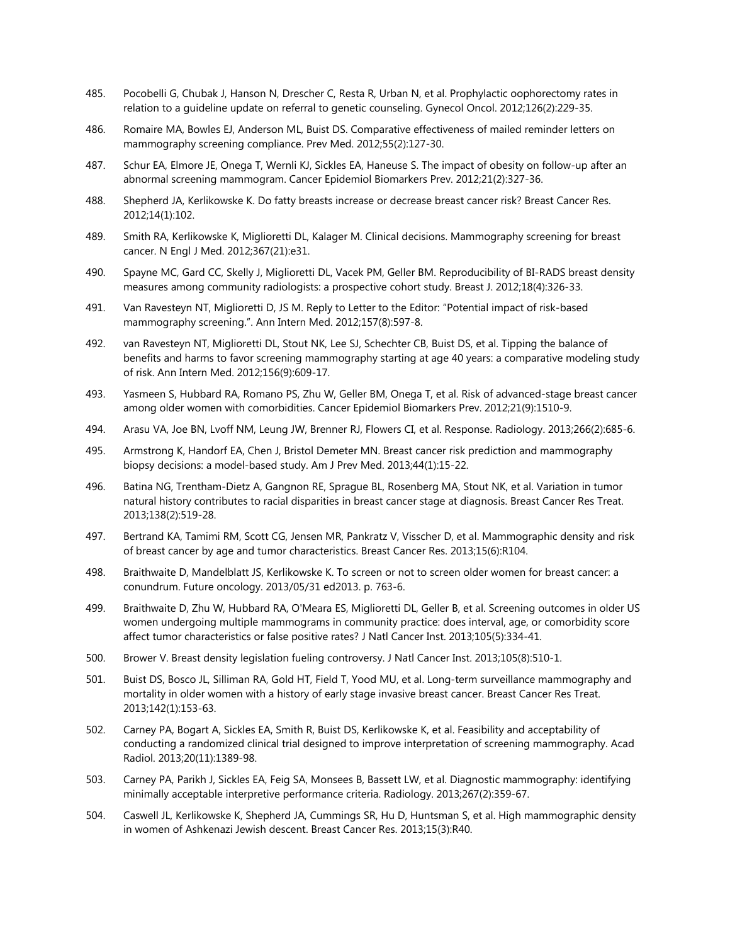- 485. Pocobelli G, Chubak J, Hanson N, Drescher C, Resta R, Urban N, et al. Prophylactic oophorectomy rates in relation to a guideline update on referral to genetic counseling. Gynecol Oncol. 2012;126(2):229-35.
- 486. Romaire MA, Bowles EJ, Anderson ML, Buist DS. Comparative effectiveness of mailed reminder letters on mammography screening compliance. Prev Med. 2012;55(2):127-30.
- 487. Schur EA, Elmore JE, Onega T, Wernli KJ, Sickles EA, Haneuse S. The impact of obesity on follow-up after an abnormal screening mammogram. Cancer Epidemiol Biomarkers Prev. 2012;21(2):327-36.
- 488. Shepherd JA, Kerlikowske K. Do fatty breasts increase or decrease breast cancer risk? Breast Cancer Res. 2012;14(1):102.
- 489. Smith RA, Kerlikowske K, Miglioretti DL, Kalager M. Clinical decisions. Mammography screening for breast cancer. N Engl J Med. 2012;367(21):e31.
- 490. Spayne MC, Gard CC, Skelly J, Miglioretti DL, Vacek PM, Geller BM. Reproducibility of BI-RADS breast density measures among community radiologists: a prospective cohort study. Breast J. 2012;18(4):326-33.
- 491. Van Ravesteyn NT, Miglioretti D, JS M. Reply to Letter to the Editor: "Potential impact of risk-based mammography screening.". Ann Intern Med. 2012;157(8):597-8.
- 492. van Ravesteyn NT, Miglioretti DL, Stout NK, Lee SJ, Schechter CB, Buist DS, et al. Tipping the balance of benefits and harms to favor screening mammography starting at age 40 years: a comparative modeling study of risk. Ann Intern Med. 2012;156(9):609-17.
- 493. Yasmeen S, Hubbard RA, Romano PS, Zhu W, Geller BM, Onega T, et al. Risk of advanced-stage breast cancer among older women with comorbidities. Cancer Epidemiol Biomarkers Prev. 2012;21(9):1510-9.
- 494. Arasu VA, Joe BN, Lvoff NM, Leung JW, Brenner RJ, Flowers CI, et al. Response. Radiology. 2013;266(2):685-6.
- 495. Armstrong K, Handorf EA, Chen J, Bristol Demeter MN. Breast cancer risk prediction and mammography biopsy decisions: a model-based study. Am J Prev Med. 2013;44(1):15-22.
- 496. Batina NG, Trentham-Dietz A, Gangnon RE, Sprague BL, Rosenberg MA, Stout NK, et al. Variation in tumor natural history contributes to racial disparities in breast cancer stage at diagnosis. Breast Cancer Res Treat. 2013;138(2):519-28.
- 497. Bertrand KA, Tamimi RM, Scott CG, Jensen MR, Pankratz V, Visscher D, et al. Mammographic density and risk of breast cancer by age and tumor characteristics. Breast Cancer Res. 2013;15(6):R104.
- 498. Braithwaite D, Mandelblatt JS, Kerlikowske K. To screen or not to screen older women for breast cancer: a conundrum. Future oncology. 2013/05/31 ed2013. p. 763-6.
- 499. Braithwaite D, Zhu W, Hubbard RA, O'Meara ES, Miglioretti DL, Geller B, et al. Screening outcomes in older US women undergoing multiple mammograms in community practice: does interval, age, or comorbidity score affect tumor characteristics or false positive rates? J Natl Cancer Inst. 2013;105(5):334-41.
- 500. Brower V. Breast density legislation fueling controversy. J Natl Cancer Inst. 2013;105(8):510-1.
- 501. Buist DS, Bosco JL, Silliman RA, Gold HT, Field T, Yood MU, et al. Long-term surveillance mammography and mortality in older women with a history of early stage invasive breast cancer. Breast Cancer Res Treat. 2013;142(1):153-63.
- 502. Carney PA, Bogart A, Sickles EA, Smith R, Buist DS, Kerlikowske K, et al. Feasibility and acceptability of conducting a randomized clinical trial designed to improve interpretation of screening mammography. Acad Radiol. 2013;20(11):1389-98.
- 503. Carney PA, Parikh J, Sickles EA, Feig SA, Monsees B, Bassett LW, et al. Diagnostic mammography: identifying minimally acceptable interpretive performance criteria. Radiology. 2013;267(2):359-67.
- 504. Caswell JL, Kerlikowske K, Shepherd JA, Cummings SR, Hu D, Huntsman S, et al. High mammographic density in women of Ashkenazi Jewish descent. Breast Cancer Res. 2013;15(3):R40.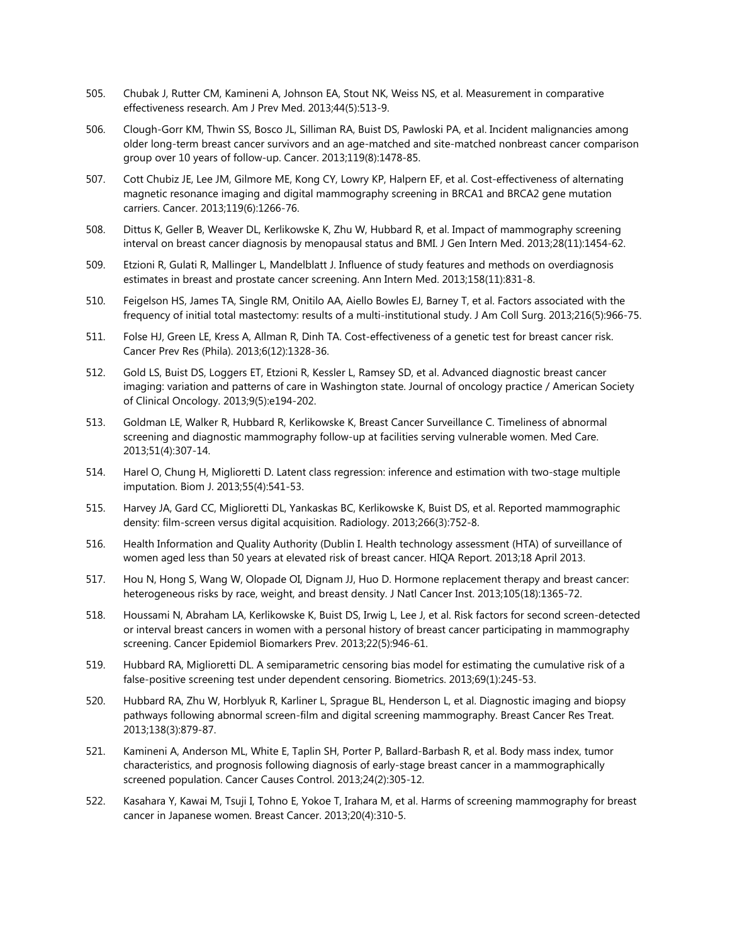- 505. Chubak J, Rutter CM, Kamineni A, Johnson EA, Stout NK, Weiss NS, et al. Measurement in comparative effectiveness research. Am J Prev Med. 2013;44(5):513-9.
- 506. Clough-Gorr KM, Thwin SS, Bosco JL, Silliman RA, Buist DS, Pawloski PA, et al. Incident malignancies among older long-term breast cancer survivors and an age-matched and site-matched nonbreast cancer comparison group over 10 years of follow-up. Cancer. 2013;119(8):1478-85.
- 507. Cott Chubiz JE, Lee JM, Gilmore ME, Kong CY, Lowry KP, Halpern EF, et al. Cost-effectiveness of alternating magnetic resonance imaging and digital mammography screening in BRCA1 and BRCA2 gene mutation carriers. Cancer. 2013;119(6):1266-76.
- 508. Dittus K, Geller B, Weaver DL, Kerlikowske K, Zhu W, Hubbard R, et al. Impact of mammography screening interval on breast cancer diagnosis by menopausal status and BMI. J Gen Intern Med. 2013;28(11):1454-62.
- 509. Etzioni R, Gulati R, Mallinger L, Mandelblatt J. Influence of study features and methods on overdiagnosis estimates in breast and prostate cancer screening. Ann Intern Med. 2013;158(11):831-8.
- 510. Feigelson HS, James TA, Single RM, Onitilo AA, Aiello Bowles EJ, Barney T, et al. Factors associated with the frequency of initial total mastectomy: results of a multi-institutional study. J Am Coll Surg. 2013;216(5):966-75.
- 511. Folse HJ, Green LE, Kress A, Allman R, Dinh TA. Cost-effectiveness of a genetic test for breast cancer risk. Cancer Prev Res (Phila). 2013;6(12):1328-36.
- 512. Gold LS, Buist DS, Loggers ET, Etzioni R, Kessler L, Ramsey SD, et al. Advanced diagnostic breast cancer imaging: variation and patterns of care in Washington state. Journal of oncology practice / American Society of Clinical Oncology. 2013;9(5):e194-202.
- 513. Goldman LE, Walker R, Hubbard R, Kerlikowske K, Breast Cancer Surveillance C. Timeliness of abnormal screening and diagnostic mammography follow-up at facilities serving vulnerable women. Med Care. 2013;51(4):307-14.
- 514. Harel O, Chung H, Miglioretti D. Latent class regression: inference and estimation with two-stage multiple imputation. Biom J. 2013;55(4):541-53.
- 515. Harvey JA, Gard CC, Miglioretti DL, Yankaskas BC, Kerlikowske K, Buist DS, et al. Reported mammographic density: film-screen versus digital acquisition. Radiology. 2013;266(3):752-8.
- 516. Health Information and Quality Authority (Dublin I. Health technology assessment (HTA) of surveillance of women aged less than 50 years at elevated risk of breast cancer. HIQA Report. 2013;18 April 2013.
- 517. Hou N, Hong S, Wang W, Olopade OI, Dignam JJ, Huo D. Hormone replacement therapy and breast cancer: heterogeneous risks by race, weight, and breast density. J Natl Cancer Inst. 2013;105(18):1365-72.
- 518. Houssami N, Abraham LA, Kerlikowske K, Buist DS, Irwig L, Lee J, et al. Risk factors for second screen-detected or interval breast cancers in women with a personal history of breast cancer participating in mammography screening. Cancer Epidemiol Biomarkers Prev. 2013;22(5):946-61.
- 519. Hubbard RA, Miglioretti DL. A semiparametric censoring bias model for estimating the cumulative risk of a false-positive screening test under dependent censoring. Biometrics. 2013;69(1):245-53.
- 520. Hubbard RA, Zhu W, Horblyuk R, Karliner L, Sprague BL, Henderson L, et al. Diagnostic imaging and biopsy pathways following abnormal screen-film and digital screening mammography. Breast Cancer Res Treat. 2013;138(3):879-87.
- 521. Kamineni A, Anderson ML, White E, Taplin SH, Porter P, Ballard-Barbash R, et al. Body mass index, tumor characteristics, and prognosis following diagnosis of early-stage breast cancer in a mammographically screened population. Cancer Causes Control. 2013;24(2):305-12.
- 522. Kasahara Y, Kawai M, Tsuji I, Tohno E, Yokoe T, Irahara M, et al. Harms of screening mammography for breast cancer in Japanese women. Breast Cancer. 2013;20(4):310-5.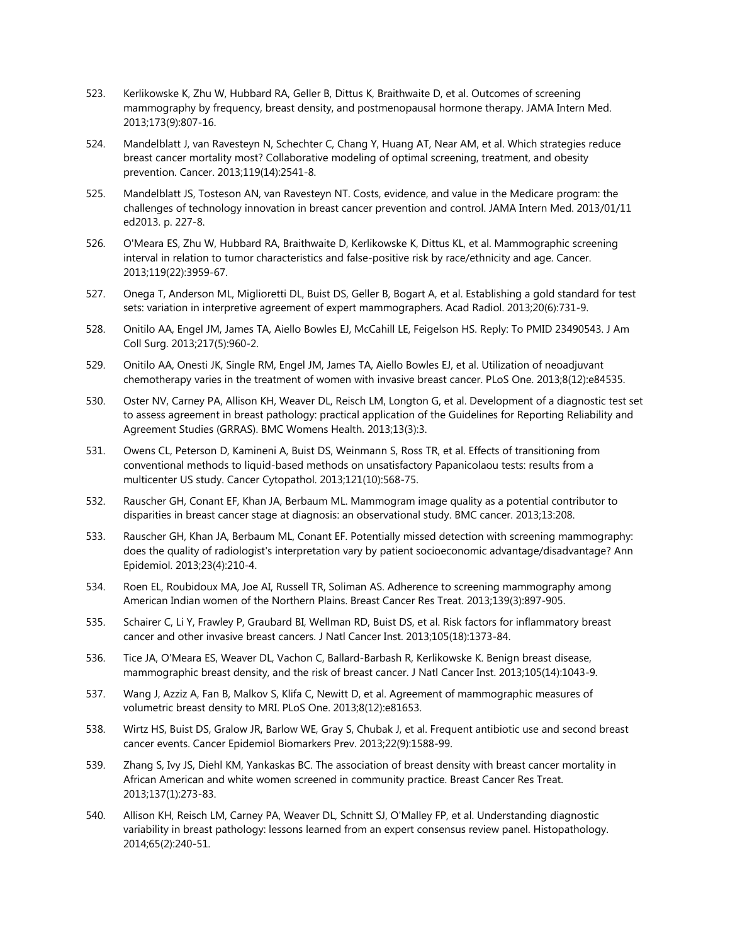- 523. Kerlikowske K, Zhu W, Hubbard RA, Geller B, Dittus K, Braithwaite D, et al. Outcomes of screening mammography by frequency, breast density, and postmenopausal hormone therapy. JAMA Intern Med. 2013;173(9):807-16.
- 524. Mandelblatt J, van Ravesteyn N, Schechter C, Chang Y, Huang AT, Near AM, et al. Which strategies reduce breast cancer mortality most? Collaborative modeling of optimal screening, treatment, and obesity prevention. Cancer. 2013;119(14):2541-8.
- 525. Mandelblatt JS, Tosteson AN, van Ravesteyn NT. Costs, evidence, and value in the Medicare program: the challenges of technology innovation in breast cancer prevention and control. JAMA Intern Med. 2013/01/11 ed2013. p. 227-8.
- 526. O'Meara ES, Zhu W, Hubbard RA, Braithwaite D, Kerlikowske K, Dittus KL, et al. Mammographic screening interval in relation to tumor characteristics and false-positive risk by race/ethnicity and age. Cancer. 2013;119(22):3959-67.
- 527. Onega T, Anderson ML, Miglioretti DL, Buist DS, Geller B, Bogart A, et al. Establishing a gold standard for test sets: variation in interpretive agreement of expert mammographers. Acad Radiol. 2013;20(6):731-9.
- 528. Onitilo AA, Engel JM, James TA, Aiello Bowles EJ, McCahill LE, Feigelson HS. Reply: To PMID 23490543. J Am Coll Surg. 2013;217(5):960-2.
- 529. Onitilo AA, Onesti JK, Single RM, Engel JM, James TA, Aiello Bowles EJ, et al. Utilization of neoadjuvant chemotherapy varies in the treatment of women with invasive breast cancer. PLoS One. 2013;8(12):e84535.
- 530. Oster NV, Carney PA, Allison KH, Weaver DL, Reisch LM, Longton G, et al. Development of a diagnostic test set to assess agreement in breast pathology: practical application of the Guidelines for Reporting Reliability and Agreement Studies (GRRAS). BMC Womens Health. 2013;13(3):3.
- 531. Owens CL, Peterson D, Kamineni A, Buist DS, Weinmann S, Ross TR, et al. Effects of transitioning from conventional methods to liquid-based methods on unsatisfactory Papanicolaou tests: results from a multicenter US study. Cancer Cytopathol. 2013;121(10):568-75.
- 532. Rauscher GH, Conant EF, Khan JA, Berbaum ML. Mammogram image quality as a potential contributor to disparities in breast cancer stage at diagnosis: an observational study. BMC cancer. 2013;13:208.
- 533. Rauscher GH, Khan JA, Berbaum ML, Conant EF. Potentially missed detection with screening mammography: does the quality of radiologist's interpretation vary by patient socioeconomic advantage/disadvantage? Ann Epidemiol. 2013;23(4):210-4.
- 534. Roen EL, Roubidoux MA, Joe AI, Russell TR, Soliman AS. Adherence to screening mammography among American Indian women of the Northern Plains. Breast Cancer Res Treat. 2013;139(3):897-905.
- 535. Schairer C, Li Y, Frawley P, Graubard BI, Wellman RD, Buist DS, et al. Risk factors for inflammatory breast cancer and other invasive breast cancers. J Natl Cancer Inst. 2013;105(18):1373-84.
- 536. Tice JA, O'Meara ES, Weaver DL, Vachon C, Ballard-Barbash R, Kerlikowske K. Benign breast disease, mammographic breast density, and the risk of breast cancer. J Natl Cancer Inst. 2013;105(14):1043-9.
- 537. Wang J, Azziz A, Fan B, Malkov S, Klifa C, Newitt D, et al. Agreement of mammographic measures of volumetric breast density to MRI. PLoS One. 2013;8(12):e81653.
- 538. Wirtz HS, Buist DS, Gralow JR, Barlow WE, Gray S, Chubak J, et al. Frequent antibiotic use and second breast cancer events. Cancer Epidemiol Biomarkers Prev. 2013;22(9):1588-99.
- 539. Zhang S, Ivy JS, Diehl KM, Yankaskas BC. The association of breast density with breast cancer mortality in African American and white women screened in community practice. Breast Cancer Res Treat. 2013;137(1):273-83.
- 540. Allison KH, Reisch LM, Carney PA, Weaver DL, Schnitt SJ, O'Malley FP, et al. Understanding diagnostic variability in breast pathology: lessons learned from an expert consensus review panel. Histopathology. 2014;65(2):240-51.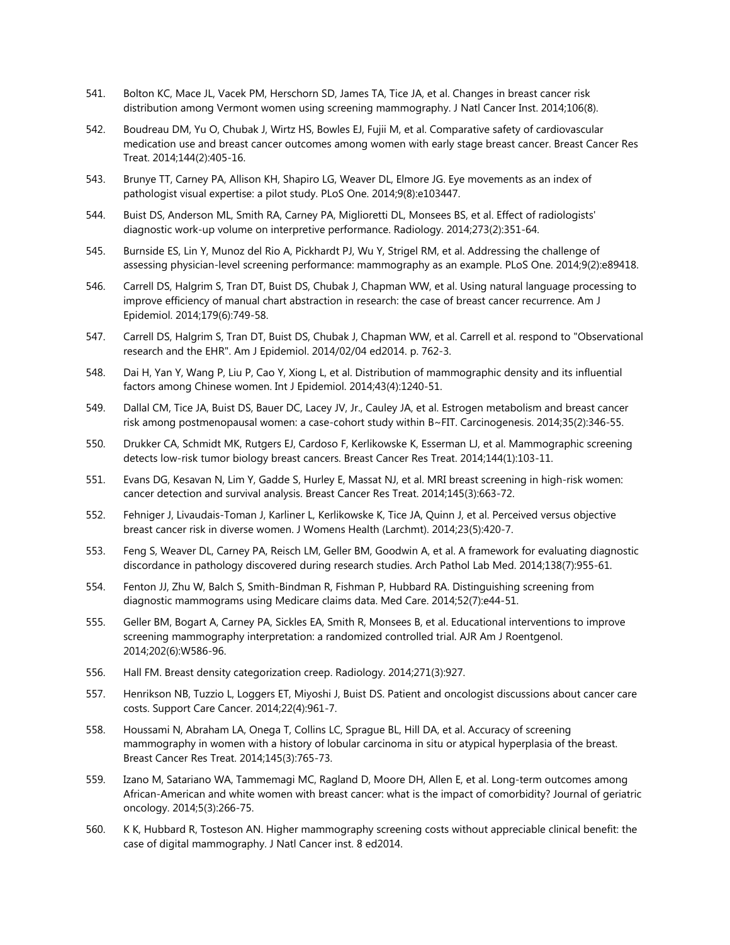- 541. Bolton KC, Mace JL, Vacek PM, Herschorn SD, James TA, Tice JA, et al. Changes in breast cancer risk distribution among Vermont women using screening mammography. J Natl Cancer Inst. 2014;106(8).
- 542. Boudreau DM, Yu O, Chubak J, Wirtz HS, Bowles EJ, Fujii M, et al. Comparative safety of cardiovascular medication use and breast cancer outcomes among women with early stage breast cancer. Breast Cancer Res Treat. 2014;144(2):405-16.
- 543. Brunye TT, Carney PA, Allison KH, Shapiro LG, Weaver DL, Elmore JG. Eye movements as an index of pathologist visual expertise: a pilot study. PLoS One. 2014;9(8):e103447.
- 544. Buist DS, Anderson ML, Smith RA, Carney PA, Miglioretti DL, Monsees BS, et al. Effect of radiologists' diagnostic work-up volume on interpretive performance. Radiology. 2014;273(2):351-64.
- 545. Burnside ES, Lin Y, Munoz del Rio A, Pickhardt PJ, Wu Y, Strigel RM, et al. Addressing the challenge of assessing physician-level screening performance: mammography as an example. PLoS One. 2014;9(2):e89418.
- 546. Carrell DS, Halgrim S, Tran DT, Buist DS, Chubak J, Chapman WW, et al. Using natural language processing to improve efficiency of manual chart abstraction in research: the case of breast cancer recurrence. Am J Epidemiol. 2014;179(6):749-58.
- 547. Carrell DS, Halgrim S, Tran DT, Buist DS, Chubak J, Chapman WW, et al. Carrell et al. respond to "Observational research and the EHR". Am J Epidemiol. 2014/02/04 ed2014. p. 762-3.
- 548. Dai H, Yan Y, Wang P, Liu P, Cao Y, Xiong L, et al. Distribution of mammographic density and its influential factors among Chinese women. Int J Epidemiol. 2014;43(4):1240-51.
- 549. Dallal CM, Tice JA, Buist DS, Bauer DC, Lacey JV, Jr., Cauley JA, et al. Estrogen metabolism and breast cancer risk among postmenopausal women: a case-cohort study within B~FIT. Carcinogenesis. 2014;35(2):346-55.
- 550. Drukker CA, Schmidt MK, Rutgers EJ, Cardoso F, Kerlikowske K, Esserman LJ, et al. Mammographic screening detects low-risk tumor biology breast cancers. Breast Cancer Res Treat. 2014;144(1):103-11.
- 551. Evans DG, Kesavan N, Lim Y, Gadde S, Hurley E, Massat NJ, et al. MRI breast screening in high-risk women: cancer detection and survival analysis. Breast Cancer Res Treat. 2014;145(3):663-72.
- 552. Fehniger J, Livaudais-Toman J, Karliner L, Kerlikowske K, Tice JA, Quinn J, et al. Perceived versus objective breast cancer risk in diverse women. J Womens Health (Larchmt). 2014;23(5):420-7.
- 553. Feng S, Weaver DL, Carney PA, Reisch LM, Geller BM, Goodwin A, et al. A framework for evaluating diagnostic discordance in pathology discovered during research studies. Arch Pathol Lab Med. 2014;138(7):955-61.
- 554. Fenton JJ, Zhu W, Balch S, Smith-Bindman R, Fishman P, Hubbard RA. Distinguishing screening from diagnostic mammograms using Medicare claims data. Med Care. 2014;52(7):e44-51.
- 555. Geller BM, Bogart A, Carney PA, Sickles EA, Smith R, Monsees B, et al. Educational interventions to improve screening mammography interpretation: a randomized controlled trial. AJR Am J Roentgenol. 2014;202(6):W586-96.
- 556. Hall FM. Breast density categorization creep. Radiology. 2014;271(3):927.
- 557. Henrikson NB, Tuzzio L, Loggers ET, Miyoshi J, Buist DS. Patient and oncologist discussions about cancer care costs. Support Care Cancer. 2014;22(4):961-7.
- 558. Houssami N, Abraham LA, Onega T, Collins LC, Sprague BL, Hill DA, et al. Accuracy of screening mammography in women with a history of lobular carcinoma in situ or atypical hyperplasia of the breast. Breast Cancer Res Treat. 2014;145(3):765-73.
- 559. Izano M, Satariano WA, Tammemagi MC, Ragland D, Moore DH, Allen E, et al. Long-term outcomes among African-American and white women with breast cancer: what is the impact of comorbidity? Journal of geriatric oncology. 2014;5(3):266-75.
- 560. K K, Hubbard R, Tosteson AN. Higher mammography screening costs without appreciable clinical benefit: the case of digital mammography. J Natl Cancer inst. 8 ed2014.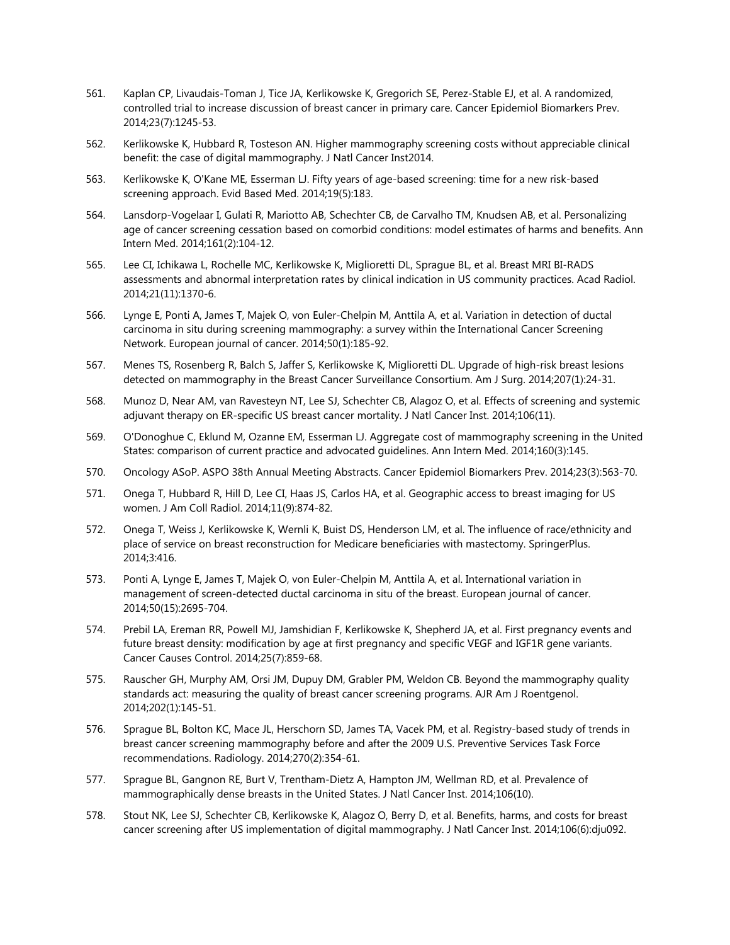- 561. Kaplan CP, Livaudais-Toman J, Tice JA, Kerlikowske K, Gregorich SE, Perez-Stable EJ, et al. A randomized, controlled trial to increase discussion of breast cancer in primary care. Cancer Epidemiol Biomarkers Prev. 2014;23(7):1245-53.
- 562. Kerlikowske K, Hubbard R, Tosteson AN. Higher mammography screening costs without appreciable clinical benefit: the case of digital mammography. J Natl Cancer Inst2014.
- 563. Kerlikowske K, O'Kane ME, Esserman LJ. Fifty years of age-based screening: time for a new risk-based screening approach. Evid Based Med. 2014;19(5):183.
- 564. Lansdorp-Vogelaar I, Gulati R, Mariotto AB, Schechter CB, de Carvalho TM, Knudsen AB, et al. Personalizing age of cancer screening cessation based on comorbid conditions: model estimates of harms and benefits. Ann Intern Med. 2014;161(2):104-12.
- 565. Lee CI, Ichikawa L, Rochelle MC, Kerlikowske K, Miglioretti DL, Sprague BL, et al. Breast MRI BI-RADS assessments and abnormal interpretation rates by clinical indication in US community practices. Acad Radiol. 2014;21(11):1370-6.
- 566. Lynge E, Ponti A, James T, Majek O, von Euler-Chelpin M, Anttila A, et al. Variation in detection of ductal carcinoma in situ during screening mammography: a survey within the International Cancer Screening Network. European journal of cancer. 2014;50(1):185-92.
- 567. Menes TS, Rosenberg R, Balch S, Jaffer S, Kerlikowske K, Miglioretti DL. Upgrade of high-risk breast lesions detected on mammography in the Breast Cancer Surveillance Consortium. Am J Surg. 2014;207(1):24-31.
- 568. Munoz D, Near AM, van Ravesteyn NT, Lee SJ, Schechter CB, Alagoz O, et al. Effects of screening and systemic adjuvant therapy on ER-specific US breast cancer mortality. J Natl Cancer Inst. 2014;106(11).
- 569. O'Donoghue C, Eklund M, Ozanne EM, Esserman LJ. Aggregate cost of mammography screening in the United States: comparison of current practice and advocated guidelines. Ann Intern Med. 2014;160(3):145.
- 570. Oncology ASoP. ASPO 38th Annual Meeting Abstracts. Cancer Epidemiol Biomarkers Prev. 2014;23(3):563-70.
- 571. Onega T, Hubbard R, Hill D, Lee CI, Haas JS, Carlos HA, et al. Geographic access to breast imaging for US women. J Am Coll Radiol. 2014;11(9):874-82.
- 572. Onega T, Weiss J, Kerlikowske K, Wernli K, Buist DS, Henderson LM, et al. The influence of race/ethnicity and place of service on breast reconstruction for Medicare beneficiaries with mastectomy. SpringerPlus. 2014;3:416.
- 573. Ponti A, Lynge E, James T, Majek O, von Euler-Chelpin M, Anttila A, et al. International variation in management of screen-detected ductal carcinoma in situ of the breast. European journal of cancer. 2014;50(15):2695-704.
- 574. Prebil LA, Ereman RR, Powell MJ, Jamshidian F, Kerlikowske K, Shepherd JA, et al. First pregnancy events and future breast density: modification by age at first pregnancy and specific VEGF and IGF1R gene variants. Cancer Causes Control. 2014;25(7):859-68.
- 575. Rauscher GH, Murphy AM, Orsi JM, Dupuy DM, Grabler PM, Weldon CB. Beyond the mammography quality standards act: measuring the quality of breast cancer screening programs. AJR Am J Roentgenol. 2014;202(1):145-51.
- 576. Sprague BL, Bolton KC, Mace JL, Herschorn SD, James TA, Vacek PM, et al. Registry-based study of trends in breast cancer screening mammography before and after the 2009 U.S. Preventive Services Task Force recommendations. Radiology. 2014;270(2):354-61.
- 577. Sprague BL, Gangnon RE, Burt V, Trentham-Dietz A, Hampton JM, Wellman RD, et al. Prevalence of mammographically dense breasts in the United States. J Natl Cancer Inst. 2014;106(10).
- 578. Stout NK, Lee SJ, Schechter CB, Kerlikowske K, Alagoz O, Berry D, et al. Benefits, harms, and costs for breast cancer screening after US implementation of digital mammography. J Natl Cancer Inst. 2014;106(6):dju092.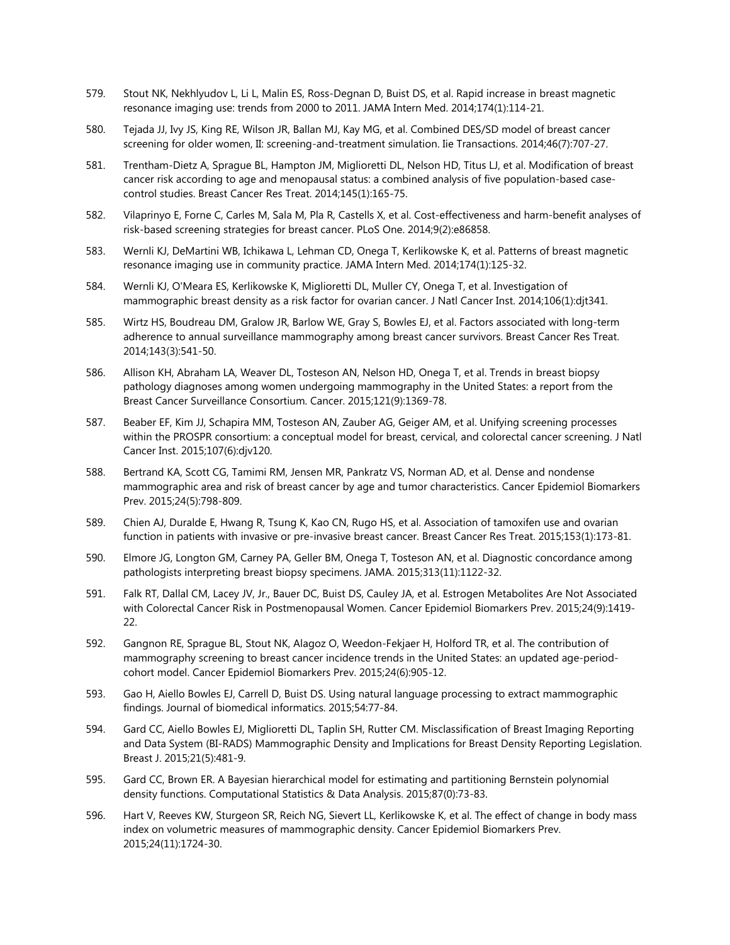- 579. Stout NK, Nekhlyudov L, Li L, Malin ES, Ross-Degnan D, Buist DS, et al. Rapid increase in breast magnetic resonance imaging use: trends from 2000 to 2011. JAMA Intern Med. 2014;174(1):114-21.
- 580. Tejada JJ, Ivy JS, King RE, Wilson JR, Ballan MJ, Kay MG, et al. Combined DES/SD model of breast cancer screening for older women, II: screening-and-treatment simulation. Iie Transactions. 2014;46(7):707-27.
- 581. Trentham-Dietz A, Sprague BL, Hampton JM, Miglioretti DL, Nelson HD, Titus LJ, et al. Modification of breast cancer risk according to age and menopausal status: a combined analysis of five population-based casecontrol studies. Breast Cancer Res Treat. 2014;145(1):165-75.
- 582. Vilaprinyo E, Forne C, Carles M, Sala M, Pla R, Castells X, et al. Cost-effectiveness and harm-benefit analyses of risk-based screening strategies for breast cancer. PLoS One. 2014;9(2):e86858.
- 583. Wernli KJ, DeMartini WB, Ichikawa L, Lehman CD, Onega T, Kerlikowske K, et al. Patterns of breast magnetic resonance imaging use in community practice. JAMA Intern Med. 2014;174(1):125-32.
- 584. Wernli KJ, O'Meara ES, Kerlikowske K, Miglioretti DL, Muller CY, Onega T, et al. Investigation of mammographic breast density as a risk factor for ovarian cancer. J Natl Cancer Inst. 2014;106(1):djt341.
- 585. Wirtz HS, Boudreau DM, Gralow JR, Barlow WE, Gray S, Bowles EJ, et al. Factors associated with long-term adherence to annual surveillance mammography among breast cancer survivors. Breast Cancer Res Treat. 2014;143(3):541-50.
- 586. Allison KH, Abraham LA, Weaver DL, Tosteson AN, Nelson HD, Onega T, et al. Trends in breast biopsy pathology diagnoses among women undergoing mammography in the United States: a report from the Breast Cancer Surveillance Consortium. Cancer. 2015;121(9):1369-78.
- 587. Beaber EF, Kim JJ, Schapira MM, Tosteson AN, Zauber AG, Geiger AM, et al. Unifying screening processes within the PROSPR consortium: a conceptual model for breast, cervical, and colorectal cancer screening. J Natl Cancer Inst. 2015;107(6):djv120.
- 588. Bertrand KA, Scott CG, Tamimi RM, Jensen MR, Pankratz VS, Norman AD, et al. Dense and nondense mammographic area and risk of breast cancer by age and tumor characteristics. Cancer Epidemiol Biomarkers Prev. 2015;24(5):798-809.
- 589. Chien AJ, Duralde E, Hwang R, Tsung K, Kao CN, Rugo HS, et al. Association of tamoxifen use and ovarian function in patients with invasive or pre-invasive breast cancer. Breast Cancer Res Treat. 2015;153(1):173-81.
- 590. Elmore JG, Longton GM, Carney PA, Geller BM, Onega T, Tosteson AN, et al. Diagnostic concordance among pathologists interpreting breast biopsy specimens. JAMA. 2015;313(11):1122-32.
- 591. Falk RT, Dallal CM, Lacey JV, Jr., Bauer DC, Buist DS, Cauley JA, et al. Estrogen Metabolites Are Not Associated with Colorectal Cancer Risk in Postmenopausal Women. Cancer Epidemiol Biomarkers Prev. 2015;24(9):1419- 22.
- 592. Gangnon RE, Sprague BL, Stout NK, Alagoz O, Weedon-Fekjaer H, Holford TR, et al. The contribution of mammography screening to breast cancer incidence trends in the United States: an updated age-periodcohort model. Cancer Epidemiol Biomarkers Prev. 2015;24(6):905-12.
- 593. Gao H, Aiello Bowles EJ, Carrell D, Buist DS. Using natural language processing to extract mammographic findings. Journal of biomedical informatics. 2015;54:77-84.
- 594. Gard CC, Aiello Bowles EJ, Miglioretti DL, Taplin SH, Rutter CM. Misclassification of Breast Imaging Reporting and Data System (BI-RADS) Mammographic Density and Implications for Breast Density Reporting Legislation. Breast J. 2015;21(5):481-9.
- 595. Gard CC, Brown ER. A Bayesian hierarchical model for estimating and partitioning Bernstein polynomial density functions. Computational Statistics & Data Analysis. 2015;87(0):73-83.
- 596. Hart V, Reeves KW, Sturgeon SR, Reich NG, Sievert LL, Kerlikowske K, et al. The effect of change in body mass index on volumetric measures of mammographic density. Cancer Epidemiol Biomarkers Prev. 2015;24(11):1724-30.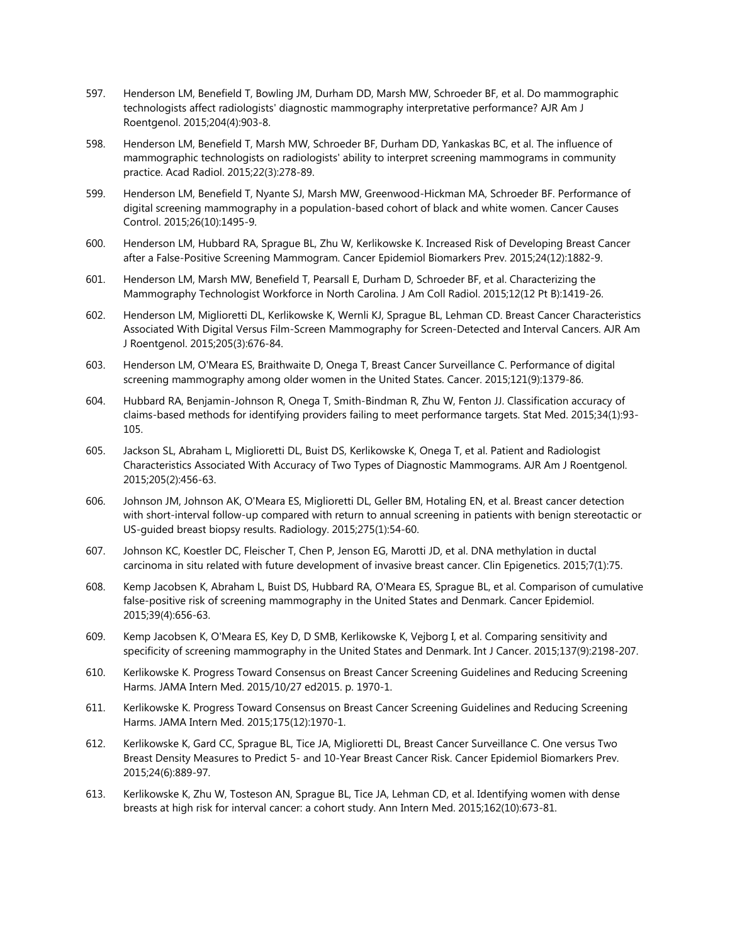- 597. Henderson LM, Benefield T, Bowling JM, Durham DD, Marsh MW, Schroeder BF, et al. Do mammographic technologists affect radiologists' diagnostic mammography interpretative performance? AJR Am J Roentgenol. 2015;204(4):903-8.
- 598. Henderson LM, Benefield T, Marsh MW, Schroeder BF, Durham DD, Yankaskas BC, et al. The influence of mammographic technologists on radiologists' ability to interpret screening mammograms in community practice. Acad Radiol. 2015;22(3):278-89.
- 599. Henderson LM, Benefield T, Nyante SJ, Marsh MW, Greenwood-Hickman MA, Schroeder BF. Performance of digital screening mammography in a population-based cohort of black and white women. Cancer Causes Control. 2015;26(10):1495-9.
- 600. Henderson LM, Hubbard RA, Sprague BL, Zhu W, Kerlikowske K. Increased Risk of Developing Breast Cancer after a False-Positive Screening Mammogram. Cancer Epidemiol Biomarkers Prev. 2015;24(12):1882-9.
- 601. Henderson LM, Marsh MW, Benefield T, Pearsall E, Durham D, Schroeder BF, et al. Characterizing the Mammography Technologist Workforce in North Carolina. J Am Coll Radiol. 2015;12(12 Pt B):1419-26.
- 602. Henderson LM, Miglioretti DL, Kerlikowske K, Wernli KJ, Sprague BL, Lehman CD. Breast Cancer Characteristics Associated With Digital Versus Film-Screen Mammography for Screen-Detected and Interval Cancers. AJR Am J Roentgenol. 2015;205(3):676-84.
- 603. Henderson LM, O'Meara ES, Braithwaite D, Onega T, Breast Cancer Surveillance C. Performance of digital screening mammography among older women in the United States. Cancer. 2015;121(9):1379-86.
- 604. Hubbard RA, Benjamin-Johnson R, Onega T, Smith-Bindman R, Zhu W, Fenton JJ. Classification accuracy of claims-based methods for identifying providers failing to meet performance targets. Stat Med. 2015;34(1):93- 105.
- 605. Jackson SL, Abraham L, Miglioretti DL, Buist DS, Kerlikowske K, Onega T, et al. Patient and Radiologist Characteristics Associated With Accuracy of Two Types of Diagnostic Mammograms. AJR Am J Roentgenol. 2015;205(2):456-63.
- 606. Johnson JM, Johnson AK, O'Meara ES, Miglioretti DL, Geller BM, Hotaling EN, et al. Breast cancer detection with short-interval follow-up compared with return to annual screening in patients with benign stereotactic or US-guided breast biopsy results. Radiology. 2015;275(1):54-60.
- 607. Johnson KC, Koestler DC, Fleischer T, Chen P, Jenson EG, Marotti JD, et al. DNA methylation in ductal carcinoma in situ related with future development of invasive breast cancer. Clin Epigenetics. 2015;7(1):75.
- 608. Kemp Jacobsen K, Abraham L, Buist DS, Hubbard RA, O'Meara ES, Sprague BL, et al. Comparison of cumulative false-positive risk of screening mammography in the United States and Denmark. Cancer Epidemiol. 2015;39(4):656-63.
- 609. Kemp Jacobsen K, O'Meara ES, Key D, D SMB, Kerlikowske K, Vejborg I, et al. Comparing sensitivity and specificity of screening mammography in the United States and Denmark. Int J Cancer. 2015;137(9):2198-207.
- 610. Kerlikowske K. Progress Toward Consensus on Breast Cancer Screening Guidelines and Reducing Screening Harms. JAMA Intern Med. 2015/10/27 ed2015. p. 1970-1.
- 611. Kerlikowske K. Progress Toward Consensus on Breast Cancer Screening Guidelines and Reducing Screening Harms. JAMA Intern Med. 2015;175(12):1970-1.
- 612. Kerlikowske K, Gard CC, Sprague BL, Tice JA, Miglioretti DL, Breast Cancer Surveillance C. One versus Two Breast Density Measures to Predict 5- and 10-Year Breast Cancer Risk. Cancer Epidemiol Biomarkers Prev. 2015;24(6):889-97.
- 613. Kerlikowske K, Zhu W, Tosteson AN, Sprague BL, Tice JA, Lehman CD, et al. Identifying women with dense breasts at high risk for interval cancer: a cohort study. Ann Intern Med. 2015;162(10):673-81.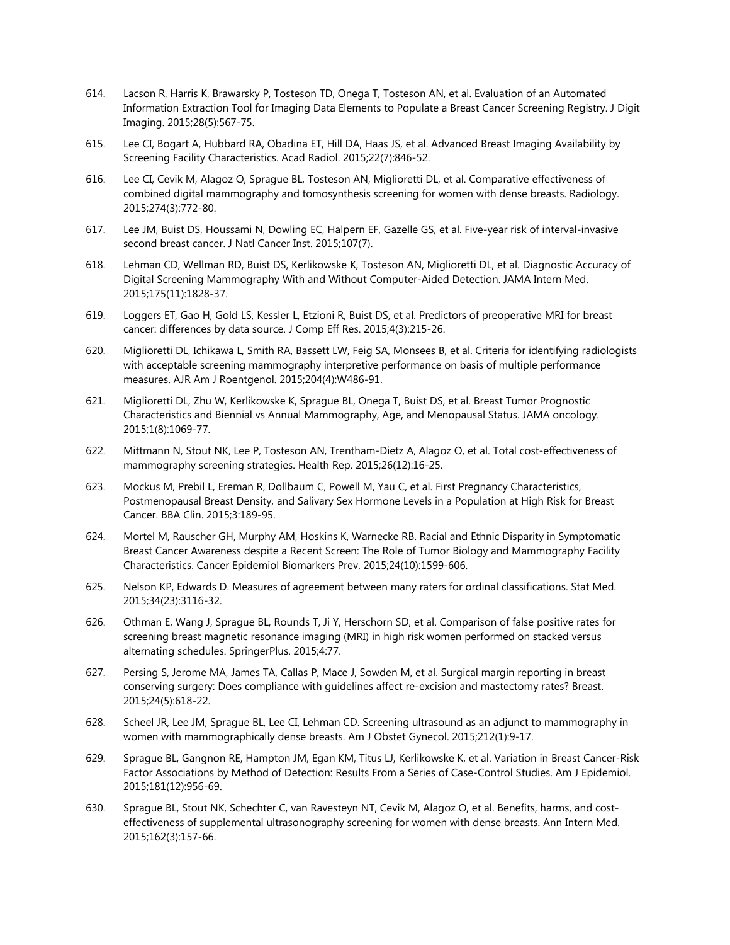- 614. Lacson R, Harris K, Brawarsky P, Tosteson TD, Onega T, Tosteson AN, et al. Evaluation of an Automated Information Extraction Tool for Imaging Data Elements to Populate a Breast Cancer Screening Registry. J Digit Imaging. 2015;28(5):567-75.
- 615. Lee CI, Bogart A, Hubbard RA, Obadina ET, Hill DA, Haas JS, et al. Advanced Breast Imaging Availability by Screening Facility Characteristics. Acad Radiol. 2015;22(7):846-52.
- 616. Lee CI, Cevik M, Alagoz O, Sprague BL, Tosteson AN, Miglioretti DL, et al. Comparative effectiveness of combined digital mammography and tomosynthesis screening for women with dense breasts. Radiology. 2015;274(3):772-80.
- 617. Lee JM, Buist DS, Houssami N, Dowling EC, Halpern EF, Gazelle GS, et al. Five-year risk of interval-invasive second breast cancer. J Natl Cancer Inst. 2015;107(7).
- 618. Lehman CD, Wellman RD, Buist DS, Kerlikowske K, Tosteson AN, Miglioretti DL, et al. Diagnostic Accuracy of Digital Screening Mammography With and Without Computer-Aided Detection. JAMA Intern Med. 2015;175(11):1828-37.
- 619. Loggers ET, Gao H, Gold LS, Kessler L, Etzioni R, Buist DS, et al. Predictors of preoperative MRI for breast cancer: differences by data source. J Comp Eff Res. 2015;4(3):215-26.
- 620. Miglioretti DL, Ichikawa L, Smith RA, Bassett LW, Feig SA, Monsees B, et al. Criteria for identifying radiologists with acceptable screening mammography interpretive performance on basis of multiple performance measures. AJR Am J Roentgenol. 2015;204(4):W486-91.
- 621. Miglioretti DL, Zhu W, Kerlikowske K, Sprague BL, Onega T, Buist DS, et al. Breast Tumor Prognostic Characteristics and Biennial vs Annual Mammography, Age, and Menopausal Status. JAMA oncology. 2015;1(8):1069-77.
- 622. Mittmann N, Stout NK, Lee P, Tosteson AN, Trentham-Dietz A, Alagoz O, et al. Total cost-effectiveness of mammography screening strategies. Health Rep. 2015;26(12):16-25.
- 623. Mockus M, Prebil L, Ereman R, Dollbaum C, Powell M, Yau C, et al. First Pregnancy Characteristics, Postmenopausal Breast Density, and Salivary Sex Hormone Levels in a Population at High Risk for Breast Cancer. BBA Clin. 2015;3:189-95.
- 624. Mortel M, Rauscher GH, Murphy AM, Hoskins K, Warnecke RB. Racial and Ethnic Disparity in Symptomatic Breast Cancer Awareness despite a Recent Screen: The Role of Tumor Biology and Mammography Facility Characteristics. Cancer Epidemiol Biomarkers Prev. 2015;24(10):1599-606.
- 625. Nelson KP, Edwards D. Measures of agreement between many raters for ordinal classifications. Stat Med. 2015;34(23):3116-32.
- 626. Othman E, Wang J, Sprague BL, Rounds T, Ji Y, Herschorn SD, et al. Comparison of false positive rates for screening breast magnetic resonance imaging (MRI) in high risk women performed on stacked versus alternating schedules. SpringerPlus. 2015;4:77.
- 627. Persing S, Jerome MA, James TA, Callas P, Mace J, Sowden M, et al. Surgical margin reporting in breast conserving surgery: Does compliance with guidelines affect re-excision and mastectomy rates? Breast. 2015;24(5):618-22.
- 628. Scheel JR, Lee JM, Sprague BL, Lee CI, Lehman CD. Screening ultrasound as an adjunct to mammography in women with mammographically dense breasts. Am J Obstet Gynecol. 2015;212(1):9-17.
- 629. Sprague BL, Gangnon RE, Hampton JM, Egan KM, Titus LJ, Kerlikowske K, et al. Variation in Breast Cancer-Risk Factor Associations by Method of Detection: Results From a Series of Case-Control Studies. Am J Epidemiol. 2015;181(12):956-69.
- 630. Sprague BL, Stout NK, Schechter C, van Ravesteyn NT, Cevik M, Alagoz O, et al. Benefits, harms, and costeffectiveness of supplemental ultrasonography screening for women with dense breasts. Ann Intern Med. 2015;162(3):157-66.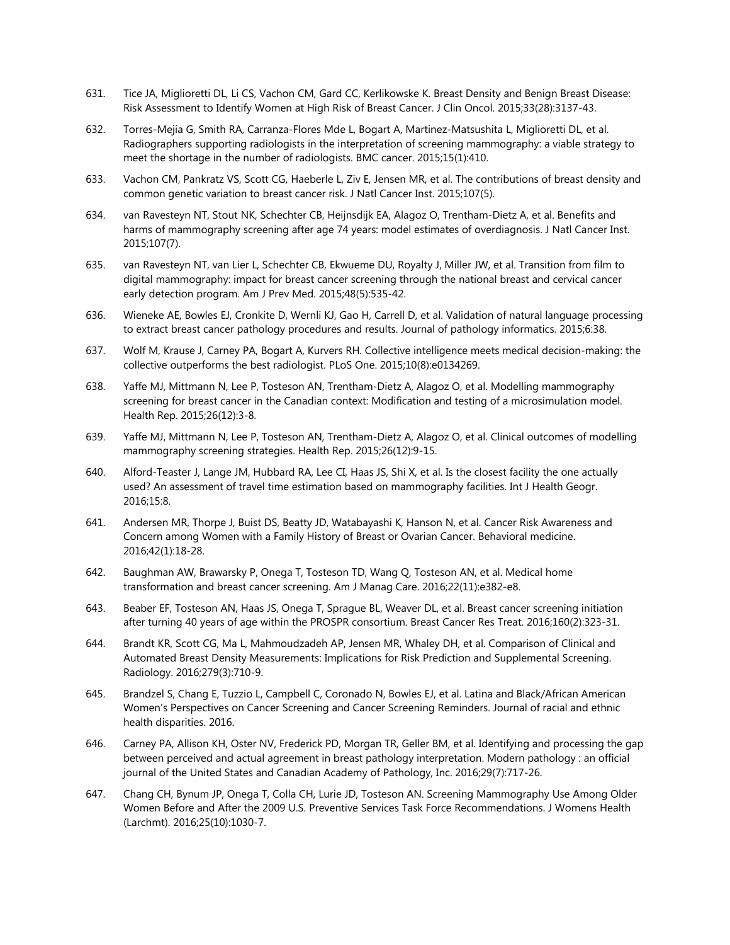- 631. Tice JA, Miglioretti DL, Li CS, Vachon CM, Gard CC, Kerlikowske K. Breast Density and Benign Breast Disease: Risk Assessment to Identify Women at High Risk of Breast Cancer. J Clin Oncol. 2015;33(28):3137-43.
- 632. Torres-Mejia G, Smith RA, Carranza-Flores Mde L, Bogart A, Martinez-Matsushita L, Miglioretti DL, et al. Radiographers supporting radiologists in the interpretation of screening mammography: a viable strategy to meet the shortage in the number of radiologists. BMC cancer. 2015;15(1):410.
- 633. Vachon CM, Pankratz VS, Scott CG, Haeberle L, Ziv E, Jensen MR, et al. The contributions of breast density and common genetic variation to breast cancer risk. J Natl Cancer Inst. 2015;107(5).
- 634. van Ravesteyn NT, Stout NK, Schechter CB, Heijnsdijk EA, Alagoz O, Trentham-Dietz A, et al. Benefits and harms of mammography screening after age 74 years: model estimates of overdiagnosis. J Natl Cancer Inst. 2015;107(7).
- 635. van Ravesteyn NT, van Lier L, Schechter CB, Ekwueme DU, Royalty J, Miller JW, et al. Transition from film to digital mammography: impact for breast cancer screening through the national breast and cervical cancer early detection program. Am J Prev Med. 2015;48(5):535-42.
- 636. Wieneke AE, Bowles EJ, Cronkite D, Wernli KJ, Gao H, Carrell D, et al. Validation of natural language processing to extract breast cancer pathology procedures and results. Journal of pathology informatics. 2015;6:38.
- 637. Wolf M, Krause J, Carney PA, Bogart A, Kurvers RH. Collective intelligence meets medical decision-making: the collective outperforms the best radiologist. PLoS One. 2015;10(8):e0134269.
- 638. Yaffe MJ, Mittmann N, Lee P, Tosteson AN, Trentham-Dietz A, Alagoz O, et al. Modelling mammography screening for breast cancer in the Canadian context: Modification and testing of a microsimulation model. Health Rep. 2015;26(12):3-8.
- 639. Yaffe MJ, Mittmann N, Lee P, Tosteson AN, Trentham-Dietz A, Alagoz O, et al. Clinical outcomes of modelling mammography screening strategies. Health Rep. 2015;26(12):9-15.
- 640. Alford-Teaster J, Lange JM, Hubbard RA, Lee CI, Haas JS, Shi X, et al. Is the closest facility the one actually used? An assessment of travel time estimation based on mammography facilities. Int J Health Geogr. 2016;15:8.
- 641. Andersen MR, Thorpe J, Buist DS, Beatty JD, Watabayashi K, Hanson N, et al. Cancer Risk Awareness and Concern among Women with a Family History of Breast or Ovarian Cancer. Behavioral medicine. 2016;42(1):18-28.
- 642. Baughman AW, Brawarsky P, Onega T, Tosteson TD, Wang Q, Tosteson AN, et al. Medical home transformation and breast cancer screening. Am J Manag Care. 2016;22(11):e382-e8.
- 643. Beaber EF, Tosteson AN, Haas JS, Onega T, Sprague BL, Weaver DL, et al. Breast cancer screening initiation after turning 40 years of age within the PROSPR consortium. Breast Cancer Res Treat. 2016;160(2):323-31.
- 644. Brandt KR, Scott CG, Ma L, Mahmoudzadeh AP, Jensen MR, Whaley DH, et al. Comparison of Clinical and Automated Breast Density Measurements: Implications for Risk Prediction and Supplemental Screening. Radiology. 2016;279(3):710-9.
- 645. Brandzel S, Chang E, Tuzzio L, Campbell C, Coronado N, Bowles EJ, et al. Latina and Black/African American Women's Perspectives on Cancer Screening and Cancer Screening Reminders. Journal of racial and ethnic health disparities. 2016.
- 646. Carney PA, Allison KH, Oster NV, Frederick PD, Morgan TR, Geller BM, et al. Identifying and processing the gap between perceived and actual agreement in breast pathology interpretation. Modern pathology : an official journal of the United States and Canadian Academy of Pathology, Inc. 2016;29(7):717-26.
- 647. Chang CH, Bynum JP, Onega T, Colla CH, Lurie JD, Tosteson AN. Screening Mammography Use Among Older Women Before and After the 2009 U.S. Preventive Services Task Force Recommendations. J Womens Health (Larchmt). 2016;25(10):1030-7.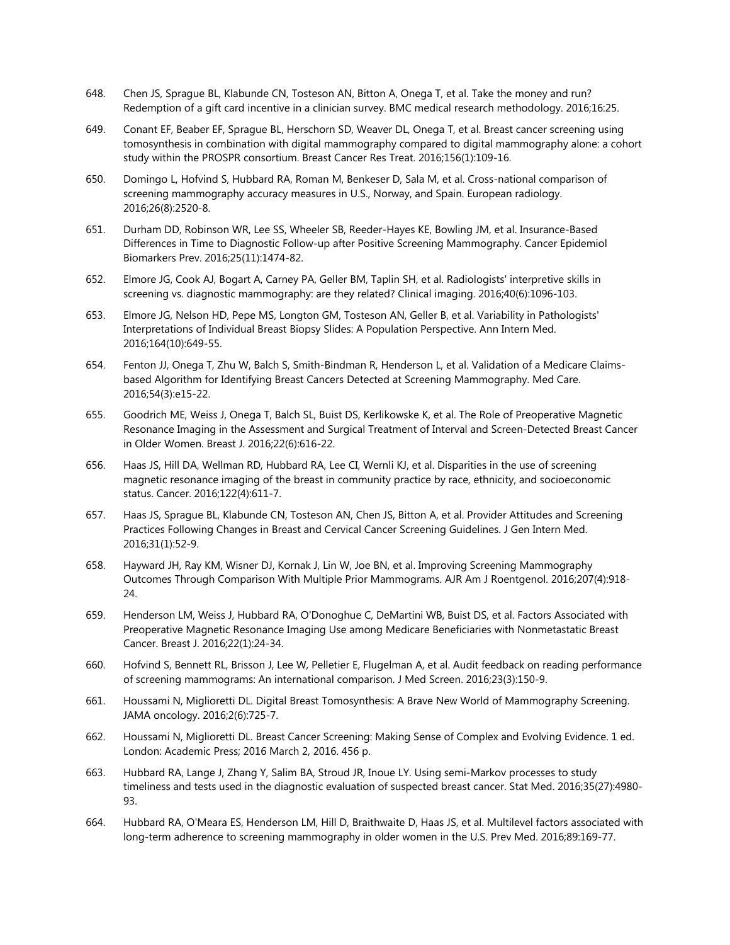- 648. Chen JS, Sprague BL, Klabunde CN, Tosteson AN, Bitton A, Onega T, et al. Take the money and run? Redemption of a gift card incentive in a clinician survey. BMC medical research methodology. 2016;16:25.
- 649. Conant EF, Beaber EF, Sprague BL, Herschorn SD, Weaver DL, Onega T, et al. Breast cancer screening using tomosynthesis in combination with digital mammography compared to digital mammography alone: a cohort study within the PROSPR consortium. Breast Cancer Res Treat. 2016;156(1):109-16.
- 650. Domingo L, Hofvind S, Hubbard RA, Roman M, Benkeser D, Sala M, et al. Cross-national comparison of screening mammography accuracy measures in U.S., Norway, and Spain. European radiology. 2016;26(8):2520-8.
- 651. Durham DD, Robinson WR, Lee SS, Wheeler SB, Reeder-Hayes KE, Bowling JM, et al. Insurance-Based Differences in Time to Diagnostic Follow-up after Positive Screening Mammography. Cancer Epidemiol Biomarkers Prev. 2016;25(11):1474-82.
- 652. Elmore JG, Cook AJ, Bogart A, Carney PA, Geller BM, Taplin SH, et al. Radiologists' interpretive skills in screening vs. diagnostic mammography: are they related? Clinical imaging. 2016;40(6):1096-103.
- 653. Elmore JG, Nelson HD, Pepe MS, Longton GM, Tosteson AN, Geller B, et al. Variability in Pathologists' Interpretations of Individual Breast Biopsy Slides: A Population Perspective. Ann Intern Med. 2016;164(10):649-55.
- 654. Fenton JJ, Onega T, Zhu W, Balch S, Smith-Bindman R, Henderson L, et al. Validation of a Medicare Claimsbased Algorithm for Identifying Breast Cancers Detected at Screening Mammography. Med Care. 2016;54(3):e15-22.
- 655. Goodrich ME, Weiss J, Onega T, Balch SL, Buist DS, Kerlikowske K, et al. The Role of Preoperative Magnetic Resonance Imaging in the Assessment and Surgical Treatment of Interval and Screen-Detected Breast Cancer in Older Women. Breast J. 2016;22(6):616-22.
- 656. Haas JS, Hill DA, Wellman RD, Hubbard RA, Lee CI, Wernli KJ, et al. Disparities in the use of screening magnetic resonance imaging of the breast in community practice by race, ethnicity, and socioeconomic status. Cancer. 2016;122(4):611-7.
- 657. Haas JS, Sprague BL, Klabunde CN, Tosteson AN, Chen JS, Bitton A, et al. Provider Attitudes and Screening Practices Following Changes in Breast and Cervical Cancer Screening Guidelines. J Gen Intern Med. 2016;31(1):52-9.
- 658. Hayward JH, Ray KM, Wisner DJ, Kornak J, Lin W, Joe BN, et al. Improving Screening Mammography Outcomes Through Comparison With Multiple Prior Mammograms. AJR Am J Roentgenol. 2016;207(4):918- 24.
- 659. Henderson LM, Weiss J, Hubbard RA, O'Donoghue C, DeMartini WB, Buist DS, et al. Factors Associated with Preoperative Magnetic Resonance Imaging Use among Medicare Beneficiaries with Nonmetastatic Breast Cancer. Breast J. 2016;22(1):24-34.
- 660. Hofvind S, Bennett RL, Brisson J, Lee W, Pelletier E, Flugelman A, et al. Audit feedback on reading performance of screening mammograms: An international comparison. J Med Screen. 2016;23(3):150-9.
- 661. Houssami N, Miglioretti DL. Digital Breast Tomosynthesis: A Brave New World of Mammography Screening. JAMA oncology. 2016;2(6):725-7.
- 662. Houssami N, Miglioretti DL. Breast Cancer Screening: Making Sense of Complex and Evolving Evidence. 1 ed. London: Academic Press; 2016 March 2, 2016. 456 p.
- 663. Hubbard RA, Lange J, Zhang Y, Salim BA, Stroud JR, Inoue LY. Using semi-Markov processes to study timeliness and tests used in the diagnostic evaluation of suspected breast cancer. Stat Med. 2016;35(27):4980- 93.
- 664. Hubbard RA, O'Meara ES, Henderson LM, Hill D, Braithwaite D, Haas JS, et al. Multilevel factors associated with long-term adherence to screening mammography in older women in the U.S. Prev Med. 2016;89:169-77.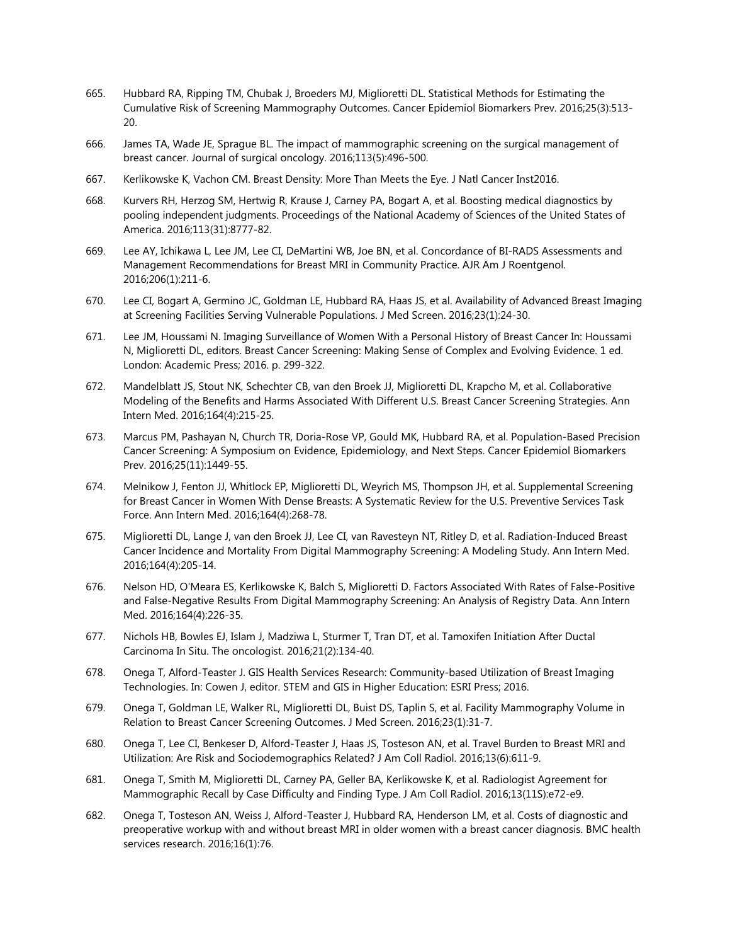- 665. Hubbard RA, Ripping TM, Chubak J, Broeders MJ, Miglioretti DL. Statistical Methods for Estimating the Cumulative Risk of Screening Mammography Outcomes. Cancer Epidemiol Biomarkers Prev. 2016;25(3):513- 20.
- 666. James TA, Wade JE, Sprague BL. The impact of mammographic screening on the surgical management of breast cancer. Journal of surgical oncology. 2016;113(5):496-500.
- 667. Kerlikowske K, Vachon CM. Breast Density: More Than Meets the Eye. J Natl Cancer Inst2016.
- 668. Kurvers RH, Herzog SM, Hertwig R, Krause J, Carney PA, Bogart A, et al. Boosting medical diagnostics by pooling independent judgments. Proceedings of the National Academy of Sciences of the United States of America. 2016;113(31):8777-82.
- 669. Lee AY, Ichikawa L, Lee JM, Lee CI, DeMartini WB, Joe BN, et al. Concordance of BI-RADS Assessments and Management Recommendations for Breast MRI in Community Practice. AJR Am J Roentgenol. 2016;206(1):211-6.
- 670. Lee CI, Bogart A, Germino JC, Goldman LE, Hubbard RA, Haas JS, et al. Availability of Advanced Breast Imaging at Screening Facilities Serving Vulnerable Populations. J Med Screen. 2016;23(1):24-30.
- 671. Lee JM, Houssami N. Imaging Surveillance of Women With a Personal History of Breast Cancer In: Houssami N, Miglioretti DL, editors. Breast Cancer Screening: Making Sense of Complex and Evolving Evidence. 1 ed. London: Academic Press; 2016. p. 299-322.
- 672. Mandelblatt JS, Stout NK, Schechter CB, van den Broek JJ, Miglioretti DL, Krapcho M, et al. Collaborative Modeling of the Benefits and Harms Associated With Different U.S. Breast Cancer Screening Strategies. Ann Intern Med. 2016;164(4):215-25.
- 673. Marcus PM, Pashayan N, Church TR, Doria-Rose VP, Gould MK, Hubbard RA, et al. Population-Based Precision Cancer Screening: A Symposium on Evidence, Epidemiology, and Next Steps. Cancer Epidemiol Biomarkers Prev. 2016;25(11):1449-55.
- 674. Melnikow J, Fenton JJ, Whitlock EP, Miglioretti DL, Weyrich MS, Thompson JH, et al. Supplemental Screening for Breast Cancer in Women With Dense Breasts: A Systematic Review for the U.S. Preventive Services Task Force. Ann Intern Med. 2016;164(4):268-78.
- 675. Miglioretti DL, Lange J, van den Broek JJ, Lee CI, van Ravesteyn NT, Ritley D, et al. Radiation-Induced Breast Cancer Incidence and Mortality From Digital Mammography Screening: A Modeling Study. Ann Intern Med. 2016;164(4):205-14.
- 676. Nelson HD, O'Meara ES, Kerlikowske K, Balch S, Miglioretti D. Factors Associated With Rates of False-Positive and False-Negative Results From Digital Mammography Screening: An Analysis of Registry Data. Ann Intern Med. 2016;164(4):226-35.
- 677. Nichols HB, Bowles EJ, Islam J, Madziwa L, Sturmer T, Tran DT, et al. Tamoxifen Initiation After Ductal Carcinoma In Situ. The oncologist. 2016;21(2):134-40.
- 678. Onega T, Alford-Teaster J. GIS Health Services Research: Community-based Utilization of Breast Imaging Technologies. In: Cowen J, editor. STEM and GIS in Higher Education: ESRI Press; 2016.
- 679. Onega T, Goldman LE, Walker RL, Miglioretti DL, Buist DS, Taplin S, et al. Facility Mammography Volume in Relation to Breast Cancer Screening Outcomes. J Med Screen. 2016;23(1):31-7.
- 680. Onega T, Lee CI, Benkeser D, Alford-Teaster J, Haas JS, Tosteson AN, et al. Travel Burden to Breast MRI and Utilization: Are Risk and Sociodemographics Related? J Am Coll Radiol. 2016;13(6):611-9.
- 681. Onega T, Smith M, Miglioretti DL, Carney PA, Geller BA, Kerlikowske K, et al. Radiologist Agreement for Mammographic Recall by Case Difficulty and Finding Type. J Am Coll Radiol. 2016;13(11S):e72-e9.
- 682. Onega T, Tosteson AN, Weiss J, Alford-Teaster J, Hubbard RA, Henderson LM, et al. Costs of diagnostic and preoperative workup with and without breast MRI in older women with a breast cancer diagnosis. BMC health services research. 2016;16(1):76.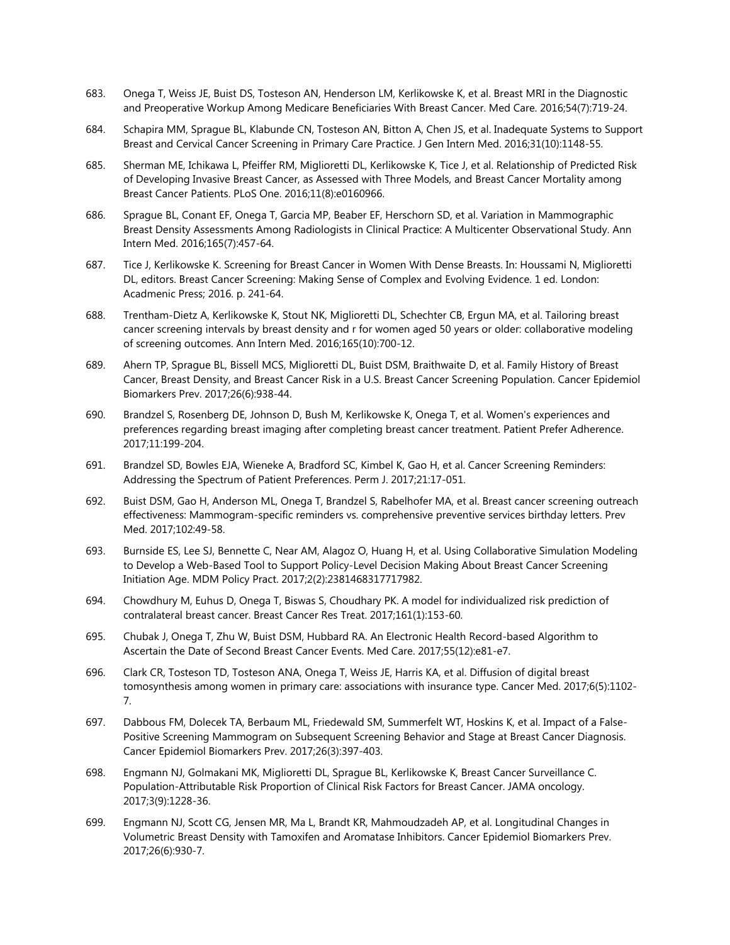- 683. Onega T, Weiss JE, Buist DS, Tosteson AN, Henderson LM, Kerlikowske K, et al. Breast MRI in the Diagnostic and Preoperative Workup Among Medicare Beneficiaries With Breast Cancer. Med Care. 2016;54(7):719-24.
- 684. Schapira MM, Sprague BL, Klabunde CN, Tosteson AN, Bitton A, Chen JS, et al. Inadequate Systems to Support Breast and Cervical Cancer Screening in Primary Care Practice. J Gen Intern Med. 2016;31(10):1148-55.
- 685. Sherman ME, Ichikawa L, Pfeiffer RM, Miglioretti DL, Kerlikowske K, Tice J, et al. Relationship of Predicted Risk of Developing Invasive Breast Cancer, as Assessed with Three Models, and Breast Cancer Mortality among Breast Cancer Patients. PLoS One. 2016;11(8):e0160966.
- 686. Sprague BL, Conant EF, Onega T, Garcia MP, Beaber EF, Herschorn SD, et al. Variation in Mammographic Breast Density Assessments Among Radiologists in Clinical Practice: A Multicenter Observational Study. Ann Intern Med. 2016;165(7):457-64.
- 687. Tice J, Kerlikowske K. Screening for Breast Cancer in Women With Dense Breasts. In: Houssami N, Miglioretti DL, editors. Breast Cancer Screening: Making Sense of Complex and Evolving Evidence. 1 ed. London: Acadmenic Press; 2016. p. 241-64.
- 688. Trentham-Dietz A, Kerlikowske K, Stout NK, Miglioretti DL, Schechter CB, Ergun MA, et al. Tailoring breast cancer screening intervals by breast density and r for women aged 50 years or older: collaborative modeling of screening outcomes. Ann Intern Med. 2016;165(10):700-12.
- 689. Ahern TP, Sprague BL, Bissell MCS, Miglioretti DL, Buist DSM, Braithwaite D, et al. Family History of Breast Cancer, Breast Density, and Breast Cancer Risk in a U.S. Breast Cancer Screening Population. Cancer Epidemiol Biomarkers Prev. 2017;26(6):938-44.
- 690. Brandzel S, Rosenberg DE, Johnson D, Bush M, Kerlikowske K, Onega T, et al. Women's experiences and preferences regarding breast imaging after completing breast cancer treatment. Patient Prefer Adherence. 2017;11:199-204.
- 691. Brandzel SD, Bowles EJA, Wieneke A, Bradford SC, Kimbel K, Gao H, et al. Cancer Screening Reminders: Addressing the Spectrum of Patient Preferences. Perm J. 2017;21:17-051.
- 692. Buist DSM, Gao H, Anderson ML, Onega T, Brandzel S, Rabelhofer MA, et al. Breast cancer screening outreach effectiveness: Mammogram-specific reminders vs. comprehensive preventive services birthday letters. Prev Med. 2017;102:49-58.
- 693. Burnside ES, Lee SJ, Bennette C, Near AM, Alagoz O, Huang H, et al. Using Collaborative Simulation Modeling to Develop a Web-Based Tool to Support Policy-Level Decision Making About Breast Cancer Screening Initiation Age. MDM Policy Pract. 2017;2(2):2381468317717982.
- 694. Chowdhury M, Euhus D, Onega T, Biswas S, Choudhary PK. A model for individualized risk prediction of contralateral breast cancer. Breast Cancer Res Treat. 2017;161(1):153-60.
- 695. Chubak J, Onega T, Zhu W, Buist DSM, Hubbard RA. An Electronic Health Record-based Algorithm to Ascertain the Date of Second Breast Cancer Events. Med Care. 2017;55(12):e81-e7.
- 696. Clark CR, Tosteson TD, Tosteson ANA, Onega T, Weiss JE, Harris KA, et al. Diffusion of digital breast tomosynthesis among women in primary care: associations with insurance type. Cancer Med. 2017;6(5):1102- 7.
- 697. Dabbous FM, Dolecek TA, Berbaum ML, Friedewald SM, Summerfelt WT, Hoskins K, et al. Impact of a False-Positive Screening Mammogram on Subsequent Screening Behavior and Stage at Breast Cancer Diagnosis. Cancer Epidemiol Biomarkers Prev. 2017;26(3):397-403.
- 698. Engmann NJ, Golmakani MK, Miglioretti DL, Sprague BL, Kerlikowske K, Breast Cancer Surveillance C. Population-Attributable Risk Proportion of Clinical Risk Factors for Breast Cancer. JAMA oncology. 2017;3(9):1228-36.
- 699. Engmann NJ, Scott CG, Jensen MR, Ma L, Brandt KR, Mahmoudzadeh AP, et al. Longitudinal Changes in Volumetric Breast Density with Tamoxifen and Aromatase Inhibitors. Cancer Epidemiol Biomarkers Prev. 2017;26(6):930-7.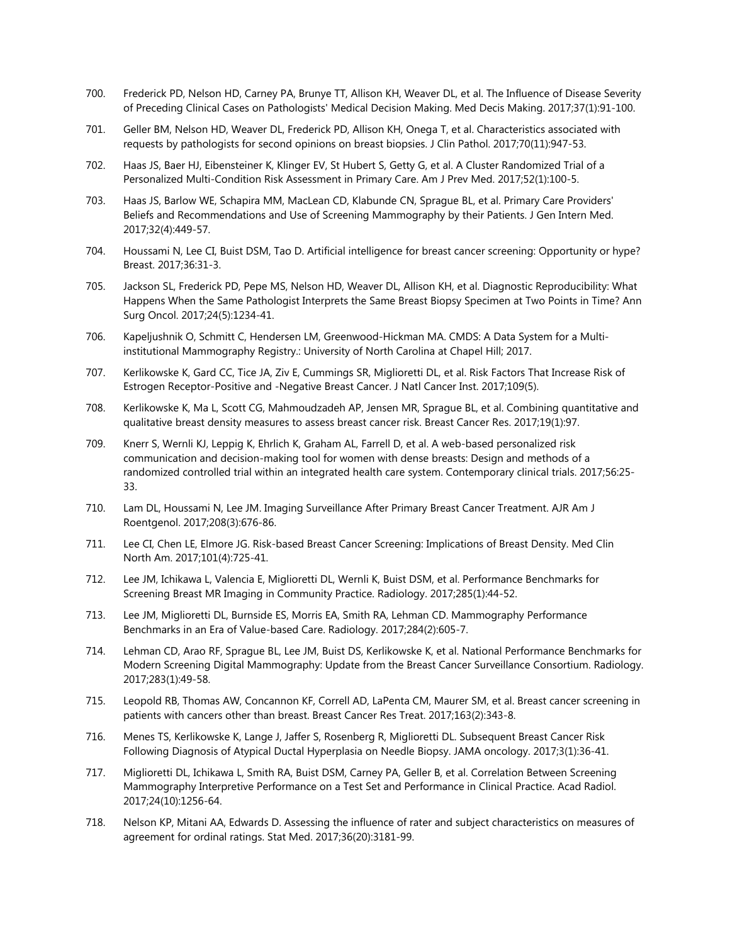- 700. Frederick PD, Nelson HD, Carney PA, Brunye TT, Allison KH, Weaver DL, et al. The Influence of Disease Severity of Preceding Clinical Cases on Pathologists' Medical Decision Making. Med Decis Making. 2017;37(1):91-100.
- 701. Geller BM, Nelson HD, Weaver DL, Frederick PD, Allison KH, Onega T, et al. Characteristics associated with requests by pathologists for second opinions on breast biopsies. J Clin Pathol. 2017;70(11):947-53.
- 702. Haas JS, Baer HJ, Eibensteiner K, Klinger EV, St Hubert S, Getty G, et al. A Cluster Randomized Trial of a Personalized Multi-Condition Risk Assessment in Primary Care. Am J Prev Med. 2017;52(1):100-5.
- 703. Haas JS, Barlow WE, Schapira MM, MacLean CD, Klabunde CN, Sprague BL, et al. Primary Care Providers' Beliefs and Recommendations and Use of Screening Mammography by their Patients. J Gen Intern Med. 2017;32(4):449-57.
- 704. Houssami N, Lee CI, Buist DSM, Tao D. Artificial intelligence for breast cancer screening: Opportunity or hype? Breast. 2017;36:31-3.
- 705. Jackson SL, Frederick PD, Pepe MS, Nelson HD, Weaver DL, Allison KH, et al. Diagnostic Reproducibility: What Happens When the Same Pathologist Interprets the Same Breast Biopsy Specimen at Two Points in Time? Ann Surg Oncol. 2017;24(5):1234-41.
- 706. Kapeljushnik O, Schmitt C, Hendersen LM, Greenwood-Hickman MA. CMDS: A Data System for a Multiinstitutional Mammography Registry.: University of North Carolina at Chapel Hill; 2017.
- 707. Kerlikowske K, Gard CC, Tice JA, Ziv E, Cummings SR, Miglioretti DL, et al. Risk Factors That Increase Risk of Estrogen Receptor-Positive and -Negative Breast Cancer. J Natl Cancer Inst. 2017;109(5).
- 708. Kerlikowske K, Ma L, Scott CG, Mahmoudzadeh AP, Jensen MR, Sprague BL, et al. Combining quantitative and qualitative breast density measures to assess breast cancer risk. Breast Cancer Res. 2017;19(1):97.
- 709. Knerr S, Wernli KJ, Leppig K, Ehrlich K, Graham AL, Farrell D, et al. A web-based personalized risk communication and decision-making tool for women with dense breasts: Design and methods of a randomized controlled trial within an integrated health care system. Contemporary clinical trials. 2017;56:25- 33.
- 710. Lam DL, Houssami N, Lee JM. Imaging Surveillance After Primary Breast Cancer Treatment. AJR Am J Roentgenol. 2017;208(3):676-86.
- 711. Lee CI, Chen LE, Elmore JG. Risk-based Breast Cancer Screening: Implications of Breast Density. Med Clin North Am. 2017;101(4):725-41.
- 712. Lee JM, Ichikawa L, Valencia E, Miglioretti DL, Wernli K, Buist DSM, et al. Performance Benchmarks for Screening Breast MR Imaging in Community Practice. Radiology. 2017;285(1):44-52.
- 713. Lee JM, Miglioretti DL, Burnside ES, Morris EA, Smith RA, Lehman CD. Mammography Performance Benchmarks in an Era of Value-based Care. Radiology. 2017;284(2):605-7.
- 714. Lehman CD, Arao RF, Sprague BL, Lee JM, Buist DS, Kerlikowske K, et al. National Performance Benchmarks for Modern Screening Digital Mammography: Update from the Breast Cancer Surveillance Consortium. Radiology. 2017;283(1):49-58.
- 715. Leopold RB, Thomas AW, Concannon KF, Correll AD, LaPenta CM, Maurer SM, et al. Breast cancer screening in patients with cancers other than breast. Breast Cancer Res Treat. 2017;163(2):343-8.
- 716. Menes TS, Kerlikowske K, Lange J, Jaffer S, Rosenberg R, Miglioretti DL. Subsequent Breast Cancer Risk Following Diagnosis of Atypical Ductal Hyperplasia on Needle Biopsy. JAMA oncology. 2017;3(1):36-41.
- 717. Miglioretti DL, Ichikawa L, Smith RA, Buist DSM, Carney PA, Geller B, et al. Correlation Between Screening Mammography Interpretive Performance on a Test Set and Performance in Clinical Practice. Acad Radiol. 2017;24(10):1256-64.
- 718. Nelson KP, Mitani AA, Edwards D. Assessing the influence of rater and subject characteristics on measures of agreement for ordinal ratings. Stat Med. 2017;36(20):3181-99.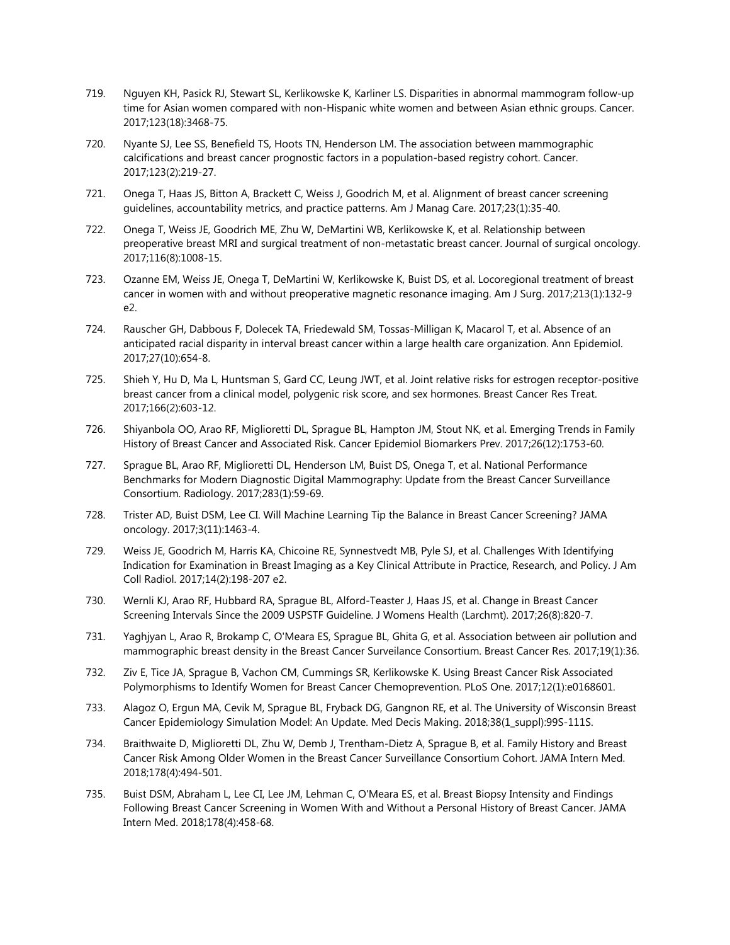- 719. Nguyen KH, Pasick RJ, Stewart SL, Kerlikowske K, Karliner LS. Disparities in abnormal mammogram follow-up time for Asian women compared with non-Hispanic white women and between Asian ethnic groups. Cancer. 2017;123(18):3468-75.
- 720. Nyante SJ, Lee SS, Benefield TS, Hoots TN, Henderson LM. The association between mammographic calcifications and breast cancer prognostic factors in a population-based registry cohort. Cancer. 2017;123(2):219-27.
- 721. Onega T, Haas JS, Bitton A, Brackett C, Weiss J, Goodrich M, et al. Alignment of breast cancer screening guidelines, accountability metrics, and practice patterns. Am J Manag Care. 2017;23(1):35-40.
- 722. Onega T, Weiss JE, Goodrich ME, Zhu W, DeMartini WB, Kerlikowske K, et al. Relationship between preoperative breast MRI and surgical treatment of non-metastatic breast cancer. Journal of surgical oncology. 2017;116(8):1008-15.
- 723. Ozanne EM, Weiss JE, Onega T, DeMartini W, Kerlikowske K, Buist DS, et al. Locoregional treatment of breast cancer in women with and without preoperative magnetic resonance imaging. Am J Surg. 2017;213(1):132-9 e2.
- 724. Rauscher GH, Dabbous F, Dolecek TA, Friedewald SM, Tossas-Milligan K, Macarol T, et al. Absence of an anticipated racial disparity in interval breast cancer within a large health care organization. Ann Epidemiol. 2017;27(10):654-8.
- 725. Shieh Y, Hu D, Ma L, Huntsman S, Gard CC, Leung JWT, et al. Joint relative risks for estrogen receptor-positive breast cancer from a clinical model, polygenic risk score, and sex hormones. Breast Cancer Res Treat. 2017;166(2):603-12.
- 726. Shiyanbola OO, Arao RF, Miglioretti DL, Sprague BL, Hampton JM, Stout NK, et al. Emerging Trends in Family History of Breast Cancer and Associated Risk. Cancer Epidemiol Biomarkers Prev. 2017;26(12):1753-60.
- 727. Sprague BL, Arao RF, Miglioretti DL, Henderson LM, Buist DS, Onega T, et al. National Performance Benchmarks for Modern Diagnostic Digital Mammography: Update from the Breast Cancer Surveillance Consortium. Radiology. 2017;283(1):59-69.
- 728. Trister AD, Buist DSM, Lee CI. Will Machine Learning Tip the Balance in Breast Cancer Screening? JAMA oncology. 2017;3(11):1463-4.
- 729. Weiss JE, Goodrich M, Harris KA, Chicoine RE, Synnestvedt MB, Pyle SJ, et al. Challenges With Identifying Indication for Examination in Breast Imaging as a Key Clinical Attribute in Practice, Research, and Policy. J Am Coll Radiol. 2017;14(2):198-207 e2.
- 730. Wernli KJ, Arao RF, Hubbard RA, Sprague BL, Alford-Teaster J, Haas JS, et al. Change in Breast Cancer Screening Intervals Since the 2009 USPSTF Guideline. J Womens Health (Larchmt). 2017;26(8):820-7.
- 731. Yaghjyan L, Arao R, Brokamp C, O'Meara ES, Sprague BL, Ghita G, et al. Association between air pollution and mammographic breast density in the Breast Cancer Surveilance Consortium. Breast Cancer Res. 2017;19(1):36.
- 732. Ziv E, Tice JA, Sprague B, Vachon CM, Cummings SR, Kerlikowske K. Using Breast Cancer Risk Associated Polymorphisms to Identify Women for Breast Cancer Chemoprevention. PLoS One. 2017;12(1):e0168601.
- 733. Alagoz O, Ergun MA, Cevik M, Sprague BL, Fryback DG, Gangnon RE, et al. The University of Wisconsin Breast Cancer Epidemiology Simulation Model: An Update. Med Decis Making. 2018;38(1\_suppl):99S-111S.
- 734. Braithwaite D, Miglioretti DL, Zhu W, Demb J, Trentham-Dietz A, Sprague B, et al. Family History and Breast Cancer Risk Among Older Women in the Breast Cancer Surveillance Consortium Cohort. JAMA Intern Med. 2018;178(4):494-501.
- 735. Buist DSM, Abraham L, Lee CI, Lee JM, Lehman C, O'Meara ES, et al. Breast Biopsy Intensity and Findings Following Breast Cancer Screening in Women With and Without a Personal History of Breast Cancer. JAMA Intern Med. 2018;178(4):458-68.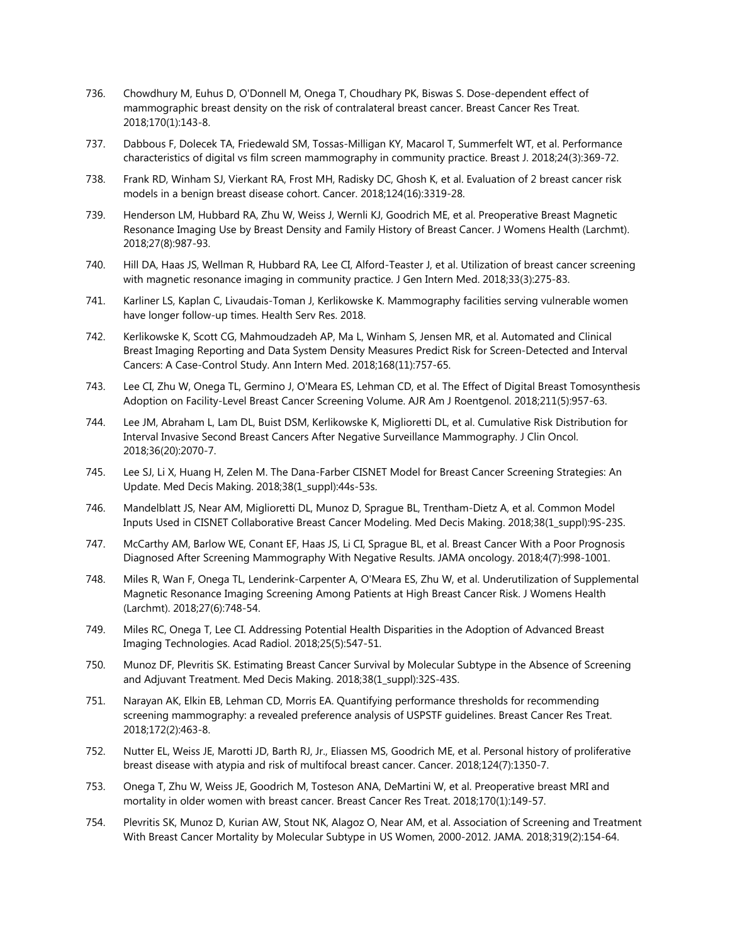- 736. Chowdhury M, Euhus D, O'Donnell M, Onega T, Choudhary PK, Biswas S. Dose-dependent effect of mammographic breast density on the risk of contralateral breast cancer. Breast Cancer Res Treat. 2018;170(1):143-8.
- 737. Dabbous F, Dolecek TA, Friedewald SM, Tossas-Milligan KY, Macarol T, Summerfelt WT, et al. Performance characteristics of digital vs film screen mammography in community practice. Breast J. 2018;24(3):369-72.
- 738. Frank RD, Winham SJ, Vierkant RA, Frost MH, Radisky DC, Ghosh K, et al. Evaluation of 2 breast cancer risk models in a benign breast disease cohort. Cancer. 2018;124(16):3319-28.
- 739. Henderson LM, Hubbard RA, Zhu W, Weiss J, Wernli KJ, Goodrich ME, et al. Preoperative Breast Magnetic Resonance Imaging Use by Breast Density and Family History of Breast Cancer. J Womens Health (Larchmt). 2018;27(8):987-93.
- 740. Hill DA, Haas JS, Wellman R, Hubbard RA, Lee CI, Alford-Teaster J, et al. Utilization of breast cancer screening with magnetic resonance imaging in community practice. J Gen Intern Med. 2018;33(3):275-83.
- 741. Karliner LS, Kaplan C, Livaudais-Toman J, Kerlikowske K. Mammography facilities serving vulnerable women have longer follow-up times. Health Serv Res. 2018.
- 742. Kerlikowske K, Scott CG, Mahmoudzadeh AP, Ma L, Winham S, Jensen MR, et al. Automated and Clinical Breast Imaging Reporting and Data System Density Measures Predict Risk for Screen-Detected and Interval Cancers: A Case-Control Study. Ann Intern Med. 2018;168(11):757-65.
- 743. Lee CI, Zhu W, Onega TL, Germino J, O'Meara ES, Lehman CD, et al. The Effect of Digital Breast Tomosynthesis Adoption on Facility-Level Breast Cancer Screening Volume. AJR Am J Roentgenol. 2018;211(5):957-63.
- 744. Lee JM, Abraham L, Lam DL, Buist DSM, Kerlikowske K, Miglioretti DL, et al. Cumulative Risk Distribution for Interval Invasive Second Breast Cancers After Negative Surveillance Mammography. J Clin Oncol. 2018;36(20):2070-7.
- 745. Lee SJ, Li X, Huang H, Zelen M. The Dana-Farber CISNET Model for Breast Cancer Screening Strategies: An Update. Med Decis Making. 2018;38(1\_suppl):44s-53s.
- 746. Mandelblatt JS, Near AM, Miglioretti DL, Munoz D, Sprague BL, Trentham-Dietz A, et al. Common Model Inputs Used in CISNET Collaborative Breast Cancer Modeling. Med Decis Making. 2018;38(1\_suppl):9S-23S.
- 747. McCarthy AM, Barlow WE, Conant EF, Haas JS, Li CI, Sprague BL, et al. Breast Cancer With a Poor Prognosis Diagnosed After Screening Mammography With Negative Results. JAMA oncology. 2018;4(7):998-1001.
- 748. Miles R, Wan F, Onega TL, Lenderink-Carpenter A, O'Meara ES, Zhu W, et al. Underutilization of Supplemental Magnetic Resonance Imaging Screening Among Patients at High Breast Cancer Risk. J Womens Health (Larchmt). 2018;27(6):748-54.
- 749. Miles RC, Onega T, Lee CI. Addressing Potential Health Disparities in the Adoption of Advanced Breast Imaging Technologies. Acad Radiol. 2018;25(5):547-51.
- 750. Munoz DF, Plevritis SK. Estimating Breast Cancer Survival by Molecular Subtype in the Absence of Screening and Adjuvant Treatment. Med Decis Making. 2018;38(1\_suppl):32S-43S.
- 751. Narayan AK, Elkin EB, Lehman CD, Morris EA. Quantifying performance thresholds for recommending screening mammography: a revealed preference analysis of USPSTF guidelines. Breast Cancer Res Treat. 2018;172(2):463-8.
- 752. Nutter EL, Weiss JE, Marotti JD, Barth RJ, Jr., Eliassen MS, Goodrich ME, et al. Personal history of proliferative breast disease with atypia and risk of multifocal breast cancer. Cancer. 2018;124(7):1350-7.
- 753. Onega T, Zhu W, Weiss JE, Goodrich M, Tosteson ANA, DeMartini W, et al. Preoperative breast MRI and mortality in older women with breast cancer. Breast Cancer Res Treat. 2018;170(1):149-57.
- 754. Plevritis SK, Munoz D, Kurian AW, Stout NK, Alagoz O, Near AM, et al. Association of Screening and Treatment With Breast Cancer Mortality by Molecular Subtype in US Women, 2000-2012. JAMA. 2018;319(2):154-64.